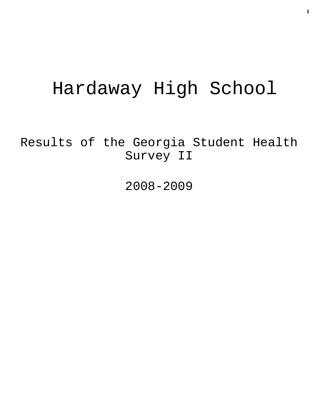# Hardaway High School

Results of the Georgia Student Health Survey II

2008-2009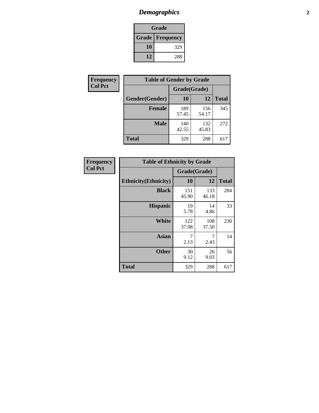# *Demographics* **2**

| Grade                    |     |  |  |
|--------------------------|-----|--|--|
| <b>Grade   Frequency</b> |     |  |  |
| 10                       | 329 |  |  |
| 12                       | 288 |  |  |

| Frequency      | <b>Table of Gender by Grade</b> |              |              |              |  |  |
|----------------|---------------------------------|--------------|--------------|--------------|--|--|
| <b>Col Pct</b> |                                 | Grade(Grade) |              |              |  |  |
|                | Gender(Gender)                  | 10           | 12           | <b>Total</b> |  |  |
|                | <b>Female</b>                   | 189<br>57.45 | 156<br>54.17 | 345          |  |  |
|                | <b>Male</b>                     | 140<br>42.55 | 132<br>45.83 | 272          |  |  |
|                | <b>Total</b>                    | 329          | 288          | 617          |  |  |

| <b>Frequency</b> |
|------------------|
| <b>Col Pct</b>   |

| <b>Table of Ethnicity by Grade</b> |              |              |              |  |  |  |
|------------------------------------|--------------|--------------|--------------|--|--|--|
|                                    | Grade(Grade) |              |              |  |  |  |
| <b>Ethnicity</b> (Ethnicity)       | 10           | 12           | <b>Total</b> |  |  |  |
| <b>Black</b>                       | 151<br>45.90 | 133<br>46.18 | 284          |  |  |  |
| <b>Hispanic</b>                    | 19<br>5.78   | 14<br>4.86   | 33           |  |  |  |
| White                              | 122<br>37.08 | 108<br>37.50 | 230          |  |  |  |
| <b>Asian</b>                       | 7<br>2.13    | 7<br>2.43    | 14           |  |  |  |
| <b>Other</b>                       | 30<br>9.12   | 26<br>9.03   | 56           |  |  |  |
| <b>Total</b>                       | 329          | 288          | 617          |  |  |  |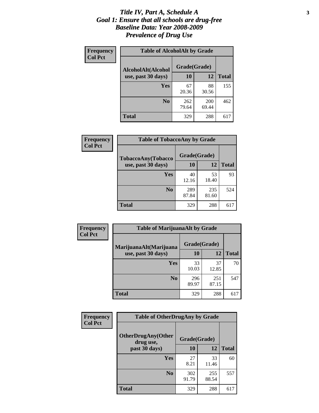#### *Title IV, Part A, Schedule A* **3** *Goal 1: Ensure that all schools are drug-free Baseline Data: Year 2008-2009 Prevalence of Drug Use*

| Frequency<br><b>Col Pct</b> | <b>Table of AlcoholAlt by Grade</b> |              |              |              |  |  |
|-----------------------------|-------------------------------------|--------------|--------------|--------------|--|--|
|                             | AlcoholAlt(Alcohol                  | Grade(Grade) |              |              |  |  |
|                             | use, past 30 days)                  | <b>10</b>    | 12           | <b>Total</b> |  |  |
|                             | <b>Yes</b>                          | 67<br>20.36  | 88<br>30.56  | 155          |  |  |
|                             | N <sub>0</sub>                      | 262<br>79.64 | 200<br>69.44 | 462          |  |  |
|                             | Total                               | 329          | 288          | 617          |  |  |

| Frequency<br><b>Col Pct</b> | <b>Table of TobaccoAny by Grade</b> |              |              |              |  |  |
|-----------------------------|-------------------------------------|--------------|--------------|--------------|--|--|
|                             | TobaccoAny(Tobacco                  | Grade(Grade) |              |              |  |  |
|                             | use, past 30 days)                  | 10           | 12           | <b>Total</b> |  |  |
|                             | <b>Yes</b>                          | 40<br>12.16  | 53<br>18.40  | 93           |  |  |
|                             | N <sub>0</sub>                      | 289<br>87.84 | 235<br>81.60 | 524          |  |  |
|                             | <b>Total</b>                        | 329          | 288          | 617          |  |  |

| Frequency<br><b>Col Pct</b> | <b>Table of MarijuanaAlt by Grade</b> |              |              |              |  |
|-----------------------------|---------------------------------------|--------------|--------------|--------------|--|
|                             | MarijuanaAlt(Marijuana                | Grade(Grade) |              |              |  |
|                             | use, past 30 days)                    | <b>10</b>    | 12           | <b>Total</b> |  |
|                             | <b>Yes</b>                            | 33<br>10.03  | 37<br>12.85  | 70           |  |
|                             | N <sub>0</sub>                        | 296<br>89.97 | 251<br>87.15 | 547          |  |
|                             | <b>Total</b>                          | 329          | 288          | 617          |  |

| Frequency<br><b>Col Pct</b> | <b>Table of OtherDrugAny by Grade</b>  |              |              |              |  |
|-----------------------------|----------------------------------------|--------------|--------------|--------------|--|
|                             | <b>OtherDrugAny(Other</b><br>drug use, | Grade(Grade) |              |              |  |
|                             | past 30 days)                          | 10           | 12           | <b>Total</b> |  |
|                             | Yes                                    | 27<br>8.21   | 33<br>11.46  | 60           |  |
|                             | N <sub>0</sub>                         | 302<br>91.79 | 255<br>88.54 | 557          |  |
|                             | <b>Total</b>                           | 329          | 288          | 617          |  |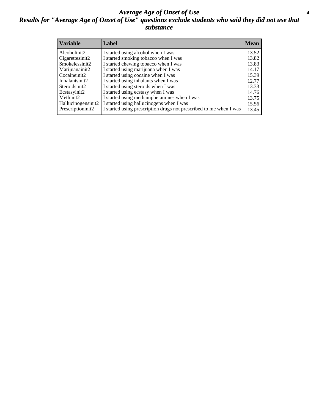#### *Average Age of Onset of Use* **4** *Results for "Average Age of Onset of Use" questions exclude students who said they did not use that substance*

| <b>Variable</b>    | Label                                                              | <b>Mean</b> |
|--------------------|--------------------------------------------------------------------|-------------|
| Alcoholinit2       | I started using alcohol when I was                                 | 13.52       |
| Cigarettesinit2    | I started smoking tobacco when I was                               | 13.82       |
| Smokelessinit2     | I started chewing tobacco when I was                               | 13.83       |
| Marijuanainit2     | I started using marijuana when I was                               | 14.17       |
| Cocaineinit2       | I started using cocaine when I was                                 | 15.39       |
| Inhalantsinit2     | I started using inhalants when I was                               | 12.77       |
| Steroidsinit2      | I started using steroids when I was                                | 13.33       |
| Ecstasyinit2       | I started using ecstasy when I was                                 | 14.76       |
| Methinit2          | I started using methamphetamines when I was                        | 13.75       |
| Hallucinogensinit2 | I started using hallucinogens when I was                           | 15.56       |
| Prescriptioninit2  | I started using prescription drugs not prescribed to me when I was | 13.45       |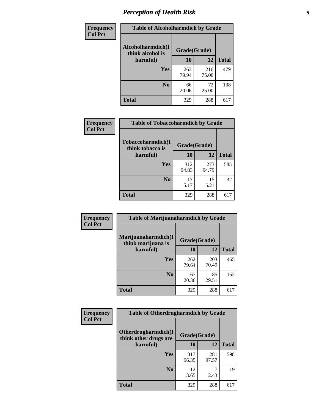# *Perception of Health Risk* **5**

| Frequency      | <b>Table of Alcoholharmdich by Grade</b> |              |              |              |  |
|----------------|------------------------------------------|--------------|--------------|--------------|--|
| <b>Col Pct</b> | Alcoholharmdich(I<br>think alcohol is    | Grade(Grade) |              |              |  |
|                | harmful)                                 | 10           | 12           | <b>Total</b> |  |
|                | <b>Yes</b>                               | 263<br>79.94 | 216<br>75.00 | 479          |  |
|                | N <sub>0</sub>                           | 66<br>20.06  | 72<br>25.00  | 138          |  |
|                | <b>Total</b>                             | 329          | 288          | 617          |  |

| Frequency      | <b>Table of Tobaccoharmdich by Grade</b> |              |              |              |  |
|----------------|------------------------------------------|--------------|--------------|--------------|--|
| <b>Col Pct</b> | Tobaccoharmdich(I<br>think tobacco is    | Grade(Grade) |              |              |  |
|                | harmful)                                 | 10           | 12           | <b>Total</b> |  |
|                | <b>Yes</b>                               | 312<br>94.83 | 273<br>94.79 | 585          |  |
|                | N <sub>0</sub>                           | 17<br>5.17   | 15<br>5.21   | 32           |  |
|                | <b>Total</b>                             | 329          | 288          | 617          |  |

| <b>Frequency</b> | <b>Table of Marijuanaharmdich by Grade</b> |              |              |              |  |
|------------------|--------------------------------------------|--------------|--------------|--------------|--|
| <b>Col Pct</b>   | Marijuanaharmdich(I<br>think marijuana is  | Grade(Grade) |              |              |  |
|                  | harmful)                                   | 10           | 12           | <b>Total</b> |  |
|                  | <b>Yes</b>                                 | 262<br>79.64 | 203<br>70.49 | 465          |  |
|                  | N <sub>0</sub>                             | 67<br>20.36  | 85<br>29.51  | 152          |  |
|                  | <b>Total</b>                               | 329          | 288          | 617          |  |

| Frequency      | <b>Table of Otherdrugharmdich by Grade</b>   |              |              |              |  |  |  |  |
|----------------|----------------------------------------------|--------------|--------------|--------------|--|--|--|--|
| <b>Col Pct</b> | Otherdrugharmdich(I<br>think other drugs are | Grade(Grade) |              |              |  |  |  |  |
|                | harmful)                                     | 10           | 12           | <b>Total</b> |  |  |  |  |
|                | <b>Yes</b>                                   | 317<br>96.35 | 281<br>97.57 | 598          |  |  |  |  |
|                | N <sub>0</sub>                               | 12<br>3.65   | 2.43         | 19           |  |  |  |  |
|                | <b>Total</b>                                 | 329          | 288          | 617          |  |  |  |  |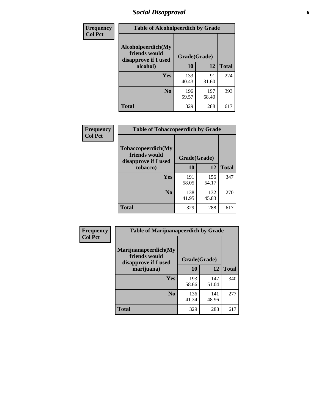# *Social Disapproval* **6**

| Frequency      | <b>Table of Alcoholpeerdich by Grade</b>                    |              |              |              |
|----------------|-------------------------------------------------------------|--------------|--------------|--------------|
| <b>Col Pct</b> | Alcoholpeerdich(My<br>friends would<br>disapprove if I used | Grade(Grade) |              |              |
|                | alcohol)                                                    | 10           | 12           | <b>Total</b> |
|                | <b>Yes</b>                                                  | 133<br>40.43 | 91<br>31.60  | 224          |
|                | N <sub>0</sub>                                              | 196<br>59.57 | 197<br>68.40 | 393          |
|                | <b>Total</b>                                                | 329          | 288          | 617          |

| <b>Frequency</b> |
|------------------|
| <b>Col Pct</b>   |

| <b>Table of Tobaccopeerdich by Grade</b>                    |              |              |              |  |  |  |
|-------------------------------------------------------------|--------------|--------------|--------------|--|--|--|
| Tobaccopeerdich(My<br>friends would<br>disapprove if I used | Grade(Grade) |              |              |  |  |  |
| tobacco)                                                    | 10           | 12           | <b>Total</b> |  |  |  |
| Yes                                                         | 191<br>58.05 | 156<br>54.17 | 347          |  |  |  |
| N <sub>0</sub>                                              | 138<br>41.95 | 132<br>45.83 | 270          |  |  |  |
| <b>Total</b>                                                | 329          | 288          | 617          |  |  |  |

| <b>Frequency</b> | <b>Table of Marijuanapeerdich by Grade</b>                    |              |              |              |  |  |  |  |
|------------------|---------------------------------------------------------------|--------------|--------------|--------------|--|--|--|--|
| <b>Col Pct</b>   | Marijuanapeerdich(My<br>friends would<br>disapprove if I used | Grade(Grade) |              |              |  |  |  |  |
|                  | marijuana)                                                    | 10           | 12           | <b>Total</b> |  |  |  |  |
|                  | <b>Yes</b>                                                    | 193<br>58.66 | 147<br>51.04 | 340          |  |  |  |  |
|                  | N <sub>0</sub>                                                | 136<br>41.34 | 141<br>48.96 | 277          |  |  |  |  |
|                  | <b>Total</b>                                                  | 329          | 288          | 617          |  |  |  |  |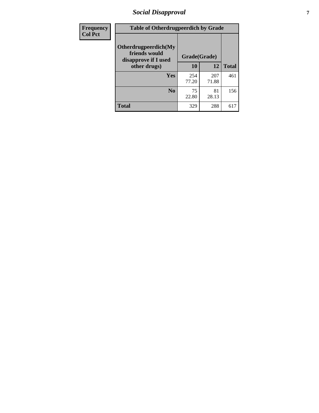# *Social Disapproval* **7**

| Frequency      | <b>Table of Otherdrugpeerdich by Grade</b>                    |              |              |              |  |  |  |  |
|----------------|---------------------------------------------------------------|--------------|--------------|--------------|--|--|--|--|
| <b>Col Pct</b> | Otherdrugpeerdich(My<br>friends would<br>disapprove if I used | Grade(Grade) |              |              |  |  |  |  |
|                | other drugs)                                                  | 10           | 12           | <b>Total</b> |  |  |  |  |
|                | Yes                                                           | 254<br>77.20 | 207<br>71.88 | 461          |  |  |  |  |
|                | N <sub>0</sub>                                                | 75<br>22.80  | 81<br>28.13  | 156          |  |  |  |  |
|                | <b>Total</b>                                                  | 329          | 288          | 617          |  |  |  |  |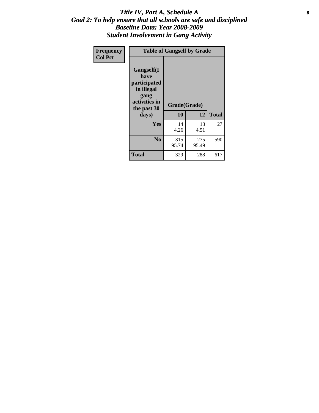#### Title IV, Part A, Schedule A **8** *Goal 2: To help ensure that all schools are safe and disciplined Baseline Data: Year 2008-2009 Student Involvement in Gang Activity*

| Frequency      | <b>Table of Gangself by Grade</b>                                                                         |                    |              |              |
|----------------|-----------------------------------------------------------------------------------------------------------|--------------------|--------------|--------------|
| <b>Col Pct</b> | <b>Gangself</b> (I<br>have<br>participated<br>in illegal<br>gang<br>activities in<br>the past 30<br>days) | Grade(Grade)<br>10 | 12           | <b>Total</b> |
|                | Yes                                                                                                       | 14<br>4.26         | 13<br>4.51   | 27           |
|                | N <sub>0</sub>                                                                                            | 315<br>95.74       | 275<br>95.49 | 590          |
|                | <b>Total</b>                                                                                              | 329                | 288          | 617          |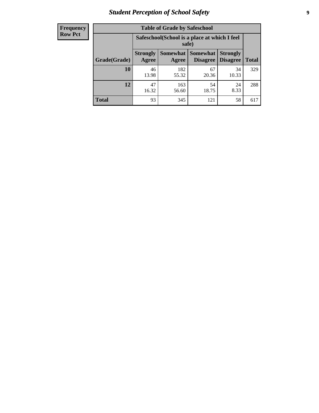# *Student Perception of School Safety* **9**

| <b>Frequency</b><br>Row Pct |
|-----------------------------|
|                             |

| <b>Table of Grade by Safeschool</b> |                                                        |                          |                                    |                                    |              |  |  |
|-------------------------------------|--------------------------------------------------------|--------------------------|------------------------------------|------------------------------------|--------------|--|--|
|                                     | Safeschool (School is a place at which I feel<br>safe) |                          |                                    |                                    |              |  |  |
| Grade(Grade)                        | <b>Strongly</b><br>Agree                               | <b>Somewhat</b><br>Agree | <b>Somewhat</b><br><b>Disagree</b> | <b>Strongly</b><br><b>Disagree</b> | <b>Total</b> |  |  |
| <b>10</b>                           | 46<br>13.98                                            | 182<br>55.32             | 67<br>20.36                        | 34<br>10.33                        | 329          |  |  |
| 12                                  | 47<br>16.32                                            | 163<br>56.60             | 54<br>18.75                        | 24<br>8.33                         | 288          |  |  |
| <b>Total</b>                        | 93                                                     | 345                      | 121                                | 58                                 | 617          |  |  |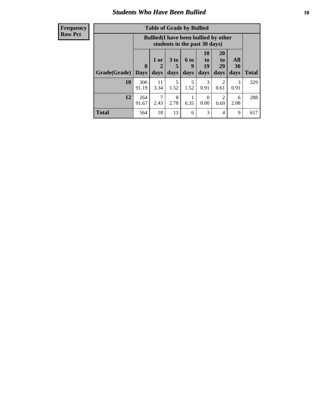#### *Students Who Have Been Bullied* **10**

| <b>Frequency</b> |
|------------------|
| Row Pct          |

| <b>Table of Grade by Bullied</b> |                            |                                                                               |                              |                   |                               |                               |                          |              |
|----------------------------------|----------------------------|-------------------------------------------------------------------------------|------------------------------|-------------------|-------------------------------|-------------------------------|--------------------------|--------------|
|                                  |                            | <b>Bullied</b> (I have been bullied by other<br>students in the past 30 days) |                              |                   |                               |                               |                          |              |
| Grade(Grade)                     | $\mathbf 0$<br><b>Days</b> | 1 or<br>2<br>days                                                             | 3 <sub>to</sub><br>5<br>days | 6 to<br>9<br>days | <b>10</b><br>to<br>19<br>days | <b>20</b><br>to<br>29<br>days | <b>All</b><br>30<br>days | <b>Total</b> |
| 10                               | 300<br>91.19               | 11<br>3.34                                                                    | 5<br>1.52                    | 5<br>1.52         | 3<br>0.91                     | 2<br>0.61                     | 3<br>0.91                | 329          |
| 12                               | 264<br>91.67               | 7<br>2.43                                                                     | 8<br>2.78                    | 0.35              | $\theta$<br>0.00              | $\overline{2}$<br>0.69        | 6<br>2.08                | 288          |
| <b>Total</b>                     | 564                        | 18                                                                            | 13                           | 6                 | 3                             | 4                             | 9                        | 617          |

 $\blacksquare$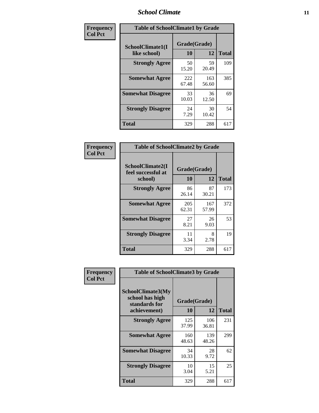### *School Climate* **11**

| <b>Frequency</b> | <b>Table of SchoolClimate1 by Grade</b> |                    |              |              |  |  |
|------------------|-----------------------------------------|--------------------|--------------|--------------|--|--|
| <b>Col Pct</b>   | SchoolClimate1(I<br>like school)        | Grade(Grade)<br>10 | 12           | <b>Total</b> |  |  |
|                  | <b>Strongly Agree</b>                   | 50<br>15.20        | 59<br>20.49  | 109          |  |  |
|                  | <b>Somewhat Agree</b>                   | 222<br>67.48       | 163<br>56.60 | 385          |  |  |
|                  | <b>Somewhat Disagree</b>                | 33<br>10.03        | 36<br>12.50  | 69           |  |  |
|                  | <b>Strongly Disagree</b>                | 24<br>7.29         | 30<br>10.42  | 54           |  |  |
|                  | <b>Total</b>                            | 329                | 288          | 617          |  |  |

| Frequency<br>Col Pct |
|----------------------|

| <b>Table of SchoolClimate2 by Grade</b>           |                    |              |              |  |  |
|---------------------------------------------------|--------------------|--------------|--------------|--|--|
| SchoolClimate2(I<br>feel successful at<br>school) | Grade(Grade)<br>10 | 12           | <b>Total</b> |  |  |
| <b>Strongly Agree</b>                             | 86<br>26.14        | 87<br>30.21  | 173          |  |  |
| <b>Somewhat Agree</b>                             | 205<br>62.31       | 167<br>57.99 | 372          |  |  |
| <b>Somewhat Disagree</b>                          | 27<br>8.21         | 26<br>9.03   | 53           |  |  |
| <b>Strongly Disagree</b>                          | 11<br>3.34         | 8<br>2.78    | 19           |  |  |
| <b>Total</b>                                      | 329                | 288          | 617          |  |  |

| Frequency      | <b>Table of SchoolClimate3 by Grade</b>                               |                    |              |              |  |
|----------------|-----------------------------------------------------------------------|--------------------|--------------|--------------|--|
| <b>Col Pct</b> | SchoolClimate3(My<br>school has high<br>standards for<br>achievement) | Grade(Grade)<br>10 | 12           | <b>Total</b> |  |
|                | <b>Strongly Agree</b>                                                 | 125<br>37.99       | 106<br>36.81 | 231          |  |
|                | <b>Somewhat Agree</b>                                                 | 160<br>48.63       | 139<br>48.26 | 299          |  |
|                | <b>Somewhat Disagree</b>                                              | 34<br>10.33        | 28<br>9.72   | 62           |  |
|                | <b>Strongly Disagree</b>                                              | 10<br>3.04         | 15<br>5.21   | 25           |  |
|                | Total                                                                 | 329                | 288          | 617          |  |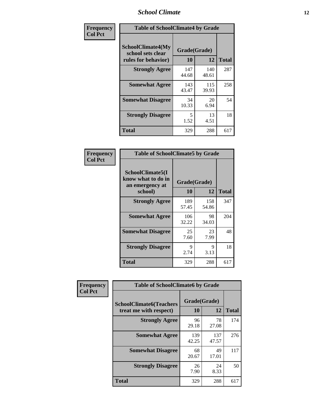### *School Climate* **12**

| Frequency      | <b>Table of SchoolClimate4 by Grade</b>                       |                    |              |              |  |
|----------------|---------------------------------------------------------------|--------------------|--------------|--------------|--|
| <b>Col Pct</b> | SchoolClimate4(My<br>school sets clear<br>rules for behavior) | Grade(Grade)<br>10 | 12           | <b>Total</b> |  |
|                | <b>Strongly Agree</b>                                         | 147<br>44.68       | 140<br>48.61 | 287          |  |
|                | <b>Somewhat Agree</b>                                         | 143<br>43.47       | 115<br>39.93 | 258          |  |
|                | <b>Somewhat Disagree</b>                                      | 34<br>10.33        | 20<br>6.94   | 54           |  |
|                | <b>Strongly Disagree</b>                                      | 5<br>1.52          | 13<br>4.51   | 18           |  |
|                | <b>Total</b>                                                  | 329                | 288          | 617          |  |

| <b>Table of SchoolClimate5 by Grade</b>                              |                    |              |              |  |
|----------------------------------------------------------------------|--------------------|--------------|--------------|--|
| SchoolClimate5(I<br>know what to do in<br>an emergency at<br>school) | Grade(Grade)<br>10 | 12           | <b>Total</b> |  |
| <b>Strongly Agree</b>                                                | 189<br>57.45       | 158<br>54.86 | 347          |  |
| <b>Somewhat Agree</b>                                                | 106<br>32.22       | 98<br>34.03  | 204          |  |
| <b>Somewhat Disagree</b>                                             | 25<br>7.60         | 23<br>7.99   | 48           |  |
| <b>Strongly Disagree</b>                                             | 9<br>2.74          | 9<br>3.13    | 18           |  |
| Total                                                                | 329                | 288          | 617          |  |

| Frequency      | <b>Table of SchoolClimate6 by Grade</b>                  |                    |              |              |  |
|----------------|----------------------------------------------------------|--------------------|--------------|--------------|--|
| <b>Col Pct</b> | <b>SchoolClimate6(Teachers</b><br>treat me with respect) | Grade(Grade)<br>10 | 12           | <b>Total</b> |  |
|                | <b>Strongly Agree</b>                                    | 96<br>29.18        | 78<br>27.08  | 174          |  |
|                | <b>Somewhat Agree</b>                                    | 139<br>42.25       | 137<br>47.57 | 276          |  |
|                | <b>Somewhat Disagree</b>                                 | 68<br>20.67        | 49<br>17.01  | 117          |  |
|                | <b>Strongly Disagree</b>                                 | 26<br>7.90         | 24<br>8.33   | 50           |  |
|                | <b>Total</b>                                             | 329                | 288          | 617          |  |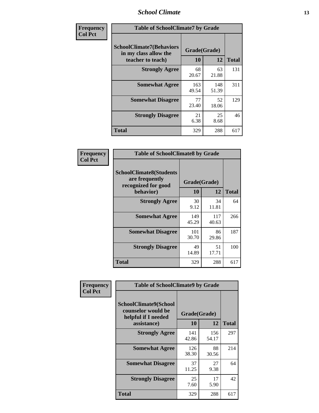### *School Climate* **13**

| Frequency      | <b>Table of SchoolClimate7 by Grade</b>                                       |                           |              |              |  |
|----------------|-------------------------------------------------------------------------------|---------------------------|--------------|--------------|--|
| <b>Col Pct</b> | <b>SchoolClimate7(Behaviors</b><br>in my class allow the<br>teacher to teach) | Grade(Grade)<br><b>10</b> | 12           | <b>Total</b> |  |
|                | <b>Strongly Agree</b>                                                         | 68<br>20.67               | 63<br>21.88  | 131          |  |
|                | <b>Somewhat Agree</b>                                                         | 163<br>49.54              | 148<br>51.39 | 311          |  |
|                | <b>Somewhat Disagree</b>                                                      | 77<br>23.40               | 52<br>18.06  | 129          |  |
|                | <b>Strongly Disagree</b>                                                      | 21<br>6.38                | 25<br>8.68   | 46           |  |
|                | <b>Total</b>                                                                  | 329                       | 288          | 617          |  |

| Frequency      | <b>Table of SchoolClimate8 by Grade</b>                                              |                    |              |              |  |
|----------------|--------------------------------------------------------------------------------------|--------------------|--------------|--------------|--|
| <b>Col Pct</b> | <b>SchoolClimate8(Students</b><br>are frequently<br>recognized for good<br>behavior) | Grade(Grade)<br>10 | 12           | <b>Total</b> |  |
|                | <b>Strongly Agree</b>                                                                | 30<br>9.12         | 34<br>11.81  | 64           |  |
|                | <b>Somewhat Agree</b>                                                                | 149<br>45.29       | 117<br>40.63 | 266          |  |
|                | <b>Somewhat Disagree</b>                                                             | 101<br>30.70       | 86<br>29.86  | 187          |  |
|                | <b>Strongly Disagree</b>                                                             | 49<br>14.89        | 51<br>17.71  | 100          |  |
|                | <b>Total</b>                                                                         | 329                | 288          | 617          |  |

| Frequency      | <b>Table of SchoolClimate9 by Grade</b>                                           |                    |              |              |  |
|----------------|-----------------------------------------------------------------------------------|--------------------|--------------|--------------|--|
| <b>Col Pct</b> | SchoolClimate9(School<br>counselor would be<br>helpful if I needed<br>assistance) | Grade(Grade)<br>10 | 12           | <b>Total</b> |  |
|                | <b>Strongly Agree</b>                                                             | 141<br>42.86       | 156<br>54.17 | 297          |  |
|                | <b>Somewhat Agree</b>                                                             | 126<br>38.30       | 88<br>30.56  | 214          |  |
|                | <b>Somewhat Disagree</b>                                                          | 37<br>11.25        | 27<br>9.38   | 64           |  |
|                | <b>Strongly Disagree</b>                                                          | 25<br>7.60         | 17<br>5.90   | 42           |  |
|                | Total                                                                             | 329                | 288          | 617          |  |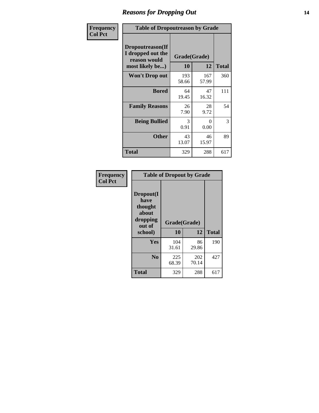### *Reasons for Dropping Out* **14**

| Frequency      | <b>Table of Dropoutreason by Grade</b>                                   |                    |              |              |  |
|----------------|--------------------------------------------------------------------------|--------------------|--------------|--------------|--|
| <b>Col Pct</b> | Dropoutreason(If<br>I dropped out the<br>reason would<br>most likely be) | Grade(Grade)<br>10 | 12           | <b>Total</b> |  |
|                | Won't Drop out                                                           | 193<br>58.66       | 167<br>57.99 | 360          |  |
|                | <b>Bored</b>                                                             | 64<br>19.45        | 47<br>16.32  | 111          |  |
|                | <b>Family Reasons</b>                                                    | 26<br>7.90         | 28<br>9.72   | 54           |  |
|                | <b>Being Bullied</b>                                                     | 3<br>0.91          | 0<br>0.00    | 3            |  |
|                | <b>Other</b>                                                             | 43<br>13.07        | 46<br>15.97  | 89           |  |
|                | <b>Total</b>                                                             | 329                | 288          | 617          |  |

| Frequency      | <b>Table of Dropout by Grade</b>                                       |                    |              |              |  |
|----------------|------------------------------------------------------------------------|--------------------|--------------|--------------|--|
| <b>Col Pct</b> | Dropout(I<br>have<br>thought<br>about<br>dropping<br>out of<br>school) | Grade(Grade)<br>10 | 12           | <b>Total</b> |  |
|                | Yes                                                                    | 104<br>31.61       | 86<br>29.86  | 190          |  |
|                | N <sub>0</sub>                                                         | 225<br>68.39       | 202<br>70.14 | 427          |  |
|                | <b>Total</b>                                                           | 329                | 288          | 617          |  |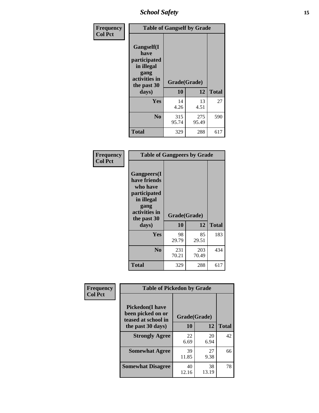*School Safety* **15**

| Frequency      | <b>Table of Gangself by Grade</b>                                                                 |                    |              |              |
|----------------|---------------------------------------------------------------------------------------------------|--------------------|--------------|--------------|
| <b>Col Pct</b> | Gangself(I<br>have<br>participated<br>in illegal<br>gang<br>activities in<br>the past 30<br>days) | Grade(Grade)<br>10 | 12           | <b>Total</b> |
|                | Yes                                                                                               | 14                 | 13           | 27           |
|                |                                                                                                   | 4.26               | 4.51         |              |
|                | N <sub>o</sub>                                                                                    | 315<br>95.74       | 275<br>95.49 | 590          |
|                | <b>Total</b>                                                                                      | 329                | 288          | 617          |

| Frequency<br><b>Col Pct</b> |                                                                                                                                | <b>Table of Gangpeers by Grade</b> |              |              |  |  |  |  |  |  |  |
|-----------------------------|--------------------------------------------------------------------------------------------------------------------------------|------------------------------------|--------------|--------------|--|--|--|--|--|--|--|
|                             | <b>Gangpeers</b> (I<br>have friends<br>who have<br>participated<br>in illegal<br>gang<br>activities in<br>the past 30<br>days) | Grade(Grade)<br>10                 | 12           | <b>Total</b> |  |  |  |  |  |  |  |
|                             | Yes                                                                                                                            | 98<br>29.79                        | 85<br>29.51  | 183          |  |  |  |  |  |  |  |
|                             | N <sub>0</sub>                                                                                                                 | 231<br>70.21                       | 203<br>70.49 | 434          |  |  |  |  |  |  |  |
|                             | Total                                                                                                                          | 329                                | 288          | 617          |  |  |  |  |  |  |  |

| Frequency      | <b>Table of Pickedon by Grade</b>                                   |              |             |              |
|----------------|---------------------------------------------------------------------|--------------|-------------|--------------|
| <b>Col Pct</b> | <b>Pickedon</b> (I have<br>been picked on or<br>teased at school in | Grade(Grade) |             |              |
|                | the past 30 days)                                                   | 10           | 12          | <b>Total</b> |
|                | <b>Strongly Agree</b>                                               | 22<br>6.69   | 20<br>6.94  | 42           |
|                | <b>Somewhat Agree</b>                                               | 39<br>11.85  | 27<br>9.38  | 66           |
|                | <b>Somewhat Disagree</b>                                            | 40<br>12.16  | 38<br>13.19 | 78           |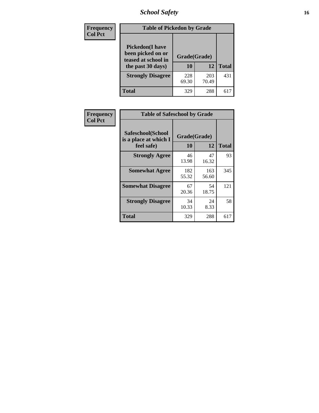# *School Safety* **16**

| <b>Frequency</b> | <b>Table of Pickedon by Grade</b>                                                        |                    |              |              |
|------------------|------------------------------------------------------------------------------------------|--------------------|--------------|--------------|
| <b>Col Pct</b>   | <b>Pickedon</b> (I have<br>been picked on or<br>teased at school in<br>the past 30 days) | Grade(Grade)<br>10 | 12           | <b>Total</b> |
|                  | <b>Strongly Disagree</b>                                                                 | 228<br>69.30       | 203<br>70.49 | 431          |
|                  | Total                                                                                    | 329                | 288          | 61'          |

| Frequency      | <b>Table of Safeschool by Grade</b>                      |                    |              |              |
|----------------|----------------------------------------------------------|--------------------|--------------|--------------|
| <b>Col Pct</b> | Safeschool(School<br>is a place at which I<br>feel safe) | Grade(Grade)<br>10 | 12           | <b>Total</b> |
|                | <b>Strongly Agree</b>                                    | 46<br>13.98        | 47<br>16.32  | 93           |
|                | <b>Somewhat Agree</b>                                    | 182<br>55.32       | 163<br>56.60 | 345          |
|                | <b>Somewhat Disagree</b>                                 | 67<br>20.36        | 54<br>18.75  | 121          |
|                | <b>Strongly Disagree</b>                                 | 34<br>10.33        | 24<br>8.33   | 58           |
|                | Total                                                    | 329                | 288          | 617          |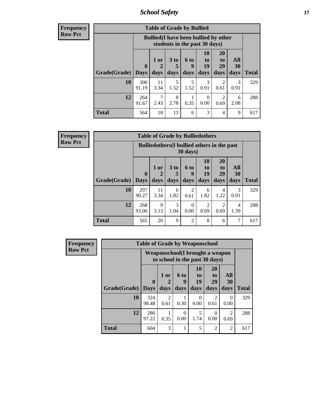*School Safety* **17**

**Frequency Row Pct**

| <b>Table of Grade by Bullied</b> |                       |                                                                               |                              |                   |                        |                               |                          |       |  |  |
|----------------------------------|-----------------------|-------------------------------------------------------------------------------|------------------------------|-------------------|------------------------|-------------------------------|--------------------------|-------|--|--|
|                                  |                       | <b>Bullied</b> (I have been bullied by other<br>students in the past 30 days) |                              |                   |                        |                               |                          |       |  |  |
| <b>Grade(Grade)</b>              | $\mathbf 0$<br>  Days | 1 or<br>2<br>days                                                             | 3 <sub>to</sub><br>5<br>days | 6 to<br>q<br>days | 10<br>to<br>19<br>days | <b>20</b><br>to<br>29<br>days | All<br><b>30</b><br>days | Total |  |  |
| 10                               | 300<br>91.19          | 11<br>3.34                                                                    | 5<br>1.52                    | 5<br>1.52         | 3<br>0.91              | 2<br>0.61                     | 3<br>0.91                | 329   |  |  |
| 12                               | 264<br>91.67          | 2.43                                                                          | 8<br>2.78                    | 0.35              | $\theta$<br>0.00       | 2<br>0.69                     | 6<br>2.08                | 288   |  |  |
| <b>Total</b>                     | 564                   | 18                                                                            | 13                           | 6                 | 3                      | 4                             | 9                        | 617   |  |  |

| Frequency      |                     |              |              |                         |                       | <b>Table of Grade by Bulliedothers</b>      |                               |                       |              |
|----------------|---------------------|--------------|--------------|-------------------------|-----------------------|---------------------------------------------|-------------------------------|-----------------------|--------------|
| <b>Row Pct</b> |                     |              |              |                         | 30 days)              | Bulliedothers (I bullied others in the past |                               |                       |              |
|                | Grade(Grade)   Days | $\mathbf{0}$ | 1 or<br>days | 3 <sub>to</sub><br>days | 6 to<br>q<br>days     | <b>10</b><br>to<br>19<br>days               | <b>20</b><br>to<br>29<br>days | All<br>30<br>days     | <b>Total</b> |
|                | 10                  | 297<br>90.27 | 11<br>3.34   | 6<br>1.82               | $\mathcal{D}$<br>0.61 | 6<br>1.82                                   | 4<br>1.22                     | $\mathcal{R}$<br>0.91 | 329          |
|                | 12                  | 268<br>93.06 | 9<br>3.13    | 3<br>1.04               | 0<br>0.00             | $\mathcal{D}_{\mathcal{A}}$<br>0.69         | $\mathfrak{D}$<br>0.69        | 4<br>1.39             | 288          |
|                | <b>Total</b>        | 565          | 20           | 9                       | $\overline{c}$        | 8                                           | 6                             | 7                     | 617          |

| <b>Frequency</b> | <b>Table of Grade by Weaponschool</b> |                             |                                                                           |                   |                               |                                     |                       |              |
|------------------|---------------------------------------|-----------------------------|---------------------------------------------------------------------------|-------------------|-------------------------------|-------------------------------------|-----------------------|--------------|
| <b>Row Pct</b>   |                                       |                             | <b>Weaponschool</b> (I brought a weapon<br>to school in the past 30 days) |                   |                               |                                     |                       |              |
|                  | Grade(Grade)                          | $\mathbf{0}$<br><b>Days</b> | 1 or<br>days                                                              | 6 to<br>9<br>days | <b>10</b><br>to<br>19<br>days | 20<br>t <sub>0</sub><br>29<br>days  | All<br>30<br>days     | <b>Total</b> |
|                  | 10                                    | 324<br>98.48                | $\mathfrak{D}$<br>0.61                                                    | 0.30              | 0<br>0.00                     | $\mathcal{D}_{\mathcal{L}}$<br>0.61 | $\Omega$<br>0.00      | 329          |
|                  | 12                                    | 280<br>97.22                | 0.35                                                                      | ∩<br>0.00         | 5<br>1.74                     | 0<br>0.00                           | $\mathcal{D}$<br>0.69 | 288          |
|                  | <b>Total</b>                          | 604                         | $\mathcal{R}$                                                             |                   | 5                             | $\overline{2}$                      | $\overline{2}$        | 617          |

ł,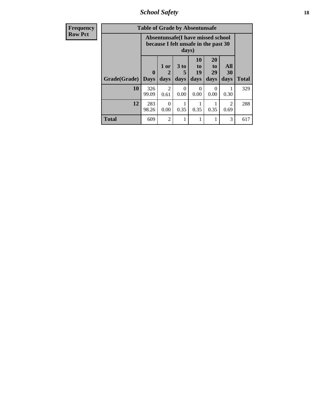*School Safety* **18**

| <b>Frequency</b> | <b>Table of Grade by Absentunsafe</b> |                            |                                                                           |                   |                        |                                           |                        |              |  |
|------------------|---------------------------------------|----------------------------|---------------------------------------------------------------------------|-------------------|------------------------|-------------------------------------------|------------------------|--------------|--|
| <b>Row Pct</b>   |                                       |                            | Absentunsafe(I have missed school<br>because I felt unsafe in the past 30 | days)             |                        |                                           |                        |              |  |
|                  | Grade(Grade)                          | $\mathbf 0$<br><b>Days</b> | 1 or<br>2<br>days                                                         | 3 to<br>5<br>days | 10<br>to<br>19<br>days | <b>20</b><br>t <sub>0</sub><br>29<br>days | All<br>30<br>days      | <b>Total</b> |  |
|                  | 10                                    | 326<br>99.09               | $\mathfrak{D}$<br>0.61                                                    | $\Omega$<br>0.00  | $\Omega$<br>0.00       | $\Omega$<br>0.00                          | 0.30                   | 329          |  |
|                  | 12                                    | 283<br>98.26               | $\Omega$<br>0.00                                                          | 0.35              | 0.35                   | 0.35                                      | $\mathfrak{D}$<br>0.69 | 288          |  |
|                  | <b>Total</b>                          | 609                        | $\mathfrak{D}$                                                            |                   |                        |                                           | 3                      | 617          |  |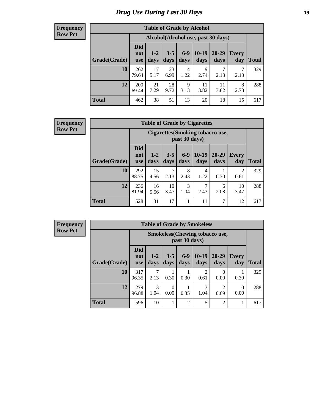# *Drug Use During Last 30 Days* **19**

#### **Frequency Row Pct**

| <b>Table of Grade by Alcohol</b> |                                 |                                     |                 |               |                 |                   |                     |              |  |  |  |
|----------------------------------|---------------------------------|-------------------------------------|-----------------|---------------|-----------------|-------------------|---------------------|--------------|--|--|--|
|                                  |                                 | Alcohol (Alcohol use, past 30 days) |                 |               |                 |                   |                     |              |  |  |  |
| Grade(Grade)                     | <b>Did</b><br>not<br><b>use</b> | $1 - 2$<br>days                     | $3 - 5$<br>days | $6-9$<br>days | $10-19$<br>days | $20 - 29$<br>days | <b>Every</b><br>day | <b>Total</b> |  |  |  |
| 10                               | 262<br>79.64                    | 17<br>5.17                          | 23<br>6.99      | 4<br>1.22     | 9<br>2.74       | ℸ<br>2.13         | 7<br>2.13           | 329          |  |  |  |
| 12                               | 200<br>69.44                    | 21<br>7.29                          | 28<br>9.72      | 9<br>3.13     | 11<br>3.82      | 11<br>3.82        | 8<br>2.78           | 288          |  |  |  |
| <b>Total</b>                     | 462                             | 38                                  | 51              | 13            | 20              | 18                | 15                  | 617          |  |  |  |

#### **Frequency Row Pct**

| <b>Table of Grade by Cigarettes</b> |                                 |                                                          |                 |               |                 |                   |                     |              |  |  |  |
|-------------------------------------|---------------------------------|----------------------------------------------------------|-----------------|---------------|-----------------|-------------------|---------------------|--------------|--|--|--|
|                                     |                                 | <b>Cigarettes</b> (Smoking tobacco use,<br>past 30 days) |                 |               |                 |                   |                     |              |  |  |  |
| Grade(Grade)                        | <b>Did</b><br>not<br><b>use</b> | $1 - 2$<br>days                                          | $3 - 5$<br>days | $6-9$<br>days | $10-19$<br>days | $20 - 29$<br>days | <b>Every</b><br>day | <b>Total</b> |  |  |  |
| 10                                  | 292<br>88.75                    | 15<br>4.56                                               | 2.13            | 8<br>2.43     | 4<br>1.22       | 0.30              | 2<br>0.61           | 329          |  |  |  |
| 12                                  | 236<br>81.94                    | 16<br>5.56                                               | 10<br>3.47      | 3<br>1.04     | 7<br>2.43       | 6<br>2.08         | 10<br>3.47          | 288          |  |  |  |
| <b>Total</b>                        | 528                             | 31                                                       | 17              | 11            | 11              | 7                 | 12                  | 617          |  |  |  |

**Frequency Row Pct**

|              |                                 |                                                        |                 |                 | <b>Table of Grade by Smokeless</b> |                       |                     |              |  |
|--------------|---------------------------------|--------------------------------------------------------|-----------------|-----------------|------------------------------------|-----------------------|---------------------|--------------|--|
|              |                                 | <b>Smokeless</b> (Chewing tobaccouse,<br>past 30 days) |                 |                 |                                    |                       |                     |              |  |
| Grade(Grade) | <b>Did</b><br>not<br><b>use</b> | $1 - 2$<br>days                                        | $3 - 5$<br>days | $6 - 9$<br>days | $10-19$<br>days                    | $20 - 29$<br>days     | <b>Every</b><br>day | <b>Total</b> |  |
| 10           | 317<br>96.35                    | 7<br>2.13                                              | 0.30            | 0.30            | 2<br>0.61                          | $\mathcal{O}$<br>0.00 | 0.30                | 329          |  |
| 12           | 279<br>96.88                    | 3<br>1.04                                              | 0<br>0.00       | 0.35            | 3<br>1.04                          | 0.69                  | 0<br>0.00           | 288          |  |
| <b>Total</b> | 596                             | 10                                                     | ı               | $\overline{2}$  | 5                                  | $\overline{2}$        | 1                   | 617          |  |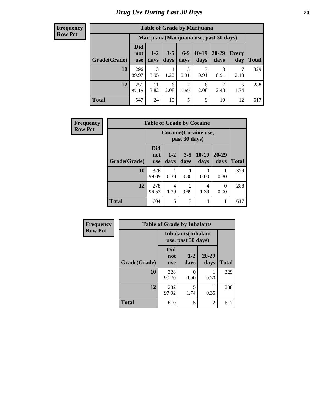#### **Frequency Row Pct**

| <b>Table of Grade by Marijuana</b> |                                 |                                         |                 |                        |                 |               |              |       |  |  |  |
|------------------------------------|---------------------------------|-----------------------------------------|-----------------|------------------------|-----------------|---------------|--------------|-------|--|--|--|
|                                    |                                 | Marijuana (Marijuana use, past 30 days) |                 |                        |                 |               |              |       |  |  |  |
| Grade(Grade)                       | <b>Did</b><br>not<br><b>use</b> | $1 - 2$<br>days                         | $3 - 5$<br>days | $6-9$<br>days          | $10-19$<br>days | 20-29<br>days | Every<br>day | Total |  |  |  |
| 10                                 | 296<br>89.97                    | 13<br>3.95                              | 4<br>1.22       | 3<br>0.91              | 3<br>0.91       | 3<br>0.91     | 2.13         | 329   |  |  |  |
| 12                                 | 251<br>87.15                    | 11<br>3.82                              | 6<br>2.08       | $\overline{c}$<br>0.69 | 6<br>2.08       | 2.43          | 5<br>1.74    | 288   |  |  |  |
| <b>Total</b>                       | 547                             | 24                                      | 10              | 5                      | 9               | 10            | 12           | 617   |  |  |  |

| Frequency      |              | <b>Table of Grade by Cocaine</b>       |                 |                        |                 |                   |              |  |  |
|----------------|--------------|----------------------------------------|-----------------|------------------------|-----------------|-------------------|--------------|--|--|
| <b>Row Pct</b> |              | Cocaine (Cocaine use,<br>past 30 days) |                 |                        |                 |                   |              |  |  |
|                | Grade(Grade) | Did<br>not<br><b>use</b>               | $1 - 2$<br>days | $3 - 5$<br>days        | $10-19$<br>days | $20 - 29$<br>days | <b>Total</b> |  |  |
|                | 10           | 326<br>99.09                           | 0.30            | 0.30                   | 0<br>0.00       | 0.30              | 329          |  |  |
|                | 12           | 278<br>96.53                           | 4<br>1.39       | $\mathfrak{D}$<br>0.69 | 4<br>1.39       | 0<br>0.00         | 288          |  |  |
|                | <b>Total</b> | 604                                    | 5               | 3                      | 4               |                   | 617          |  |  |

| Frequency      | <b>Table of Grade by Inhalants</b> |                                 |                                                  |                   |              |  |  |
|----------------|------------------------------------|---------------------------------|--------------------------------------------------|-------------------|--------------|--|--|
| <b>Row Pct</b> |                                    |                                 | <b>Inhalants</b> (Inhalant<br>use, past 30 days) |                   |              |  |  |
|                | Grade(Grade)                       | <b>Did</b><br>not<br><b>use</b> | $1 - 2$<br>days                                  | $20 - 29$<br>days | <b>Total</b> |  |  |
|                | 10                                 | 328<br>99.70                    | 0<br>0.00                                        | 0.30              | 329          |  |  |
|                | 12                                 | 282<br>97.92                    | 5<br>1.74                                        | 0.35              | 288          |  |  |
|                | <b>Total</b>                       | 610                             | 5                                                | 2                 | 617          |  |  |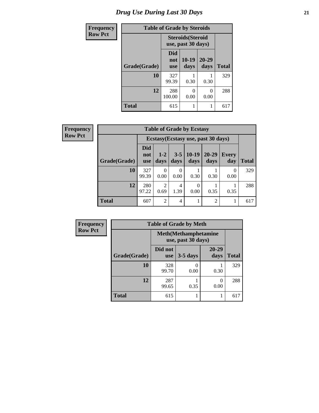# *Drug Use During Last 30 Days* **21**

| <b>Frequency</b> | <b>Table of Grade by Steroids</b> |                          |                                                |                   |              |  |
|------------------|-----------------------------------|--------------------------|------------------------------------------------|-------------------|--------------|--|
| <b>Row Pct</b>   |                                   |                          | <b>Steroids</b> (Steroid<br>use, past 30 days) |                   |              |  |
|                  | Grade(Grade)                      | Did<br>not<br><b>use</b> | 10-19<br>days                                  | $20 - 29$<br>days | <b>Total</b> |  |
|                  | 10                                | 327<br>99.39             | 0.30                                           | 0.30              | 329          |  |
|                  | 12                                | 288<br>100.00            | O<br>0.00                                      | $\theta$<br>0.00  | 288          |  |
|                  | Total                             | 615                      | 1                                              |                   | 617          |  |

| Frequency      | <b>Table of Grade by Ecstasy</b> |                                 |                        |                          |                 |                                     |                  |              |
|----------------|----------------------------------|---------------------------------|------------------------|--------------------------|-----------------|-------------------------------------|------------------|--------------|
| <b>Row Pct</b> |                                  |                                 |                        |                          |                 | Ecstasy (Ecstasy use, past 30 days) |                  |              |
|                | Grade(Grade)                     | <b>Did</b><br>not<br><b>use</b> | $1 - 2$<br>days        | $3 - 5$<br>days          | $10-19$<br>days | $20 - 29$<br>days                   | Every<br>day     | <b>Total</b> |
|                | 10                               | 327<br>99.39                    | 0<br>0.00              | $\left( \right)$<br>0.00 | 0.30            | 0.30                                | $\theta$<br>0.00 | 329          |
|                | 12                               | 280<br>97.22                    | $\overline{c}$<br>0.69 | 4<br>1.39                | 0<br>0.00       | 0.35                                | 0.35             | 288          |
|                | <b>Total</b>                     | 607                             | $\overline{2}$         | $\overline{4}$           |                 | $\overline{2}$                      |                  | 617          |

| Frequency      | <b>Table of Grade by Meth</b> |                                                    |            |                   |              |  |
|----------------|-------------------------------|----------------------------------------------------|------------|-------------------|--------------|--|
| <b>Row Pct</b> |                               | <b>Meth</b> (Methamphetamine<br>use, past 30 days) |            |                   |              |  |
|                | Grade(Grade)                  | Did not<br><b>use</b>                              | $3-5$ days | $20 - 29$<br>days | <b>Total</b> |  |
|                | 10                            | 328<br>99.70                                       | 0.00       | 0.30              | 329          |  |
|                | 12                            | 287<br>99.65                                       | 0.35       | 0<br>0.00         | 288          |  |
|                | <b>Total</b>                  | 615                                                |            |                   | 617          |  |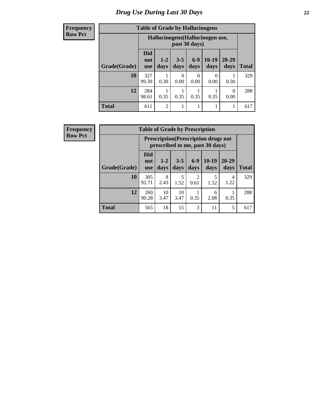#### **Frequency Row Pct**

| <b>Table of Grade by Hallucinogens</b> |                                 |                                                   |                 |               |                 |                   |              |  |  |
|----------------------------------------|---------------------------------|---------------------------------------------------|-----------------|---------------|-----------------|-------------------|--------------|--|--|
|                                        |                                 | Hallucinogens (Hallucinogen use,<br>past 30 days) |                 |               |                 |                   |              |  |  |
| Grade(Grade)                           | <b>Did</b><br>not<br><b>use</b> | $1 - 2$<br>days                                   | $3 - 5$<br>days | $6-9$<br>days | $10-19$<br>days | $20 - 29$<br>days | <b>Total</b> |  |  |
| 10                                     | 327<br>99.39                    | 0.30                                              | 0<br>0.00       | 0<br>0.00     | 0<br>0.00       | 0.30              | 329          |  |  |
| 12                                     | 284<br>98.61                    | 0.35                                              | 0.35            | 0.35          | 0.35            | $\theta$<br>0.00  | 288          |  |  |
| <b>Total</b>                           | 611                             | $\overline{2}$                                    | 1               |               | 1               |                   | 617          |  |  |

| Frequency      | <b>Table of Grade by Prescription</b> |                                 |                                                                                |                 |                        |                 |                   |              |  |
|----------------|---------------------------------------|---------------------------------|--------------------------------------------------------------------------------|-----------------|------------------------|-----------------|-------------------|--------------|--|
| <b>Row Pct</b> |                                       |                                 | <b>Prescription</b> (Prescription drugs not<br>prescribed to me, past 30 days) |                 |                        |                 |                   |              |  |
|                | Grade(Grade)                          | <b>Did</b><br>not<br><b>use</b> | $1 - 2$<br>days                                                                | $3 - 5$<br>days | $6-9$<br>days          | $10-19$<br>days | $20 - 29$<br>days | <b>Total</b> |  |
|                | 10                                    | 305<br>92.71                    | 8<br>2.43                                                                      | 5<br>1.52       | $\overline{2}$<br>0.61 | 5<br>1.52       | 4<br>1.22         | 329          |  |
|                | 12                                    | 260<br>90.28                    | 10<br>3.47                                                                     | 10<br>3.47      | 0.35                   | 6<br>2.08       | 0.35              | 288          |  |
|                | <b>Total</b>                          | 565                             | 18                                                                             | 15              | 3                      | 11              | 5                 | 617          |  |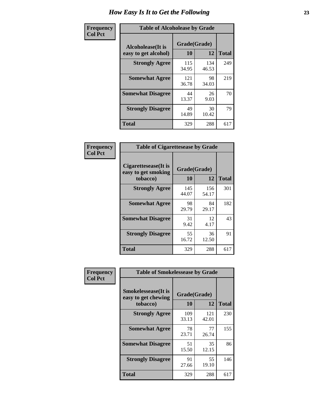| Frequency      | <b>Table of Alcoholease by Grade</b>              |                    |              |              |  |  |  |
|----------------|---------------------------------------------------|--------------------|--------------|--------------|--|--|--|
| <b>Col Pct</b> | <b>Alcoholease</b> (It is<br>easy to get alcohol) | Grade(Grade)<br>10 | 12           | <b>Total</b> |  |  |  |
|                | <b>Strongly Agree</b>                             | 115<br>34.95       | 134<br>46.53 | 249          |  |  |  |
|                | <b>Somewhat Agree</b>                             | 121<br>36.78       | 98<br>34.03  | 219          |  |  |  |
|                | <b>Somewhat Disagree</b>                          | 44<br>13.37        | 26<br>9.03   | 70           |  |  |  |
|                | <b>Strongly Disagree</b>                          | 49<br>14.89        | 30<br>10.42  | 79           |  |  |  |
|                | <b>Total</b>                                      | 329                | 288          | 617          |  |  |  |

| Frequency<br>Col Pct |
|----------------------|

| <b>Table of Cigarettesease by Grade</b>                  |                    |              |              |  |  |  |  |
|----------------------------------------------------------|--------------------|--------------|--------------|--|--|--|--|
| Cigarettesease (It is<br>easy to get smoking<br>tobacco) | Grade(Grade)<br>10 | 12           | <b>Total</b> |  |  |  |  |
| <b>Strongly Agree</b>                                    | 145<br>44.07       | 156<br>54.17 | 301          |  |  |  |  |
| <b>Somewhat Agree</b>                                    | 98<br>29.79        | 84<br>29.17  | 182          |  |  |  |  |
| <b>Somewhat Disagree</b>                                 | 31<br>9.42         | 12<br>4.17   | 43           |  |  |  |  |
| <b>Strongly Disagree</b>                                 | 55<br>16.72        | 36<br>12.50  | 91           |  |  |  |  |
| <b>Total</b>                                             | 329                | 288          | 617          |  |  |  |  |

| Frequency      |                                                                | <b>Table of Smokelessease by Grade</b> |              |              |  |  |
|----------------|----------------------------------------------------------------|----------------------------------------|--------------|--------------|--|--|
| <b>Col Pct</b> | <b>Smokelessease</b> (It is<br>easy to get chewing<br>tobacco) | Grade(Grade)<br>10                     | 12           | <b>Total</b> |  |  |
|                | <b>Strongly Agree</b>                                          | 109<br>33.13                           | 121<br>42.01 | 230          |  |  |
|                | <b>Somewhat Agree</b>                                          | 78<br>23.71                            | 77<br>26.74  | 155          |  |  |
|                | <b>Somewhat Disagree</b>                                       | 51<br>15.50                            | 35<br>12.15  | 86           |  |  |
|                | <b>Strongly Disagree</b>                                       | 91<br>27.66                            | 55<br>19.10  | 146          |  |  |
|                | <b>Total</b>                                                   | 329                                    | 288          | 617          |  |  |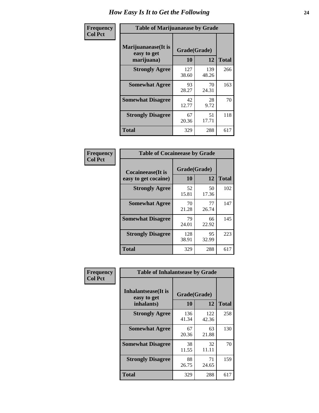| Frequency      | <b>Table of Marijuanaease by Grade</b>           |                    |              |              |  |  |  |
|----------------|--------------------------------------------------|--------------------|--------------|--------------|--|--|--|
| <b>Col Pct</b> | Marijuanaease(It is<br>easy to get<br>marijuana) | Grade(Grade)<br>10 | 12           | <b>Total</b> |  |  |  |
|                | <b>Strongly Agree</b>                            | 127<br>38.60       | 139<br>48.26 | 266          |  |  |  |
|                | <b>Somewhat Agree</b>                            | 93<br>28.27        | 70<br>24.31  | 163          |  |  |  |
|                | <b>Somewhat Disagree</b>                         | 42<br>12.77        | 28<br>9.72   | 70           |  |  |  |
|                | <b>Strongly Disagree</b>                         | 67<br>20.36        | 51<br>17.71  | 118          |  |  |  |
|                | <b>Total</b>                                     | 329                | 288          | 617          |  |  |  |

| <b>Table of Cocaineease by Grade</b>              |                    |             |              |  |  |  |  |  |
|---------------------------------------------------|--------------------|-------------|--------------|--|--|--|--|--|
| <b>Cocaineease</b> (It is<br>easy to get cocaine) | Grade(Grade)<br>10 | 12          | <b>Total</b> |  |  |  |  |  |
| <b>Strongly Agree</b>                             | 52<br>15.81        | 50<br>17.36 | 102          |  |  |  |  |  |
| <b>Somewhat Agree</b>                             | 70<br>21.28        | 77<br>26.74 | 147          |  |  |  |  |  |
| <b>Somewhat Disagree</b>                          | 79<br>24.01        | 66<br>22.92 | 145          |  |  |  |  |  |
| <b>Strongly Disagree</b>                          | 128<br>38.91       | 95<br>32.99 | 223          |  |  |  |  |  |
| <b>Total</b>                                      | 329                | 288         | 617          |  |  |  |  |  |

| Frequency      | <b>Table of Inhalantsease by Grade</b> |              |              |              |
|----------------|----------------------------------------|--------------|--------------|--------------|
| <b>Col Pct</b> | Inhalantsease(It is<br>easy to get     | Grade(Grade) |              |              |
|                | inhalants)                             | 10           | 12           | <b>Total</b> |
|                | <b>Strongly Agree</b>                  | 136<br>41.34 | 122<br>42.36 | 258          |
|                | <b>Somewhat Agree</b>                  | 67<br>20.36  | 63<br>21.88  | 130          |
|                | <b>Somewhat Disagree</b>               | 38<br>11.55  | 32<br>11.11  | 70           |
|                | <b>Strongly Disagree</b>               | 88<br>26.75  | 71<br>24.65  | 159          |
|                | <b>Total</b>                           | 329          | 288          | 617          |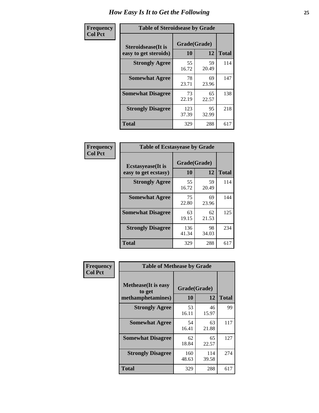| Frequency      | <b>Table of Steroidsease by Grade</b>       |                    |             |              |
|----------------|---------------------------------------------|--------------------|-------------|--------------|
| <b>Col Pct</b> | Steroidsease(It is<br>easy to get steroids) | Grade(Grade)<br>10 | 12          | <b>Total</b> |
|                | <b>Strongly Agree</b>                       | 55<br>16.72        | 59<br>20.49 | 114          |
|                | <b>Somewhat Agree</b>                       | 78<br>23.71        | 69<br>23.96 | 147          |
|                | <b>Somewhat Disagree</b>                    | 73<br>22.19        | 65<br>22.57 | 138          |
|                | <b>Strongly Disagree</b>                    | 123<br>37.39       | 95<br>32.99 | 218          |
|                | <b>Total</b>                                | 329                | 288         | 617          |

| Frequency      | <b>Table of Ecstasyease by Grade</b>              |                    |             |              |  |  |  |
|----------------|---------------------------------------------------|--------------------|-------------|--------------|--|--|--|
| <b>Col Pct</b> | <b>Ecstasyease</b> (It is<br>easy to get ecstasy) | Grade(Grade)<br>10 | 12          | <b>Total</b> |  |  |  |
|                | <b>Strongly Agree</b>                             | 55<br>16.72        | 59<br>20.49 | 114          |  |  |  |
|                | <b>Somewhat Agree</b>                             | 75<br>22.80        | 69<br>23.96 | 144          |  |  |  |
|                | <b>Somewhat Disagree</b>                          | 63<br>19.15        | 62<br>21.53 | 125          |  |  |  |
|                | <b>Strongly Disagree</b>                          | 136<br>41.34       | 98<br>34.03 | 234          |  |  |  |
|                | <b>Total</b>                                      | 329                | 288         | 617          |  |  |  |

| Frequency      | <b>Table of Methease by Grade</b>                          |                    |              |              |
|----------------|------------------------------------------------------------|--------------------|--------------|--------------|
| <b>Col Pct</b> | <b>Methease</b> (It is easy<br>to get<br>methamphetamines) | Grade(Grade)<br>10 | 12           | <b>Total</b> |
|                | <b>Strongly Agree</b>                                      | 53<br>16.11        | 46<br>15.97  | 99           |
|                | <b>Somewhat Agree</b>                                      | 54<br>16.41        | 63<br>21.88  | 117          |
|                | <b>Somewhat Disagree</b>                                   | 62<br>18.84        | 65<br>22.57  | 127          |
|                | <b>Strongly Disagree</b>                                   | 160<br>48.63       | 114<br>39.58 | 274          |
|                | <b>Total</b>                                               | 329                | 288          | 617          |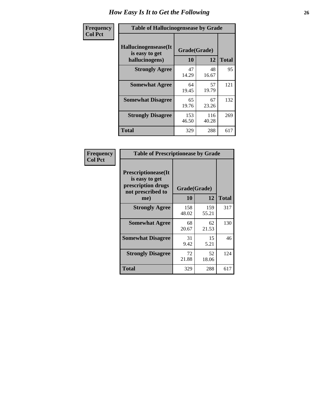| <b>Frequency</b> | <b>Table of Hallucinogensease by Grade</b>               |                    |              |              |
|------------------|----------------------------------------------------------|--------------------|--------------|--------------|
| <b>Col Pct</b>   | Hallucinogensease(It<br>is easy to get<br>hallucinogens) | Grade(Grade)<br>10 | 12           | <b>Total</b> |
|                  | <b>Strongly Agree</b>                                    | 47<br>14.29        | 48<br>16.67  | 95           |
|                  | <b>Somewhat Agree</b>                                    | 64<br>19.45        | 57<br>19.79  | 121          |
|                  | <b>Somewhat Disagree</b>                                 | 65<br>19.76        | 67<br>23.26  | 132          |
|                  | <b>Strongly Disagree</b>                                 | 153<br>46.50       | 116<br>40.28 | 269          |
|                  | <b>Total</b>                                             | 329                | 288          | 617          |

| Frequency<br>Col Pct |
|----------------------|
|                      |

| <b>Table of Prescriptionease by Grade</b>                                                |              |              |              |
|------------------------------------------------------------------------------------------|--------------|--------------|--------------|
| <b>Prescriptionease</b> (It<br>is easy to get<br>prescription drugs<br>not prescribed to |              | Grade(Grade) |              |
| me)                                                                                      | 10           | 12           | <b>Total</b> |
| <b>Strongly Agree</b>                                                                    | 158<br>48.02 | 159<br>55.21 | 317          |
| <b>Somewhat Agree</b>                                                                    | 68<br>20.67  | 62<br>21.53  | 130          |
| <b>Somewhat Disagree</b>                                                                 | 31<br>9.42   | 15<br>5.21   | 46           |
| <b>Strongly Disagree</b>                                                                 | 72<br>21.88  | 52<br>18.06  | 124          |
| <b>Total</b>                                                                             | 329          | 288          | 617          |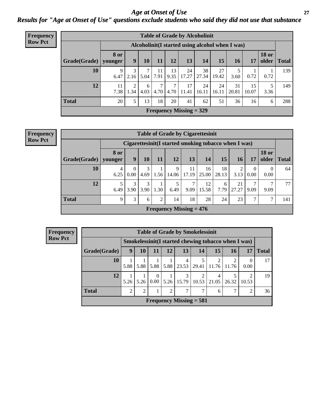*Age at Onset of Use* **27** *Results for "Age at Onset of Use" questions exclude students who said they did not use that substance*

| <b>Frequency</b> | <b>Table of Grade by Alcoholinit</b>             |                        |           |           |            |            |                           |             |             |             |             |                       |              |
|------------------|--------------------------------------------------|------------------------|-----------|-----------|------------|------------|---------------------------|-------------|-------------|-------------|-------------|-----------------------|--------------|
| <b>Row Pct</b>   | Alcoholinit (I started using alcohol when I was) |                        |           |           |            |            |                           |             |             |             |             |                       |              |
|                  | Grade(Grade)                                     | <b>8</b> or<br>vounger | 9         | 10        | 11         | 12         | 13                        | 14          | 15          | 16          | 17          | <b>18 or</b><br>older | <b>Total</b> |
|                  | 10                                               | 9<br>6.47              | 3<br>2.16 | 7<br>5.04 | 11<br>7.91 | 13<br>9.35 | 24<br>17.27               | 38<br>27.34 | 27<br>19.42 | 3.60        | 0.72        | 0.72                  | 139          |
|                  | 12                                               | 11<br>7.38             | 2<br>1.34 | 6<br>4.03 | 7<br>4.70  | 7<br>4.70  | 17<br>11.41               | 24<br>16.11 | 24<br>16.11 | 31<br>20.81 | 15<br>10.07 | 3.36                  | 149          |
|                  | <b>Total</b>                                     | 20                     | 5         | 13        | 18         | 20         | 41                        | 62          | 51          | 36          | 16          | 6                     | 288          |
|                  |                                                  |                        |           |           |            |            | Frequency Missing $=$ 329 |             |             |             |             |                       |              |

| <b>Frequency</b> |
|------------------|
| <b>Row Pct</b>   |

|                                                                                                                                           | <b>Table of Grade by Cigarettesinit</b>               |                  |           |                |                           |             |             |             |             |                  |                  |     |  |  |  |
|-------------------------------------------------------------------------------------------------------------------------------------------|-------------------------------------------------------|------------------|-----------|----------------|---------------------------|-------------|-------------|-------------|-------------|------------------|------------------|-----|--|--|--|
|                                                                                                                                           | Cigarettesinit (I started smoking tobacco when I was) |                  |           |                |                           |             |             |             |             |                  |                  |     |  |  |  |
| <b>18 or</b><br><b>8 or</b><br>13<br>15<br>older<br>11<br>9<br><b>10</b><br><b>12</b><br>14<br><b>16</b><br>17<br>Grade(Grade)<br>vounger |                                                       |                  |           |                |                           |             |             |             |             |                  |                  |     |  |  |  |
| 10                                                                                                                                        | 4<br>6.25                                             | $\Omega$<br>0.00 | 3<br>4.69 | 1.56           | 9<br>14.06                | 11<br>17.19 | 16<br>25.00 | 18<br>28.13 | 2<br>3.13   | $\theta$<br>0.00 | $\theta$<br>0.00 | 64  |  |  |  |
| 12                                                                                                                                        | 5<br>6.49                                             | 3<br>3.90        | 3<br>3.90 | 1.30           | 5<br>6.49                 | 7<br>9.09   | 12<br>15.58 | 6<br>7.79   | 21<br>27.27 | 7<br>9.09        | ⇁<br>9.09        | 77  |  |  |  |
| <b>Total</b>                                                                                                                              | 9                                                     | 3                | 6         | $\overline{2}$ | 14                        | 18          | 28          | 24          | 23          | 7                | 7                | 141 |  |  |  |
|                                                                                                                                           |                                                       |                  |           |                | Frequency Missing $= 476$ |             |             |             |             |                  |                  |     |  |  |  |

| <b>Frequency</b> | <b>Table of Grade by Smokelessinit</b> |      |                                                     |                         |    |    |                                     |       |            |       |              |  |  |
|------------------|----------------------------------------|------|-----------------------------------------------------|-------------------------|----|----|-------------------------------------|-------|------------|-------|--------------|--|--|
| <b>Row Pct</b>   |                                        |      | Smokelessinit(I started chewing tobacco when I was) |                         |    |    |                                     |       |            |       |              |  |  |
|                  | Grade(Grade)                           | 9    | 10                                                  | 11                      | 12 | 13 | 14                                  | 15    | 16         | 17    | <b>Total</b> |  |  |
|                  | <b>10</b>                              | 5.88 | 5.88                                                | 5.88                    |    |    | $5.88$   23.53   29.41              | 11.76 | ∍<br>11.76 | 0.00  | 17           |  |  |
|                  | 12                                     | 5.26 | 5.26                                                | $\theta$<br>$0.00\vert$ |    | 3  | 2<br>$5.26$   15.79   10.53   21.05 |       | 26.32      | 10.53 | 19           |  |  |
|                  | <b>Total</b>                           | ∍    | 2                                                   |                         | 2  | ⇁  | 7                                   | 6     | 7          | ി     | 36           |  |  |
|                  |                                        |      |                                                     |                         |    |    | Frequency Missing $= 581$           |       |            |       |              |  |  |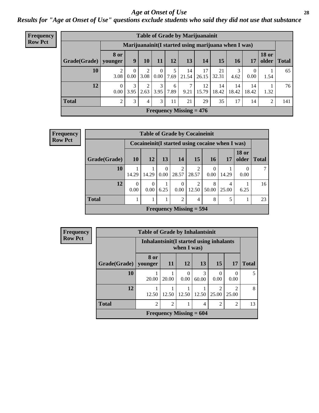#### *Age at Onset of Use* **28**

*Results for "Age at Onset of Use" questions exclude students who said they did not use that substance*

| <b>Frequency</b> |              |                        |                        |                              |                      |           |                           | <b>Table of Grade by Marijuanainit</b>               |             |             |             |                           |              |
|------------------|--------------|------------------------|------------------------|------------------------------|----------------------|-----------|---------------------------|------------------------------------------------------|-------------|-------------|-------------|---------------------------|--------------|
| <b>Row Pct</b>   |              |                        |                        |                              |                      |           |                           | Marijuanainit (I started using marijuana when I was) |             |             |             |                           |              |
|                  | Grade(Grade) | <b>8 or</b><br>younger | 9                      | 10                           | 11                   | 12        | 13                        | 14                                                   | 15          | 16          | 17          | <b>18 or</b><br>older $ $ | <b>Total</b> |
|                  | 10           | 2<br>3.08              | $\overline{0}$<br>0.00 | 2<br>3.08                    | $\theta$<br>$0.00\,$ | 7.69      | 14<br>21.54               | 17<br>26.15                                          | 21<br>32.31 | 3<br>4.62   | 0<br>0.00   | 1.54                      | 65           |
|                  | 12           | $\Omega$<br>$0.00\,$   | 3<br>3.95              | $\gamma$<br>$2.63 \mid 3.95$ | 3                    | 6<br>7.89 | $\tau$<br>9.21            | 12<br>15.79                                          | 14<br>18.42 | 14<br>18.42 | 14<br>18.42 | 1.32                      | 76           |
|                  | <b>Total</b> | $\overline{2}$         | 3                      | 4                            | 3                    | 11        | 21                        | 29                                                   | 35          | 17          | 14          | $\overline{2}$            | 141          |
|                  |              |                        |                        |                              |                      |           | Frequency Missing $= 476$ |                                                      |             |             |             |                           |              |

| Frequency      |              |                  |                  |      | <b>Table of Grade by Cocaineinit</b>             |                                      |                  |            |                       |       |
|----------------|--------------|------------------|------------------|------|--------------------------------------------------|--------------------------------------|------------------|------------|-----------------------|-------|
| <b>Row Pct</b> |              |                  |                  |      | Cocaineinit (I started using cocaine when I was) |                                      |                  |            |                       |       |
|                | Grade(Grade) | <b>10</b>        | 12               | 13   | 14                                               | 15                                   | <b>16</b>        | 17         | <b>18 or</b><br>older | Total |
|                | <b>10</b>    | 14.29            | 14.29            | 0.00 | $\mathfrak{D}$<br>28.57                          | $\mathcal{D}_{\mathcal{A}}$<br>28.57 | $\theta$<br>0.00 | 14.29      | 0.00                  |       |
|                | 12           | $\Omega$<br>0.00 | $\Omega$<br>0.00 | 6.25 | $\Omega$<br>$0.00\,$                             | 2<br>12.50                           | 8<br>50.00       | 4<br>25.00 | 6.25                  | 16    |
|                | <b>Total</b> |                  |                  |      | $\overline{2}$                                   | 4                                    | 8                | 5          |                       | 23    |
|                |              |                  |                  |      | Frequency Missing $=$ 594                        |                                      |                  |            |                       |       |

| Frequency      |              | <b>Table of Grade by Inhalantsinit</b>   |                               |                           |            |                  |                                      |              |  |  |  |
|----------------|--------------|------------------------------------------|-------------------------------|---------------------------|------------|------------------|--------------------------------------|--------------|--|--|--|
| <b>Row Pct</b> |              | Inhalantsinit (I started using inhalants |                               | when I was)               |            |                  |                                      |              |  |  |  |
|                | Grade(Grade) | 8 or<br>younger                          | <b>11</b>                     | <b>12</b>                 | 13         | 15 <sup>1</sup>  | 17                                   | <b>Total</b> |  |  |  |
|                | 10           | 20.00                                    | 20.00                         | 0.00                      | 3<br>60.00 | $\Omega$<br>0.00 | 0<br>0.00                            | 5            |  |  |  |
|                | 12           | 12.50                                    | 12.50                         | 12.50                     | 12.50      | 25.00            | $\mathcal{D}_{\mathcal{L}}$<br>25.00 | 8            |  |  |  |
|                | <b>Total</b> | $\mathfrak{D}$                           | $\mathfrak{D}$<br>2<br>2<br>4 |                           |            |                  |                                      |              |  |  |  |
|                |              |                                          |                               | Frequency Missing $= 604$ |            |                  |                                      |              |  |  |  |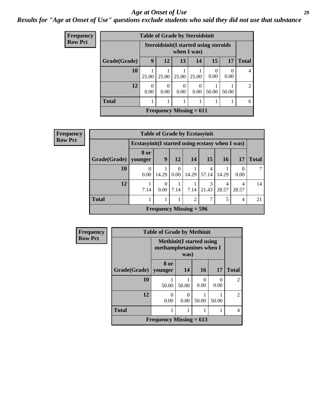#### *Age at Onset of Use* **29**

*Results for "Age at Onset of Use" questions exclude students who said they did not use that substance*

| <b>Frequency</b> |              | <b>Table of Grade by Steroidsinit</b> |       |                  |                                                              |           |       |                |
|------------------|--------------|---------------------------------------|-------|------------------|--------------------------------------------------------------|-----------|-------|----------------|
| <b>Row Pct</b>   |              |                                       |       |                  | <b>Steroidsinit (I started using steroids</b><br>when I was) |           |       |                |
|                  | Grade(Grade) | 9                                     | 12    | 13               | 14                                                           | 15        | 17    | <b>Total</b>   |
|                  | 10           | 25.00                                 | 25.00 | 25.00            | 25.00                                                        | 0<br>0.00 | 0.00  | 4              |
|                  | 12           | $\Omega$<br>0.00                      | 0.00  | $\theta$<br>0.00 | 0.00                                                         | 50.00     | 50.00 | $\overline{2}$ |
|                  | <b>Total</b> |                                       |       |                  |                                                              |           |       | 6              |
|                  |              |                                       |       |                  | Frequency Missing $= 611$                                    |           |       |                |

| <b>Frequency</b> |                        |                                                  |       |               | <b>Table of Grade by Ecstasyinit</b> |       |            |           |              |
|------------------|------------------------|--------------------------------------------------|-------|---------------|--------------------------------------|-------|------------|-----------|--------------|
| <b>Row Pct</b>   |                        | Ecstasyinit (I started using ecstasy when I was) |       |               |                                      |       |            |           |              |
|                  | Grade(Grade)   younger | 8 or                                             | 9     | 12            | 14                                   | 15    | <b>16</b>  | <b>17</b> | <b>Total</b> |
|                  | 10                     | 0.00                                             | 14.29 | 0<br>$0.00\,$ | 14.29                                | 57.14 | 14.29      | 0.00      |              |
|                  | 12                     | 7.14                                             | 0.00  | 7.14          | 7.14                                 | 21.43 | 4<br>28.57 | 28.57     | 14           |
|                  | <b>Total</b>           |                                                  |       |               | 2                                    |       | 5          | 4         | 21           |
|                  |                        |                                                  |       |               | Frequency Missing $= 596$            |       |            |           |              |

| Frequency      |                                                            | <b>Table of Grade by Methinit</b>                           |           |           |           |                |  |  |  |
|----------------|------------------------------------------------------------|-------------------------------------------------------------|-----------|-----------|-----------|----------------|--|--|--|
| <b>Row Pct</b> |                                                            | <b>Methinit</b> (I started using<br>methamphetamines when I | was)      |           |           |                |  |  |  |
|                | Grade(Grade)   younger                                     | 8 or                                                        | <b>14</b> | <b>16</b> | <b>17</b> | <b>Total</b>   |  |  |  |
|                | 10                                                         | 50.00                                                       | 50.00     | 0<br>0.00 | 0<br>0.00 | $\mathfrak{D}$ |  |  |  |
|                | 12<br>0<br>$\mathcal{O}$<br>0.00<br>0.00<br>50.00<br>50.00 |                                                             |           |           |           |                |  |  |  |
|                | <b>Total</b>                                               |                                                             |           |           |           |                |  |  |  |
|                |                                                            | Frequency Missing $= 613$                                   |           |           |           |                |  |  |  |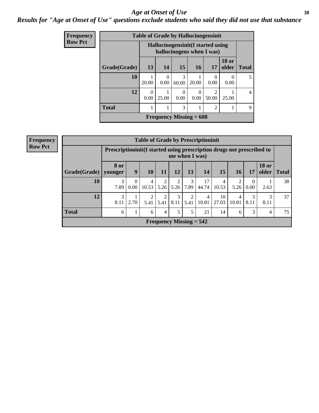#### Age at Onset of Use **30**

### *Results for "Age at Onset of Use" questions exclude students who said they did not use that substance*

| Frequency      |              |                  |                  |            | <b>Table of Grade by Hallucinogensinit</b>                      |                                      |                       |                |
|----------------|--------------|------------------|------------------|------------|-----------------------------------------------------------------|--------------------------------------|-----------------------|----------------|
| <b>Row Pct</b> |              |                  |                  |            | Hallucinogensinit (I started using<br>hallucinogens when I was) |                                      |                       |                |
|                | Grade(Grade) | 13               | 14               | 15         | <b>16</b>                                                       | 17                                   | <b>18 or</b><br>older | <b>Total</b>   |
|                | 10           | 20.00            | $\Omega$<br>0.00 | 3<br>60.00 | 20.00                                                           | 0<br>0.00                            | $\left($<br>0.00      | 5              |
|                | 12           | $\Omega$<br>0.00 | 25.00            | 0<br>0.00  | 0.00                                                            | $\mathcal{D}_{\mathcal{L}}$<br>50.00 | 25.00                 | $\overline{4}$ |
|                | <b>Total</b> |                  |                  | 3          |                                                                 | $\overline{2}$                       |                       | 9              |
|                |              |                  |                  |            | Frequency Missing $= 608$                                       |                                      |                       |                |

| Frequency      |              |                                                                        |                      |                       |      |                           |                  | <b>Table of Grade by Prescriptioninit</b> |             |                        |                        |                       |              |
|----------------|--------------|------------------------------------------------------------------------|----------------------|-----------------------|------|---------------------------|------------------|-------------------------------------------|-------------|------------------------|------------------------|-----------------------|--------------|
| <b>Row Pct</b> |              | Prescriptioninit (I started using prescription drugs not prescribed to |                      |                       |      | me when I was)            |                  |                                           |             |                        |                        |                       |              |
|                | Grade(Grade) | <b>8 or</b><br>younger                                                 | 9                    | 10                    | 11   | 12                        | 13               | <b>14</b>                                 | 15          | 16 <sup>1</sup>        | 17                     | <b>18 or</b><br>older | <b>Total</b> |
|                | 10           | 3<br>7.89                                                              | $\Omega$<br>$0.00\,$ | 4<br>10.53            | 5.26 | 2                         | 3<br>$5.26$ 7.89 | 17<br>44.74                               | 4<br>10.53  | $\overline{2}$<br>5.26 | $\overline{0}$<br>0.00 | 2.63                  | 38           |
|                | 12           | 3<br>8.11                                                              | 2.70                 | $\mathcal{L}$<br>5.41 | 5.41 | 3<br>8.11                 | 2<br>5.41        | 4<br>10.81                                | 10<br>27.03 | 4<br>10.81             | 3<br>8.11              | 3<br>8.11             | 37           |
|                | <b>Total</b> | 6                                                                      |                      | 6                     | 4    | 5                         | 5                | 21                                        | 14          | 6                      | 3                      | 4                     | 75           |
|                |              |                                                                        |                      |                       |      | Frequency Missing $= 542$ |                  |                                           |             |                        |                        |                       |              |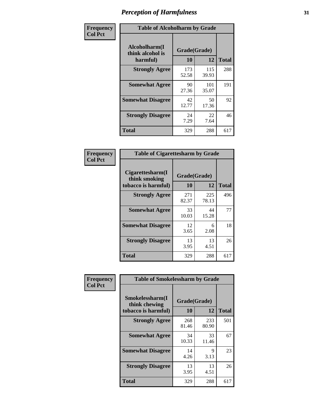| Frequency      | <b>Table of Alcoholharm by Grade</b>          |                    |              |              |
|----------------|-----------------------------------------------|--------------------|--------------|--------------|
| <b>Col Pct</b> | Alcoholharm(I<br>think alcohol is<br>harmful) | Grade(Grade)<br>10 | 12           | <b>Total</b> |
|                | <b>Strongly Agree</b>                         | 173<br>52.58       | 115<br>39.93 | 288          |
|                | <b>Somewhat Agree</b>                         | 90<br>27.36        | 101<br>35.07 | 191          |
|                | <b>Somewhat Disagree</b>                      | 42<br>12.77        | 50<br>17.36  | 92           |
|                | <b>Strongly Disagree</b>                      | 24<br>7.29         | 22<br>7.64   | 46           |
|                | <b>Total</b>                                  | 329                | 288          | 617          |

| <b>Table of Cigarettesharm by Grade</b>                  |                    |              |              |
|----------------------------------------------------------|--------------------|--------------|--------------|
| Cigarettesharm(I<br>think smoking<br>tobacco is harmful) | Grade(Grade)<br>10 | 12           | <b>Total</b> |
| <b>Strongly Agree</b>                                    | 271<br>82.37       | 225<br>78.13 | 496          |
| <b>Somewhat Agree</b>                                    | 33<br>10.03        | 44<br>15.28  | 77           |
| <b>Somewhat Disagree</b>                                 | 12<br>3.65         | 6<br>2.08    | 18           |
| <b>Strongly Disagree</b>                                 | 13<br>3.95         | 13<br>4.51   | 26           |
| <b>Total</b>                                             | 329                | 288          | 617          |

| Frequency      | <b>Table of Smokelessharm by Grade</b>                  |                    |              |              |
|----------------|---------------------------------------------------------|--------------------|--------------|--------------|
| <b>Col Pct</b> | Smokelessharm(I<br>think chewing<br>tobacco is harmful) | Grade(Grade)<br>10 | 12           | <b>Total</b> |
|                | <b>Strongly Agree</b>                                   | 268<br>81.46       | 233<br>80.90 | 501          |
|                | <b>Somewhat Agree</b>                                   | 34<br>10.33        | 33<br>11.46  | 67           |
|                | <b>Somewhat Disagree</b>                                | 14<br>4.26         | 9<br>3.13    | 23           |
|                | <b>Strongly Disagree</b>                                | 13<br>3.95         | 13<br>4.51   | 26           |
|                | <b>Total</b>                                            | 329                | 288          | 617          |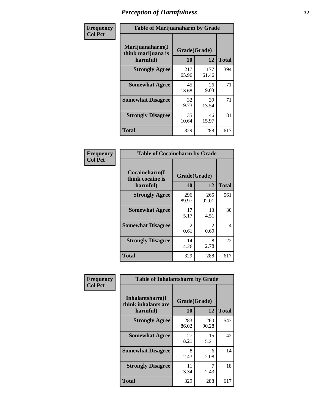| Frequency      | <b>Table of Marijuanaharm by Grade</b>            |                    |              |              |
|----------------|---------------------------------------------------|--------------------|--------------|--------------|
| <b>Col Pct</b> | Marijuanaharm(I<br>think marijuana is<br>harmful) | Grade(Grade)<br>10 | 12           | <b>Total</b> |
|                | <b>Strongly Agree</b>                             | 217<br>65.96       | 177<br>61.46 | 394          |
|                | <b>Somewhat Agree</b>                             | 45<br>13.68        | 26<br>9.03   | 71           |
|                | <b>Somewhat Disagree</b>                          | 32<br>9.73         | 39<br>13.54  | 71           |
|                | <b>Strongly Disagree</b>                          | 35<br>10.64        | 46<br>15.97  | 81           |
|                | <b>Total</b>                                      | 329                | 288          | 617          |

| <b>Table of Cocaineharm by Grade</b>          |                        |                        |              |  |  |
|-----------------------------------------------|------------------------|------------------------|--------------|--|--|
| Cocaineharm(I<br>think cocaine is<br>harmful) | Grade(Grade)<br>10     | 12                     | <b>Total</b> |  |  |
| <b>Strongly Agree</b>                         | 296<br>89.97           | 265<br>92.01           | 561          |  |  |
| <b>Somewhat Agree</b>                         | 17<br>5.17             | 13<br>4.51             | 30           |  |  |
| <b>Somewhat Disagree</b>                      | $\mathfrak{D}$<br>0.61 | $\mathfrak{D}$<br>0.69 | 4            |  |  |
| <b>Strongly Disagree</b>                      | 14<br>4.26             | 8<br>2.78              | 22           |  |  |
| <b>Total</b>                                  | 329                    | 288                    | 617          |  |  |

| Frequency      | <b>Table of Inhalantsharm by Grade</b>             |                    |              |              |  |
|----------------|----------------------------------------------------|--------------------|--------------|--------------|--|
| <b>Col Pct</b> | Inhalantsharm(I<br>think inhalants are<br>harmful) | Grade(Grade)<br>10 | 12           | <b>Total</b> |  |
|                | <b>Strongly Agree</b>                              | 283<br>86.02       | 260<br>90.28 | 543          |  |
|                | <b>Somewhat Agree</b>                              | 27<br>8.21         | 15<br>5.21   | 42           |  |
|                | <b>Somewhat Disagree</b>                           | 8<br>2.43          | 6<br>2.08    | 14           |  |
|                | <b>Strongly Disagree</b>                           | 11<br>3.34         | 2.43         | 18           |  |
|                | <b>Total</b>                                       | 329                | 288          | 617          |  |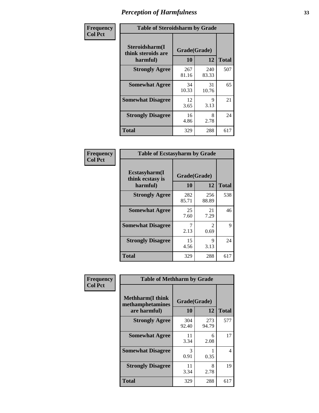| Frequency      | <b>Table of Steroidsharm by Grade</b>            |                    |              |              |  |
|----------------|--------------------------------------------------|--------------------|--------------|--------------|--|
| <b>Col Pct</b> | Steroidsharm(I<br>think steroids are<br>harmful) | Grade(Grade)<br>10 | 12           | <b>Total</b> |  |
|                | <b>Strongly Agree</b>                            | 267<br>81.16       | 240<br>83.33 | 507          |  |
|                | <b>Somewhat Agree</b>                            | 34<br>10.33        | 31<br>10.76  | 65           |  |
|                | <b>Somewhat Disagree</b>                         | 12<br>3.65         | 9<br>3.13    | 21           |  |
|                | <b>Strongly Disagree</b>                         | 16<br>4.86         | 8<br>2.78    | 24           |  |
|                | <b>Total</b>                                     | 329                | 288          | 617          |  |

| <b>Table of Ecstasyharm by Grade</b>          |                    |                        |              |  |  |
|-----------------------------------------------|--------------------|------------------------|--------------|--|--|
| Ecstasyharm(I<br>think ecstasy is<br>harmful) | Grade(Grade)<br>10 | 12                     | <b>Total</b> |  |  |
| <b>Strongly Agree</b>                         | 282<br>85.71       | 256<br>88.89           | 538          |  |  |
| <b>Somewhat Agree</b>                         | 25<br>7.60         | 21<br>7.29             | 46           |  |  |
| <b>Somewhat Disagree</b>                      | 7<br>2.13          | $\mathfrak{D}$<br>0.69 | 9            |  |  |
| <b>Strongly Disagree</b>                      | 15<br>4.56         | 9<br>3.13              | 24           |  |  |
| <b>Total</b>                                  | 329                | 288                    | 617          |  |  |

| Frequency      | <b>Table of Methharm by Grade</b>                            |                    |              |              |  |
|----------------|--------------------------------------------------------------|--------------------|--------------|--------------|--|
| <b>Col Pct</b> | <b>Methharm</b> (I think<br>methamphetamines<br>are harmful) | Grade(Grade)<br>10 | 12           | <b>Total</b> |  |
|                | <b>Strongly Agree</b>                                        | 304<br>92.40       | 273<br>94.79 | 577          |  |
|                | <b>Somewhat Agree</b>                                        | 11<br>3.34         | 6<br>2.08    | 17           |  |
|                | <b>Somewhat Disagree</b>                                     | 3<br>0.91          | 0.35         | 4            |  |
|                | <b>Strongly Disagree</b>                                     | 11<br>3.34         | 8<br>2.78    | 19           |  |
|                | <b>Total</b>                                                 | 329                | 288          | 617          |  |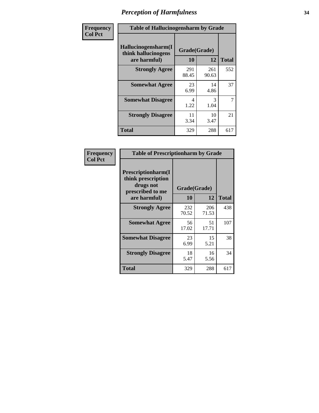| Frequency      | <b>Table of Hallucinogensharm by Grade</b>                 |                           |              |              |
|----------------|------------------------------------------------------------|---------------------------|--------------|--------------|
| <b>Col Pct</b> | Hallucinogensharm(I<br>think hallucinogens<br>are harmful) | Grade(Grade)<br><b>10</b> | 12           | <b>Total</b> |
|                | <b>Strongly Agree</b>                                      | 291<br>88.45              | 261<br>90.63 | 552          |
|                | <b>Somewhat Agree</b>                                      | 23<br>6.99                | 14<br>4.86   | 37           |
|                | <b>Somewhat Disagree</b>                                   | 4<br>1.22                 | 3<br>1.04    | 7            |
|                | <b>Strongly Disagree</b>                                   | 11<br>3.34                | 10<br>3.47   | 21           |
|                | <b>Total</b>                                               | 329                       | 288          | 617          |

| <b>Table of Prescriptionharm by Grade</b>                                         |              |              |              |  |  |
|-----------------------------------------------------------------------------------|--------------|--------------|--------------|--|--|
| <b>Prescriptionharm</b> (I<br>think prescription<br>drugs not<br>prescribed to me | Grade(Grade) |              |              |  |  |
| are harmful)                                                                      | 10           | 12           | <b>Total</b> |  |  |
| <b>Strongly Agree</b>                                                             | 232<br>70.52 | 206<br>71.53 | 438          |  |  |
| <b>Somewhat Agree</b>                                                             | 56<br>17.02  | 51<br>17.71  | 107          |  |  |
| <b>Somewhat Disagree</b>                                                          | 23<br>6.99   | 15<br>5.21   | 38           |  |  |
| <b>Strongly Disagree</b>                                                          | 18<br>5.47   | 16<br>5.56   | 34           |  |  |
| <b>Total</b>                                                                      | 329          | 288          | 617          |  |  |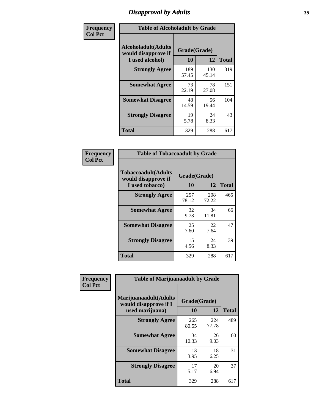# *Disapproval by Adults* **35**

| Frequency      | <b>Table of Alcoholadult by Grade</b>                                 |                    |              |              |  |
|----------------|-----------------------------------------------------------------------|--------------------|--------------|--------------|--|
| <b>Col Pct</b> | <b>Alcoholadult</b> (Adults<br>would disapprove if<br>I used alcohol) | Grade(Grade)<br>10 | 12           | <b>Total</b> |  |
|                | <b>Strongly Agree</b>                                                 | 189<br>57.45       | 130<br>45.14 | 319          |  |
|                | <b>Somewhat Agree</b>                                                 | 73<br>22.19        | 78<br>27.08  | 151          |  |
|                | <b>Somewhat Disagree</b>                                              | 48<br>14.59        | 56<br>19.44  | 104          |  |
|                | <b>Strongly Disagree</b>                                              | 19<br>5.78         | 24<br>8.33   | 43           |  |
|                | <b>Total</b>                                                          | 329                | 288          | 617          |  |

| <b>Table of Tobaccoadult by Grade</b>                                 |              |                    |              |  |  |
|-----------------------------------------------------------------------|--------------|--------------------|--------------|--|--|
| <b>Tobaccoadult</b> (Adults<br>would disapprove if<br>I used tobacco) | 10           | Grade(Grade)<br>12 | <b>Total</b> |  |  |
| <b>Strongly Agree</b>                                                 | 257<br>78.12 | 208<br>72.22       | 465          |  |  |
| <b>Somewhat Agree</b>                                                 | 32<br>9.73   | 34<br>11.81        | 66           |  |  |
| <b>Somewhat Disagree</b>                                              | 25<br>7.60   | 22<br>7.64         | 47           |  |  |
| <b>Strongly Disagree</b>                                              | 15<br>4.56   | 24<br>8.33         | 39           |  |  |
| <b>Total</b>                                                          | 329          | 288                | 617          |  |  |

| Frequency      | <b>Table of Marijuanaadult by Grade</b>                           |                    |              |              |  |
|----------------|-------------------------------------------------------------------|--------------------|--------------|--------------|--|
| <b>Col Pct</b> | Marijuanaadult(Adults<br>would disapprove if I<br>used marijuana) | Grade(Grade)<br>10 | 12           | <b>Total</b> |  |
|                | <b>Strongly Agree</b>                                             | 265<br>80.55       | 224<br>77.78 | 489          |  |
|                | <b>Somewhat Agree</b>                                             | 34<br>10.33        | 26<br>9.03   | 60           |  |
|                | <b>Somewhat Disagree</b>                                          | 13<br>3.95         | 18<br>6.25   | 31           |  |
|                | <b>Strongly Disagree</b>                                          | 17<br>5.17         | 20<br>6.94   | 37           |  |
|                | <b>Total</b>                                                      | 329                | 288          | 617          |  |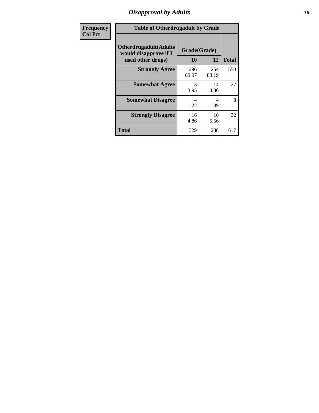# *Disapproval by Adults* **36**

| Frequency      | <b>Table of Otherdrugadult by Grade</b>                                     |                    |              |              |
|----------------|-----------------------------------------------------------------------------|--------------------|--------------|--------------|
| <b>Col Pct</b> | <b>Otherdrugadult</b> (Adults<br>would disapprove if I<br>used other drugs) | Grade(Grade)<br>10 | 12           | <b>Total</b> |
|                | <b>Strongly Agree</b>                                                       | 296<br>89.97       | 254<br>88.19 | 550          |
|                | <b>Somewhat Agree</b>                                                       | 13<br>3.95         | 14<br>4.86   | 27           |
|                | <b>Somewhat Disagree</b>                                                    | 4<br>1.22          | 4<br>1.39    | 8            |
|                | <b>Strongly Disagree</b>                                                    | 16<br>4.86         | 16<br>5.56   | 32           |
|                | <b>Total</b>                                                                | 329                | 288          | 617          |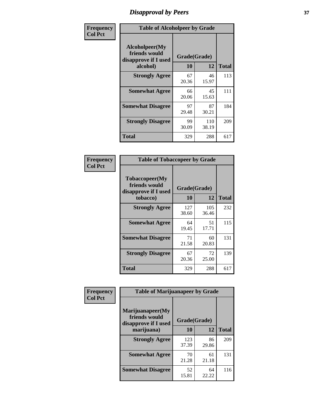# *Disapproval by Peers* **37**

| Frequency      | <b>Table of Alcoholpeer by Grade</b>                    |              |              |              |  |
|----------------|---------------------------------------------------------|--------------|--------------|--------------|--|
| <b>Col Pct</b> | Alcoholpeer(My<br>friends would<br>disapprove if I used | Grade(Grade) |              |              |  |
|                | alcohol)                                                | 10           | 12           | <b>Total</b> |  |
|                | <b>Strongly Agree</b>                                   | 67<br>20.36  | 46<br>15.97  | 113          |  |
|                | <b>Somewhat Agree</b>                                   | 66<br>20.06  | 45<br>15.63  | 111          |  |
|                | <b>Somewhat Disagree</b>                                | 97<br>29.48  | 87<br>30.21  | 184          |  |
|                | <b>Strongly Disagree</b>                                | 99<br>30.09  | 110<br>38.19 | 209          |  |
|                | Total                                                   | 329          | 288          | 617          |  |

| Frequency      | <b>Table of Tobaccopeer by Grade</b>                                |                    |              |              |
|----------------|---------------------------------------------------------------------|--------------------|--------------|--------------|
| <b>Col Pct</b> | Tobaccopeer(My<br>friends would<br>disapprove if I used<br>tobacco) | Grade(Grade)<br>10 | 12           | <b>Total</b> |
|                | <b>Strongly Agree</b>                                               | 127<br>38.60       | 105<br>36.46 | 232          |
|                | <b>Somewhat Agree</b>                                               | 64<br>19.45        | 51<br>17.71  | 115          |
|                | <b>Somewhat Disagree</b>                                            | 71<br>21.58        | 60<br>20.83  | 131          |
|                | <b>Strongly Disagree</b>                                            | 67<br>20.36        | 72<br>25.00  | 139          |
|                | Total                                                               | 329                | 288          | 617          |

| Frequency<br><b>Col Pct</b> | <b>Table of Marijuanapeer by Grade</b>                    |              |             |              |
|-----------------------------|-----------------------------------------------------------|--------------|-------------|--------------|
|                             | Marijuanapeer(My<br>friends would<br>disapprove if I used | Grade(Grade) |             |              |
|                             | marijuana)                                                | <b>10</b>    | 12          | <b>Total</b> |
|                             | <b>Strongly Agree</b>                                     | 123<br>37.39 | 86<br>29.86 | 209          |
|                             | <b>Somewhat Agree</b>                                     | 70<br>21.28  | 61<br>21.18 | 131          |
|                             | <b>Somewhat Disagree</b>                                  | 52<br>15.81  | 64<br>22.22 | 116          |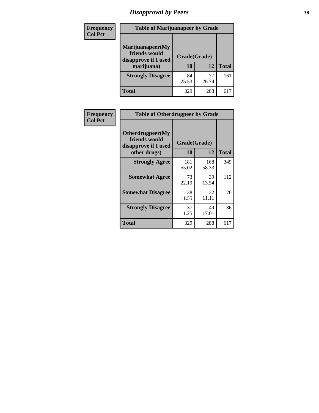# *Disapproval by Peers* **38**

| <b>Frequency</b> | <b>Table of Marijuanapeer by Grade</b>                                  |                           |       |              |  |
|------------------|-------------------------------------------------------------------------|---------------------------|-------|--------------|--|
| <b>Col Pct</b>   | Marijuanapeer(My<br>friends would<br>disapprove if I used<br>marijuana) | Grade(Grade)<br><b>10</b> | 12    | <b>Total</b> |  |
|                  |                                                                         |                           |       |              |  |
|                  | <b>Strongly Disagree</b>                                                | 84                        | 77    | 161          |  |
|                  |                                                                         | 25.53                     | 26.74 |              |  |
|                  | <b>Total</b>                                                            | 329                       | 288   | 617          |  |

| <b>Frequency</b> | <b>Table of Otherdrugpeer by Grade</b>                                    |                           |             |              |
|------------------|---------------------------------------------------------------------------|---------------------------|-------------|--------------|
| <b>Col Pct</b>   | Otherdrugpeer(My<br>friends would<br>disapprove if I used<br>other drugs) | Grade(Grade)<br><b>10</b> | 12          | <b>Total</b> |
|                  | <b>Strongly Agree</b>                                                     | 181                       | 168         | 349          |
|                  |                                                                           | 55.02                     | 58.33       |              |
|                  | <b>Somewhat Agree</b>                                                     | 73<br>22.19               | 39<br>13.54 | 112          |
|                  | <b>Somewhat Disagree</b>                                                  | 38<br>11.55               | 32<br>11.11 | 70           |
|                  | <b>Strongly Disagree</b>                                                  | 37<br>11.25               | 49<br>17.01 | 86           |
|                  | <b>Total</b>                                                              | 329                       | 288         | 617          |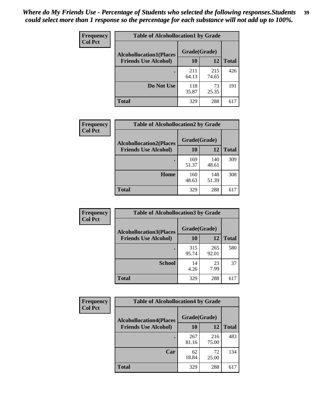| Frequency<br><b>Col Pct</b> | <b>Table of Alcohollocation1 by Grade</b><br>Grade(Grade)<br><b>Alcohollocation1(Places</b> |              |              |              |
|-----------------------------|---------------------------------------------------------------------------------------------|--------------|--------------|--------------|
|                             |                                                                                             |              |              |              |
|                             | <b>Friends Use Alcohol)</b>                                                                 | 10           | 12           | <b>Total</b> |
|                             |                                                                                             | 211<br>64.13 | 215<br>74.65 | 426          |
|                             | Do Not Use                                                                                  | 118<br>35.87 | 73<br>25.35  | 191          |
|                             | <b>Total</b>                                                                                | 329          | 288          | 617          |

| Frequency      | <b>Table of Alcohollocation2 by Grade</b>                     |                    |              |              |
|----------------|---------------------------------------------------------------|--------------------|--------------|--------------|
| <b>Col Pct</b> | <b>Alcohollocation2(Places</b><br><b>Friends Use Alcohol)</b> | Grade(Grade)<br>10 | <b>12</b>    | <b>Total</b> |
|                |                                                               | 169<br>51.37       | 140<br>48.61 | 309          |
|                | Home                                                          | 160<br>48.63       | 148<br>51.39 | 308          |
|                | <b>Total</b>                                                  | 329                | 288          | 617          |

| Frequency<br><b>Col Pct</b> | <b>Table of Alcohollocation 3 by Grade</b>                    |                    |              |              |  |
|-----------------------------|---------------------------------------------------------------|--------------------|--------------|--------------|--|
|                             | <b>Alcohollocation3(Places</b><br><b>Friends Use Alcohol)</b> | Grade(Grade)<br>10 | 12           | <b>Total</b> |  |
|                             |                                                               | 315<br>95.74       | 265<br>92.01 | 580          |  |
|                             | <b>School</b>                                                 | 14<br>4.26         | 23<br>7.99   | 37           |  |
|                             | Total                                                         | 329                | 288          | 617          |  |

| <b>Frequency</b> | <b>Table of Alcohollocation4 by Grade</b> |              |              |              |
|------------------|-------------------------------------------|--------------|--------------|--------------|
| <b>Col Pct</b>   | <b>Alcohollocation4(Places</b>            | Grade(Grade) |              |              |
|                  | <b>Friends Use Alcohol)</b>               | 10           | 12           | <b>Total</b> |
|                  |                                           | 267<br>81.16 | 216<br>75.00 | 483          |
|                  | Car                                       | 62<br>18.84  | 72<br>25.00  | 134          |
|                  | <b>Total</b>                              | 329          | 288          | 617          |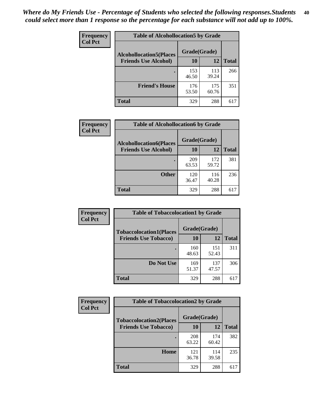| Frequency<br><b>Col Pct</b> | <b>Table of Alcohollocation5 by Grade</b> |              |              |              |
|-----------------------------|-------------------------------------------|--------------|--------------|--------------|
|                             | <b>Alcohollocation5</b> (Places           | Grade(Grade) |              |              |
|                             | <b>Friends Use Alcohol)</b>               | 10           | 12           | <b>Total</b> |
|                             |                                           | 153<br>46.50 | 113<br>39.24 | 266          |
|                             | <b>Friend's House</b>                     | 176<br>53.50 | 175<br>60.76 | 351          |
|                             | <b>Total</b>                              | 329          | 288          | 617          |

| Frequency      | <b>Table of Alcohollocation6 by Grade</b>                     |                    |              |              |
|----------------|---------------------------------------------------------------|--------------------|--------------|--------------|
| <b>Col Pct</b> | <b>Alcohollocation6(Places</b><br><b>Friends Use Alcohol)</b> | Grade(Grade)<br>10 | <b>12</b>    | <b>Total</b> |
|                |                                                               |                    |              | 381          |
|                |                                                               | 209<br>63.53       | 172<br>59.72 |              |
|                | <b>Other</b>                                                  | 120<br>36.47       | 116<br>40.28 | 236          |
|                | <b>Total</b>                                                  | 329                | 288          | 617          |

| <b>Frequency</b> | <b>Table of Tobaccolocation1 by Grade</b> |              |              |              |
|------------------|-------------------------------------------|--------------|--------------|--------------|
| <b>Col Pct</b>   | <b>Tobaccolocation1(Places</b>            | Grade(Grade) |              |              |
|                  | <b>Friends Use Tobacco)</b>               | 10           | 12           | <b>Total</b> |
|                  |                                           | 160<br>48.63 | 151<br>52.43 | 311          |
|                  | Do Not Use                                | 169<br>51.37 | 137<br>47.57 | 306          |
|                  | <b>Total</b>                              | 329          | 288          | 617          |

| <b>Frequency</b> | <b>Table of Tobaccolocation2 by Grade</b> |              |              |              |  |
|------------------|-------------------------------------------|--------------|--------------|--------------|--|
| <b>Col Pct</b>   | <b>Tobaccolocation2(Places</b>            | Grade(Grade) |              |              |  |
|                  | <b>Friends Use Tobacco)</b>               | 10           | 12           | <b>Total</b> |  |
|                  |                                           | 208<br>63.22 | 174<br>60.42 | 382          |  |
|                  | Home                                      | 121<br>36.78 | 114<br>39.58 | 235          |  |
|                  | <b>Total</b>                              | 329          | 288          | 617          |  |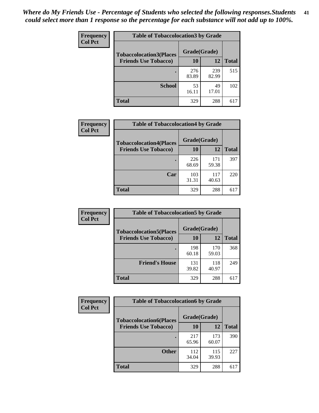| Frequency      | <b>Table of Tobaccolocation3 by Grade</b> |              |              |              |  |
|----------------|-------------------------------------------|--------------|--------------|--------------|--|
| <b>Col Pct</b> | <b>Tobaccolocation3(Places</b>            | Grade(Grade) |              |              |  |
|                | <b>Friends Use Tobacco)</b>               | 10           | 12           | <b>Total</b> |  |
|                |                                           | 276<br>83.89 | 239<br>82.99 | 515          |  |
|                | <b>School</b>                             | 53<br>16.11  | 49<br>17.01  | 102          |  |
|                | <b>Total</b>                              | 329          | 288          | 617          |  |

| <b>Frequency</b> | <b>Table of Tobaccolocation4 by Grade</b> |              |              |              |
|------------------|-------------------------------------------|--------------|--------------|--------------|
| <b>Col Pct</b>   | <b>Tobaccolocation4(Places</b>            | Grade(Grade) |              |              |
|                  | <b>Friends Use Tobacco)</b>               | 10           | 12           | <b>Total</b> |
|                  |                                           | 226<br>68.69 | 171<br>59.38 | 397          |
|                  | Car                                       | 103<br>31.31 | 117<br>40.63 | 220          |
|                  | <b>Total</b>                              | 329          | 288          | 617          |

| Frequency      | <b>Table of Tobaccolocation5 by Grade</b> |              |              |              |
|----------------|-------------------------------------------|--------------|--------------|--------------|
| <b>Col Pct</b> | <b>Tobaccolocation5(Places</b>            | Grade(Grade) |              |              |
|                | <b>Friends Use Tobacco)</b>               | 10           | 12           | <b>Total</b> |
|                |                                           | 198<br>60.18 | 170<br>59.03 | 368          |
|                | <b>Friend's House</b>                     | 131<br>39.82 | 118<br>40.97 | 249          |
|                | <b>Total</b>                              | 329          | 288          | 617          |

| Frequency      | <b>Table of Tobaccolocation6 by Grade</b> |              |              |              |  |
|----------------|-------------------------------------------|--------------|--------------|--------------|--|
| <b>Col Pct</b> | <b>Tobaccolocation6(Places</b>            | Grade(Grade) |              |              |  |
|                | <b>Friends Use Tobacco)</b>               | 10           | 12           | <b>Total</b> |  |
|                |                                           | 217<br>65.96 | 173<br>60.07 | 390          |  |
|                | <b>Other</b>                              | 112<br>34.04 | 115<br>39.93 | 227          |  |
|                | <b>Total</b>                              | 329          | 288          | 617          |  |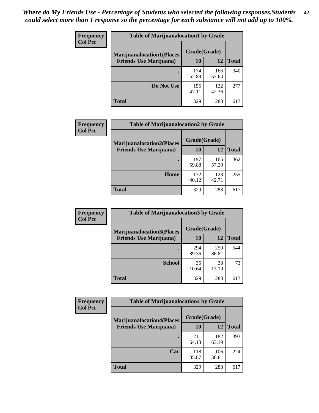| <b>Frequency</b> | <b>Table of Marijuanalocation1 by Grade</b> |              |              |              |
|------------------|---------------------------------------------|--------------|--------------|--------------|
| <b>Col Pct</b>   | <b>Marijuanalocation1(Places</b>            | Grade(Grade) |              |              |
|                  | <b>Friends Use Marijuana</b> )              | 10           | 12           | <b>Total</b> |
|                  |                                             | 174<br>52.89 | 166<br>57.64 | 340          |
|                  | Do Not Use                                  | 155<br>47.11 | 122<br>42.36 | 277          |
|                  | <b>Total</b>                                | 329          | 288          | 617          |

| <b>Frequency</b> | <b>Table of Marijuanalocation2 by Grade</b>                        |                    |              |              |
|------------------|--------------------------------------------------------------------|--------------------|--------------|--------------|
| <b>Col Pct</b>   | <b>Marijuanalocation2(Places</b><br><b>Friends Use Marijuana</b> ) | Grade(Grade)<br>10 | 12           | <b>Total</b> |
|                  |                                                                    | 197<br>59.88       | 165<br>57.29 | 362          |
|                  | Home                                                               | 132<br>40.12       | 123<br>42.71 | 255          |
|                  | <b>Total</b>                                                       | 329                | 288          | 617          |

| Frequency<br><b>Col Pct</b> | <b>Table of Marijuanalocation3 by Grade</b> |              |              |       |
|-----------------------------|---------------------------------------------|--------------|--------------|-------|
|                             | <b>Marijuanalocation3</b> (Places           | Grade(Grade) |              |       |
|                             | <b>Friends Use Marijuana</b> )              | 10           | 12           | Total |
|                             |                                             | 294<br>89.36 | 250<br>86.81 | 544   |
|                             | <b>School</b>                               | 35<br>10.64  | 38<br>13.19  | 73    |
|                             | <b>Total</b>                                | 329          | 288          | 617   |

| <b>Frequency</b> | <b>Table of Marijuanalocation4 by Grade</b> |              |              |              |  |
|------------------|---------------------------------------------|--------------|--------------|--------------|--|
| <b>Col Pct</b>   | <b>Marijuanalocation4(Places</b>            | Grade(Grade) |              |              |  |
|                  | <b>Friends Use Marijuana</b> )              | <b>10</b>    | 12           | <b>Total</b> |  |
|                  |                                             | 211<br>64.13 | 182<br>63.19 | 393          |  |
|                  | Car                                         | 118<br>35.87 | 106<br>36.81 | 224          |  |
|                  | <b>Total</b>                                | 329          | 288          | 617          |  |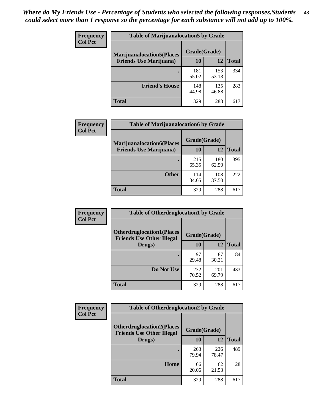| <b>Frequency</b> | <b>Table of Marijuanalocation5 by Grade</b> |              |              |              |
|------------------|---------------------------------------------|--------------|--------------|--------------|
| <b>Col Pct</b>   | <b>Marijuanalocation5</b> (Places           | Grade(Grade) |              |              |
|                  | <b>Friends Use Marijuana</b> )              | 10           | 12           | <b>Total</b> |
|                  |                                             | 181<br>55.02 | 153<br>53.13 | 334          |
|                  | <b>Friend's House</b>                       | 148<br>44.98 | 135<br>46.88 | 283          |
|                  | <b>Total</b>                                | 329          | 288          | 617          |

| <b>Frequency</b> | <b>Table of Marijuanalocation6 by Grade</b>                        |                    |              |              |
|------------------|--------------------------------------------------------------------|--------------------|--------------|--------------|
| <b>Col Pct</b>   | <b>Marijuanalocation6(Places</b><br><b>Friends Use Marijuana</b> ) | Grade(Grade)<br>10 | 12           | <b>Total</b> |
|                  |                                                                    | 215<br>65.35       | 180<br>62.50 | 395          |
|                  | <b>Other</b>                                                       | 114<br>34.65       | 108<br>37.50 | 222          |
|                  | <b>Total</b>                                                       | 329                | 288          | 617          |

| Frequency      | <b>Table of Otherdruglocation1 by Grade</b>                          |              |              |              |
|----------------|----------------------------------------------------------------------|--------------|--------------|--------------|
| <b>Col Pct</b> | <b>Otherdruglocation1(Places</b><br><b>Friends Use Other Illegal</b> | Grade(Grade) |              |              |
|                | Drugs)                                                               | 10           | 12           | <b>Total</b> |
|                |                                                                      | 97<br>29.48  | 87<br>30.21  | 184          |
|                | Do Not Use                                                           | 232<br>70.52 | 201<br>69.79 | 433          |
|                | <b>Total</b>                                                         | 329          | 288          | 617          |

| Frequency      | <b>Table of Otherdruglocation2 by Grade</b>                          |              |              |              |
|----------------|----------------------------------------------------------------------|--------------|--------------|--------------|
| <b>Col Pct</b> | <b>Otherdruglocation2(Places</b><br><b>Friends Use Other Illegal</b> |              | Grade(Grade) |              |
|                | Drugs)                                                               | 10           | 12           | <b>Total</b> |
|                |                                                                      | 263<br>79.94 | 226<br>78.47 | 489          |
|                | Home                                                                 | 66<br>20.06  | 62<br>21.53  | 128          |
|                | <b>Total</b>                                                         | 329          | 288          | 617          |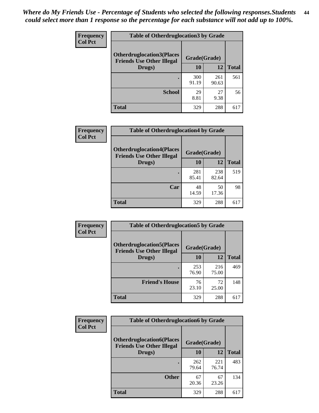| <b>Frequency</b> | <b>Table of Otherdruglocation 3 by Grade</b>                         |              |              |              |
|------------------|----------------------------------------------------------------------|--------------|--------------|--------------|
| <b>Col Pct</b>   | <b>Otherdruglocation3(Places</b><br><b>Friends Use Other Illegal</b> | Grade(Grade) |              |              |
|                  | Drugs)                                                               | 10           | 12           | <b>Total</b> |
|                  |                                                                      | 300<br>91.19 | 261<br>90.63 | 561          |
|                  | <b>School</b>                                                        | 29<br>8.81   | 27<br>9.38   | 56           |
|                  | <b>Total</b>                                                         | 329          | 288          |              |

| <b>Frequency</b> | <b>Table of Otherdruglocation4 by Grade</b>                          |              |              |              |
|------------------|----------------------------------------------------------------------|--------------|--------------|--------------|
| <b>Col Pct</b>   | <b>Otherdruglocation4(Places</b><br><b>Friends Use Other Illegal</b> | Grade(Grade) |              |              |
|                  | Drugs)                                                               | 10           | 12           | <b>Total</b> |
|                  |                                                                      | 281<br>85.41 | 238<br>82.64 | 519          |
|                  | Car                                                                  | 48<br>14.59  | 50<br>17.36  | 98           |
|                  | <b>Total</b>                                                         | 329          | 288          | 617          |

| Frequency<br><b>Col Pct</b> | <b>Table of Otherdruglocation5 by Grade</b>                          |              |              |              |
|-----------------------------|----------------------------------------------------------------------|--------------|--------------|--------------|
|                             | <b>Otherdruglocation5(Places</b><br><b>Friends Use Other Illegal</b> | Grade(Grade) |              |              |
|                             | Drugs)                                                               | 10           | 12           | <b>Total</b> |
|                             |                                                                      | 253<br>76.90 | 216<br>75.00 | 469          |
|                             | <b>Friend's House</b>                                                | 76<br>23.10  | 72<br>25.00  | 148          |
|                             | <b>Total</b>                                                         | 329          | 288          | 617          |

| <b>Frequency</b> | <b>Table of Otherdruglocation6 by Grade</b>                          |              |              |              |
|------------------|----------------------------------------------------------------------|--------------|--------------|--------------|
| <b>Col Pct</b>   | <b>Otherdruglocation6(Places</b><br><b>Friends Use Other Illegal</b> | Grade(Grade) |              |              |
|                  | Drugs)                                                               | 10           | 12           | <b>Total</b> |
|                  |                                                                      | 262<br>79.64 | 221<br>76.74 | 483          |
|                  | <b>Other</b>                                                         | 67<br>20.36  | 67<br>23.26  | 134          |
|                  | <b>Total</b>                                                         | 329          | 288          | 617          |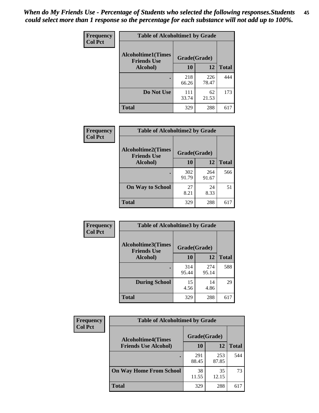| <b>Frequency</b> | <b>Table of Alcoholtime1 by Grade</b>           |              |              |              |
|------------------|-------------------------------------------------|--------------|--------------|--------------|
| <b>Col Pct</b>   | <b>Alcoholtime1(Times</b><br><b>Friends Use</b> | Grade(Grade) |              |              |
|                  | Alcohol)                                        | 10           | 12           | <b>Total</b> |
|                  |                                                 | 218<br>66.26 | 226<br>78.47 | 444          |
|                  | Do Not Use                                      | 111<br>33.74 | 62<br>21.53  | 173          |
|                  | <b>Total</b>                                    | 329          | 288          | 617          |

| Frequency      | <b>Table of Alcoholtime2 by Grade</b>           |              |              |              |
|----------------|-------------------------------------------------|--------------|--------------|--------------|
| <b>Col Pct</b> | <b>Alcoholtime2(Times</b><br><b>Friends Use</b> | Grade(Grade) |              |              |
|                | Alcohol)                                        | 10           | 12           | <b>Total</b> |
|                |                                                 | 302<br>91.79 | 264<br>91.67 | 566          |
|                | <b>On Way to School</b>                         | 27<br>8.21   | 24<br>8.33   | 51           |
|                | <b>Total</b>                                    | 329          | 288          | 617          |

| Frequency<br><b>Col Pct</b> | <b>Table of Alcoholtime3 by Grade</b>                           |              |              |              |
|-----------------------------|-----------------------------------------------------------------|--------------|--------------|--------------|
|                             | <b>Alcoholtime3(Times</b><br>Grade(Grade)<br><b>Friends Use</b> |              |              |              |
|                             | Alcohol)                                                        | 10           | 12           | <b>Total</b> |
|                             |                                                                 | 314<br>95.44 | 274<br>95.14 | 588          |
|                             | <b>During School</b>                                            | 15<br>4.56   | 14<br>4.86   | 29           |
|                             | Total                                                           | 329          | 288          | 617          |

| <b>Frequency</b> | <b>Table of Alcoholtime4 by Grade</b> |              |              |              |
|------------------|---------------------------------------|--------------|--------------|--------------|
| <b>Col Pct</b>   | <b>Alcoholtime4(Times</b>             | Grade(Grade) |              |              |
|                  | <b>Friends Use Alcohol)</b>           | 10           | 12           | <b>Total</b> |
|                  |                                       | 291<br>88.45 | 253<br>87.85 | 544          |
|                  | <b>On Way Home From School</b>        | 38<br>11.55  | 35<br>12.15  | 73           |
|                  | <b>Total</b>                          | 329          | 288          | 617          |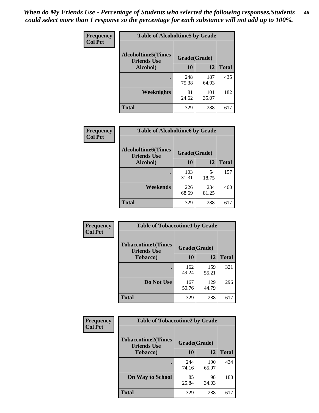*When do My Friends Use - Percentage of Students who selected the following responses.Students could select more than 1 response so the percentage for each substance will not add up to 100%.* **46**

| Frequency      | <b>Table of Alcoholtime5 by Grade</b>           |              |              |              |
|----------------|-------------------------------------------------|--------------|--------------|--------------|
| <b>Col Pct</b> | <b>Alcoholtime5(Times</b><br><b>Friends Use</b> | Grade(Grade) |              |              |
|                | Alcohol)                                        | 10           | 12           | <b>Total</b> |
|                |                                                 | 248<br>75.38 | 187<br>64.93 | 435          |
|                | Weeknights                                      | 81<br>24.62  | 101<br>35.07 | 182          |
|                | <b>Total</b>                                    | 329          | 288          | 617          |

| <b>Frequency</b> | <b>Table of Alcoholtime6 by Grade</b>           |              |              |              |
|------------------|-------------------------------------------------|--------------|--------------|--------------|
| <b>Col Pct</b>   | <b>Alcoholtime6(Times</b><br><b>Friends Use</b> | Grade(Grade) |              |              |
|                  | Alcohol)                                        | 10           | 12           | <b>Total</b> |
|                  |                                                 | 103<br>31.31 | 54<br>18.75  | 157          |
|                  | Weekends                                        | 226<br>68.69 | 234<br>81.25 | 460          |
|                  | <b>Total</b>                                    | 329          | 288          | 617          |

| Frequency      | <b>Table of Tobaccotime1 by Grade</b>           |              |              |              |
|----------------|-------------------------------------------------|--------------|--------------|--------------|
| <b>Col Pct</b> | <b>Tobaccotime1(Times</b><br><b>Friends Use</b> | Grade(Grade) |              |              |
|                | <b>Tobacco</b> )                                | 10           | 12           | <b>Total</b> |
|                |                                                 | 162<br>49.24 | 159<br>55.21 | 321          |
|                | Do Not Use                                      | 167<br>50.76 | 129<br>44.79 | 296          |
|                | <b>Total</b>                                    | 329          | 288          | 617          |

| <b>Frequency</b> | <b>Table of Tobaccotime2 by Grade</b>           |              |              |              |  |
|------------------|-------------------------------------------------|--------------|--------------|--------------|--|
| <b>Col Pct</b>   | <b>Tobaccotime2(Times</b><br><b>Friends Use</b> | Grade(Grade) |              |              |  |
|                  | <b>Tobacco</b> )                                | 10           | 12           | <b>Total</b> |  |
|                  |                                                 | 244<br>74.16 | 190<br>65.97 | 434          |  |
|                  | <b>On Way to School</b>                         | 85<br>25.84  | 98<br>34.03  | 183          |  |
|                  | <b>Total</b>                                    | 329          | 288          | 617          |  |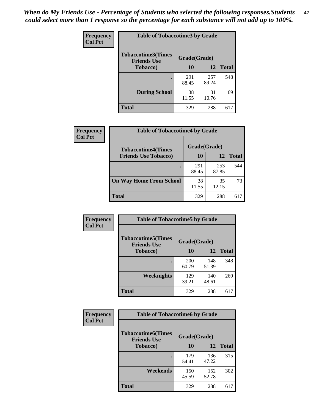*When do My Friends Use - Percentage of Students who selected the following responses.Students could select more than 1 response so the percentage for each substance will not add up to 100%.* **47**

| <b>Frequency</b> | <b>Table of Tobaccotime3 by Grade</b>           |              |              |              |  |
|------------------|-------------------------------------------------|--------------|--------------|--------------|--|
| <b>Col Pct</b>   | <b>Tobaccotime3(Times</b><br><b>Friends Use</b> | Grade(Grade) |              |              |  |
|                  | <b>Tobacco</b> )                                | 10           | 12           | <b>Total</b> |  |
|                  |                                                 | 291<br>88.45 | 257<br>89.24 | 548          |  |
|                  | <b>During School</b>                            | 38<br>11.55  | 31<br>10.76  | 69           |  |
|                  | <b>Total</b>                                    | 329          | 288          | 617          |  |

| <b>Frequency</b><br><b>Col Pct</b> | <b>Table of Tobaccotime4 by Grade</b> |              |              |              |
|------------------------------------|---------------------------------------|--------------|--------------|--------------|
|                                    | <b>Tobaccotime4(Times</b>             | Grade(Grade) |              |              |
|                                    | <b>Friends Use Tobacco)</b>           | 10           | 12           | <b>Total</b> |
|                                    |                                       | 291<br>88.45 | 253<br>87.85 | 544          |
|                                    | <b>On Way Home From School</b>        | 38<br>11.55  | 35<br>12.15  | 73           |
|                                    | <b>Total</b>                          | 329          | 288          | 617          |

| Frequency      | <b>Table of Tobaccotime5 by Grade</b>                           |                     |              |              |
|----------------|-----------------------------------------------------------------|---------------------|--------------|--------------|
| <b>Col Pct</b> | <b>Tobaccotime5(Times</b><br>Grade(Grade)<br><b>Friends Use</b> |                     |              |              |
|                | <b>Tobacco</b> )                                                | 10                  | 12           | <b>Total</b> |
|                |                                                                 | <b>200</b><br>60.79 | 148<br>51.39 | 348          |
|                | <b>Weeknights</b>                                               | 129<br>39.21        | 140<br>48.61 | 269          |
|                | <b>Total</b>                                                    | 329                 | 288          | 617          |

| Frequency<br><b>Col Pct</b> | <b>Table of Tobaccotime6 by Grade</b>                           |              |              |              |
|-----------------------------|-----------------------------------------------------------------|--------------|--------------|--------------|
|                             | <b>Tobaccotime6(Times</b><br>Grade(Grade)<br><b>Friends Use</b> |              |              |              |
|                             | <b>Tobacco</b> )                                                | 10           | 12           | <b>Total</b> |
|                             |                                                                 | 179<br>54.41 | 136<br>47.22 | 315          |
|                             | Weekends                                                        | 150<br>45.59 | 152<br>52.78 | 302          |
|                             | <b>Total</b>                                                    | 329          | 288          | 617          |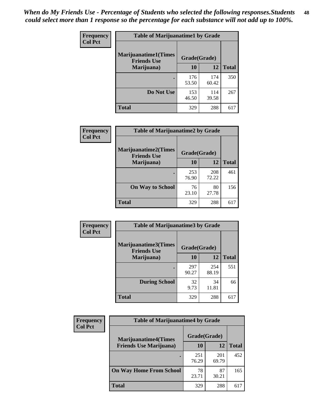| Frequency      | <b>Table of Marijuanatime1 by Grade</b>           |              |              |              |  |
|----------------|---------------------------------------------------|--------------|--------------|--------------|--|
| <b>Col Pct</b> | <b>Marijuanatime1(Times</b><br><b>Friends Use</b> | Grade(Grade) |              |              |  |
|                | Marijuana)                                        | 10           | 12           | <b>Total</b> |  |
|                |                                                   | 176<br>53.50 | 174<br>60.42 | 350          |  |
|                | Do Not Use                                        | 153<br>46.50 | 114<br>39.58 | 267          |  |
|                | <b>Total</b>                                      | 329          | 288          | 617          |  |

| Frequency      | <b>Table of Marijuanatime2 by Grade</b>           |              |              |              |
|----------------|---------------------------------------------------|--------------|--------------|--------------|
| <b>Col Pct</b> | <b>Marijuanatime2(Times</b><br><b>Friends Use</b> | Grade(Grade) |              |              |
|                | Marijuana)                                        | 10           | 12           | <b>Total</b> |
|                |                                                   | 253<br>76.90 | 208<br>72.22 | 461          |
|                | <b>On Way to School</b>                           | 76<br>23.10  | 80<br>27.78  | 156          |
|                | <b>Total</b>                                      | 329          | 288          | 617          |

| Frequency      | <b>Table of Marijuanatime3 by Grade</b>    |              |              |              |  |
|----------------|--------------------------------------------|--------------|--------------|--------------|--|
| <b>Col Pct</b> | Marijuanatime3(Times<br><b>Friends Use</b> | Grade(Grade) |              |              |  |
|                | Marijuana)                                 | 10           | 12           | <b>Total</b> |  |
|                |                                            | 297<br>90.27 | 254<br>88.19 | 551          |  |
|                | <b>During School</b>                       | 32<br>9.73   | 34<br>11.81  | 66           |  |
|                | <b>Total</b>                               | 329          | 288          | 617          |  |

| <b>Frequency</b><br><b>Col Pct</b> | <b>Table of Marijuanatime4 by Grade</b> |              |              |              |
|------------------------------------|-----------------------------------------|--------------|--------------|--------------|
|                                    | <b>Marijuanatime4</b> (Times            | Grade(Grade) |              |              |
|                                    | <b>Friends Use Marijuana</b> )          | 10           | 12           | <b>Total</b> |
|                                    |                                         | 251<br>76.29 | 201<br>69.79 | 452          |
|                                    | <b>On Way Home From School</b>          | 78<br>23.71  | 87<br>30.21  | 165          |
|                                    | <b>Total</b>                            | 329          | 288          | 617          |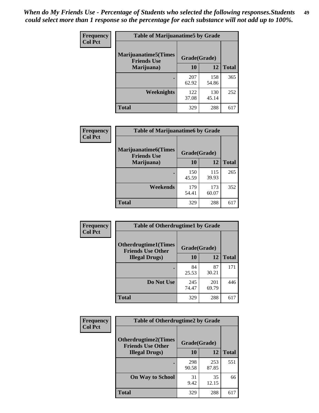| Frequency      | <b>Table of Marijuanatime5 by Grade</b>            |              |              |              |  |
|----------------|----------------------------------------------------|--------------|--------------|--------------|--|
| <b>Col Pct</b> | <b>Marijuanatime5</b> (Times<br><b>Friends Use</b> | Grade(Grade) |              |              |  |
|                | Marijuana)                                         | 10           | 12           | <b>Total</b> |  |
|                |                                                    | 207<br>62.92 | 158<br>54.86 | 365          |  |
|                | Weeknights                                         | 122<br>37.08 | 130<br>45.14 | 252          |  |
|                | <b>Total</b>                                       | 329          | 288          | 617          |  |

| Frequency      | <b>Table of Marijuanatime6 by Grade</b>            |              |              |              |
|----------------|----------------------------------------------------|--------------|--------------|--------------|
| <b>Col Pct</b> | <b>Marijuanatime6</b> (Times<br><b>Friends Use</b> | Grade(Grade) |              |              |
|                | Marijuana)                                         | 10           | 12           | <b>Total</b> |
|                |                                                    | 150<br>45.59 | 115<br>39.93 | 265          |
|                | Weekends                                           | 179<br>54.41 | 173<br>60.07 | 352          |
|                | <b>Total</b>                                       | 329          | 288          | 617          |

| <b>Frequency</b> | <b>Table of Otherdrugtime1 by Grade</b>                  |              |              |              |  |
|------------------|----------------------------------------------------------|--------------|--------------|--------------|--|
| <b>Col Pct</b>   | <b>Otherdrugtime1</b> (Times<br><b>Friends Use Other</b> | Grade(Grade) |              |              |  |
|                  | <b>Illegal Drugs</b> )                                   | 10           | 12           | <b>Total</b> |  |
|                  |                                                          | 84<br>25.53  | 87<br>30.21  | 171          |  |
|                  | Do Not Use                                               | 245<br>74.47 | 201<br>69.79 | 446          |  |
|                  | <b>Total</b>                                             | 329          | 288          | 617          |  |

| Frequency      | <b>Table of Otherdrugtime2 by Grade</b>                 |              |              |              |  |  |  |
|----------------|---------------------------------------------------------|--------------|--------------|--------------|--|--|--|
| <b>Col Pct</b> | <b>Otherdrugtime2(Times</b><br><b>Friends Use Other</b> | Grade(Grade) |              |              |  |  |  |
|                | <b>Illegal Drugs</b> )                                  | 10           | 12           | <b>Total</b> |  |  |  |
|                |                                                         | 298<br>90.58 | 253<br>87.85 | 551          |  |  |  |
|                | <b>On Way to School</b>                                 | 31<br>9.42   | 35<br>12.15  | 66           |  |  |  |
|                | Total                                                   | 329          | 288          | 617          |  |  |  |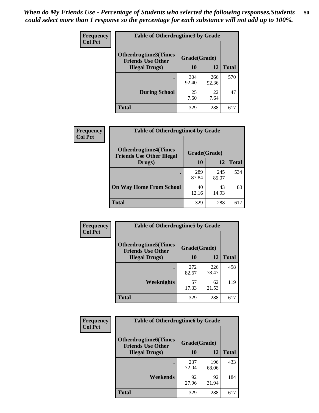| <b>Frequency</b> | <b>Table of Otherdrugtime3 by Grade</b>                 |              |              |              |  |  |
|------------------|---------------------------------------------------------|--------------|--------------|--------------|--|--|
| <b>Col Pct</b>   | <b>Otherdrugtime3(Times</b><br><b>Friends Use Other</b> | Grade(Grade) |              |              |  |  |
|                  | <b>Illegal Drugs</b> )                                  | 10           | 12           | <b>Total</b> |  |  |
|                  |                                                         | 304<br>92.40 | 266<br>92.36 | 570          |  |  |
|                  | <b>During School</b>                                    | 25<br>7.60   | 22<br>7.64   | 47           |  |  |
|                  | Total                                                   | 329          | 288          | 617          |  |  |

| <b>Frequency</b> | <b>Table of Otherdrugtime4 by Grade</b>                         |              |              |              |  |  |
|------------------|-----------------------------------------------------------------|--------------|--------------|--------------|--|--|
| <b>Col Pct</b>   | <b>Otherdrugtime4(Times</b><br><b>Friends Use Other Illegal</b> | Grade(Grade) |              |              |  |  |
|                  | Drugs)                                                          | 10           | 12           | <b>Total</b> |  |  |
|                  | $\bullet$                                                       | 289<br>87.84 | 245<br>85.07 | 534          |  |  |
|                  | <b>On Way Home From School</b>                                  | 40<br>12.16  | 43<br>14.93  | 83           |  |  |
|                  | <b>Total</b>                                                    | 329          | 288          | 617          |  |  |

| <b>Frequency</b> | <b>Table of Otherdrugtime5 by Grade</b>                  |              |              |              |  |  |  |
|------------------|----------------------------------------------------------|--------------|--------------|--------------|--|--|--|
| <b>Col Pct</b>   | <b>Otherdrugtime5</b> (Times<br><b>Friends Use Other</b> | Grade(Grade) |              |              |  |  |  |
|                  | <b>Illegal Drugs</b> )                                   | 10           | 12           | <b>Total</b> |  |  |  |
|                  |                                                          | 272<br>82.67 | 226<br>78.47 | 498          |  |  |  |
|                  | Weeknights                                               | 57<br>17.33  | 62<br>21.53  | 119          |  |  |  |
|                  | <b>Total</b>                                             | 329          | 288          | 617          |  |  |  |

| Frequency      | <b>Table of Otherdrugtime6 by Grade</b>                 |              |              |              |  |  |  |
|----------------|---------------------------------------------------------|--------------|--------------|--------------|--|--|--|
| <b>Col Pct</b> | <b>Otherdrugtime6(Times</b><br><b>Friends Use Other</b> | Grade(Grade) |              |              |  |  |  |
|                | <b>Illegal Drugs)</b>                                   | 10           | 12           | <b>Total</b> |  |  |  |
|                |                                                         | 237<br>72.04 | 196<br>68.06 | 433          |  |  |  |
|                | Weekends                                                | 92<br>27.96  | 92<br>31.94  | 184          |  |  |  |
|                | <b>Total</b>                                            | 329          | 288          | 617          |  |  |  |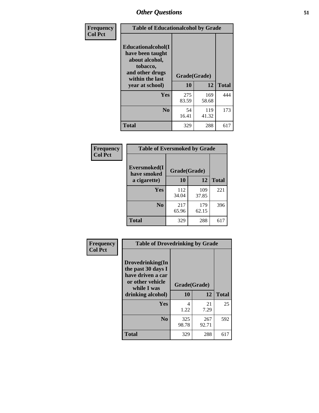| Frequency      | <b>Table of Educationalcohol by Grade</b>                                                                  |              |              |              |  |  |
|----------------|------------------------------------------------------------------------------------------------------------|--------------|--------------|--------------|--|--|
| <b>Col Pct</b> | Educationalcohol(I<br>have been taught<br>about alcohol,<br>tobacco,<br>and other drugs<br>within the last | Grade(Grade) |              |              |  |  |
|                | year at school)                                                                                            | 10           | 12           | <b>Total</b> |  |  |
|                | <b>Yes</b>                                                                                                 | 275<br>83.59 | 169<br>58.68 | 444          |  |  |
|                | N <sub>0</sub>                                                                                             | 54<br>16.41  | 119<br>41.32 | 173          |  |  |
|                | <b>Total</b>                                                                                               | 329          | 288          | 617          |  |  |

| Frequency      | <b>Table of Eversmoked by Grade</b> |              |              |              |  |  |  |
|----------------|-------------------------------------|--------------|--------------|--------------|--|--|--|
| <b>Col Pct</b> | Eversmoked(I<br>have smoked         | Grade(Grade) |              |              |  |  |  |
|                | a cigarette)                        | 10           | 12           | <b>Total</b> |  |  |  |
|                | <b>Yes</b>                          | 112<br>34.04 | 109<br>37.85 | 221          |  |  |  |
|                | N <sub>0</sub>                      | 217<br>65.96 | 179<br>62.15 | 396          |  |  |  |
|                | <b>Total</b>                        | 329          | 288          | 617          |  |  |  |

| Frequency      | <b>Table of Drovedrinking by Grade</b>                                                                              |                    |              |     |  |  |
|----------------|---------------------------------------------------------------------------------------------------------------------|--------------------|--------------|-----|--|--|
| <b>Col Pct</b> | Drovedrinking(In<br>the past 30 days I<br>have driven a car<br>or other vehicle<br>while I was<br>drinking alcohol) | Grade(Grade)<br>10 | <b>Total</b> |     |  |  |
|                |                                                                                                                     |                    | 12           |     |  |  |
|                | <b>Yes</b>                                                                                                          | 4<br>1.22          | 21<br>7.29   | 25  |  |  |
|                |                                                                                                                     |                    |              |     |  |  |
|                | N <sub>0</sub>                                                                                                      | 325<br>98.78       | 267<br>92.71 | 592 |  |  |
|                | <b>Total</b>                                                                                                        | 329                | 288          | 617 |  |  |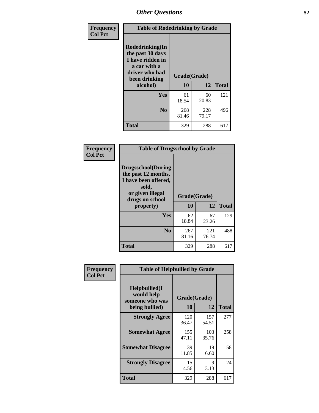| Frequency<br><b>Col Pct</b> | <b>Table of Rodedrinking by Grade</b>                                                                      |                                      |              |              |  |  |
|-----------------------------|------------------------------------------------------------------------------------------------------------|--------------------------------------|--------------|--------------|--|--|
|                             | Rodedrinking(In<br>the past 30 days<br>I have ridden in<br>a car with a<br>driver who had<br>been drinking | Grade(Grade)<br>10<br>12<br>alcohol) |              | <b>Total</b> |  |  |
|                             | <b>Yes</b>                                                                                                 | 61<br>18.54                          | 60<br>20.83  | 121          |  |  |
|                             | N <sub>0</sub>                                                                                             | 268<br>81.46                         | 228<br>79.17 | 496          |  |  |
|                             | <b>Total</b>                                                                                               | 329                                  | 288          | 617          |  |  |

#### **Frequency Col Pct**

| <b>Table of Drugsschool by Grade</b>                                                                                      |              |              |              |  |  |  |  |
|---------------------------------------------------------------------------------------------------------------------------|--------------|--------------|--------------|--|--|--|--|
| <b>Drugsschool</b> (During<br>the past 12 months,<br>I have been offered,<br>sold,<br>or given illegal<br>drugs on school | Grade(Grade) |              |              |  |  |  |  |
| property)                                                                                                                 | 10           | 12           | <b>Total</b> |  |  |  |  |
| Yes                                                                                                                       | 62<br>18.84  | 67<br>23.26  | 129          |  |  |  |  |
| N <sub>0</sub>                                                                                                            | 267<br>81.16 | 221<br>76.74 | 488          |  |  |  |  |
| <b>Total</b>                                                                                                              | 329          | 288          | 617          |  |  |  |  |

| Frequency      | <b>Table of Helpbullied by Grade</b>                 |              |              |              |  |  |  |
|----------------|------------------------------------------------------|--------------|--------------|--------------|--|--|--|
| <b>Col Pct</b> | $Helpb$ ullied $(I$<br>would help<br>someone who was | Grade(Grade) |              |              |  |  |  |
|                | being bullied)                                       | <b>10</b>    | 12           | <b>Total</b> |  |  |  |
|                | <b>Strongly Agree</b>                                | 120<br>36.47 | 157<br>54.51 | 277          |  |  |  |
|                | <b>Somewhat Agree</b>                                | 155<br>47.11 | 103<br>35.76 | 258          |  |  |  |
|                | <b>Somewhat Disagree</b>                             | 39<br>11.85  | 19<br>6.60   | 58           |  |  |  |
|                | <b>Strongly Disagree</b>                             | 15<br>4.56   | 9<br>3.13    | 24           |  |  |  |
|                | <b>Total</b>                                         | 329          | 288          | 617          |  |  |  |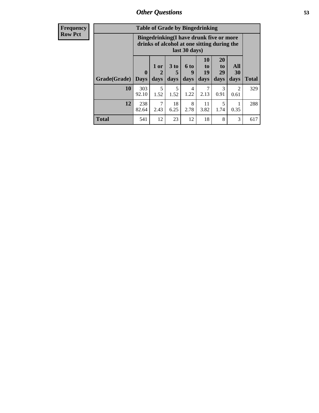| <b>Frequency</b><br><b>Row Pct</b> |              | <b>Table of Grade by Bingedrinking</b><br>Bingedrinking(I have drunk five or more<br>drinks of alcohol at one sitting during the<br>last 30 days) |                   |                              |                   |                                 |                               |                          |              |
|------------------------------------|--------------|---------------------------------------------------------------------------------------------------------------------------------------------------|-------------------|------------------------------|-------------------|---------------------------------|-------------------------------|--------------------------|--------------|
|                                    | Grade(Grade) | $\mathbf{0}$<br><b>Days</b>                                                                                                                       | 1 or<br>2<br>days | 3 <sub>to</sub><br>5<br>days | 6 to<br>9<br>days | <b>10</b><br>to  <br>19<br>days | <b>20</b><br>to<br>29<br>days | All<br><b>30</b><br>days | <b>Total</b> |
|                                    | 10           | 303<br>92.10                                                                                                                                      | 5<br>1.52         | 5<br>1.52                    | 4<br>1.22         | 7<br>2.13                       | 3<br>0.91                     | $\overline{c}$<br>0.61   | 329          |
|                                    | 12           | 238<br>82.64                                                                                                                                      | 7<br>2.43         | 18<br>6.25                   | 8<br>2.78         | 11<br>3.82                      | 5<br>1.74                     | 0.35                     | 288          |
|                                    | <b>Total</b> | 541                                                                                                                                               | 12                | 23                           | 12                | 18                              | 8                             | 3                        | 617          |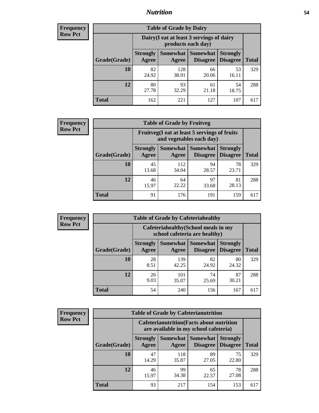### *Nutrition* **54**

| <b>Frequency</b><br>Row Pct |
|-----------------------------|
|                             |

| <b>Table of Grade by Dairy</b> |                                                                                                                                  |                                                                 |             |             |     |  |  |  |
|--------------------------------|----------------------------------------------------------------------------------------------------------------------------------|-----------------------------------------------------------------|-------------|-------------|-----|--|--|--|
|                                |                                                                                                                                  | Dairy (I eat at least 3 servings of dairy<br>products each day) |             |             |     |  |  |  |
| Grade(Grade)                   | <b>Somewhat</b><br><b>Somewhat</b><br><b>Strongly</b><br><b>Strongly</b><br><b>Disagree</b><br>Agree<br><b>Disagree</b><br>Agree |                                                                 |             |             |     |  |  |  |
| 10                             | 82<br>24.92                                                                                                                      | 128<br>38.91                                                    | 66<br>20.06 | 53<br>16.11 | 329 |  |  |  |
| 12                             | 80<br>27.78                                                                                                                      | 93<br>32.29                                                     | 61<br>21.18 | 54<br>18.75 | 288 |  |  |  |
| <b>Total</b>                   | 162                                                                                                                              | 221                                                             | 127         | 107         | 617 |  |  |  |

| <b>Frequency</b> |  |
|------------------|--|
| <b>Row Pct</b>   |  |

| <b>Table of Grade by Fruitveg</b> |                                                                          |              |                               |                                    |              |  |  |  |
|-----------------------------------|--------------------------------------------------------------------------|--------------|-------------------------------|------------------------------------|--------------|--|--|--|
|                                   | Fruitveg(I eat at least 5 servings of fruits<br>and vegetables each day) |              |                               |                                    |              |  |  |  |
| Grade(Grade)                      | <b>Strongly</b><br>Agree                                                 | Agree        | Somewhat Somewhat<br>Disagree | <b>Strongly</b><br><b>Disagree</b> | <b>Total</b> |  |  |  |
| 10                                | 45<br>13.68                                                              | 112<br>34.04 | 94<br>28.57                   | 78<br>23.71                        | 329          |  |  |  |
| 12                                | 46<br>15.97                                                              | 64<br>22.22  | 97<br>33.68                   | 81<br>28.13                        | 288          |  |  |  |
| <b>Total</b>                      | 91                                                                       | 176          | 191                           | 159                                | 617          |  |  |  |

| <b>Frequency</b> | <b>Table of Grade by Cafeteriahealthy</b> |                                                                       |              |                                        |                                    |              |  |  |
|------------------|-------------------------------------------|-----------------------------------------------------------------------|--------------|----------------------------------------|------------------------------------|--------------|--|--|
| <b>Row Pct</b>   |                                           | Cafeteriahealthy (School meals in my<br>school cafeteria are healthy) |              |                                        |                                    |              |  |  |
|                  | Grade(Grade)                              | <b>Strongly</b><br>Agree                                              | Agree        | Somewhat   Somewhat<br><b>Disagree</b> | <b>Strongly</b><br><b>Disagree</b> | <b>Total</b> |  |  |
|                  | 10                                        | 28<br>8.51                                                            | 139<br>42.25 | 82<br>24.92                            | 80<br>24.32                        | 329          |  |  |
|                  | 12                                        | 26<br>9.03                                                            | 101<br>35.07 | 74<br>25.69                            | 87<br>30.21                        | 288          |  |  |
|                  | <b>Total</b>                              | 54                                                                    | 240          | 156                                    | 167                                | 617          |  |  |

| <b>Frequency</b> |
|------------------|
| <b>Row Pct</b>   |

| <b>Table of Grade by Cafeterianutrition</b> |                          |                                                                                           |                             |                                    |              |  |  |  |
|---------------------------------------------|--------------------------|-------------------------------------------------------------------------------------------|-----------------------------|------------------------------------|--------------|--|--|--|
|                                             |                          | <b>Cafeterianutrition</b> (Facts about nutrition<br>are available in my school cafeteria) |                             |                                    |              |  |  |  |
| Grade(Grade)                                | <b>Strongly</b><br>Agree | <b>Somewhat</b><br>Agree                                                                  | <b>Somewhat</b><br>Disagree | <b>Strongly</b><br><b>Disagree</b> | <b>Total</b> |  |  |  |
| 10                                          | 47<br>14.29              | 118<br>35.87                                                                              | 89<br>27.05                 | 75<br>22.80                        | 329          |  |  |  |
| 12                                          | 46<br>15.97              | 99<br>34.38                                                                               | 65<br>22.57                 | 78<br>27.08                        | 288          |  |  |  |
| Total                                       | 93                       | 217                                                                                       | 154                         | 153                                |              |  |  |  |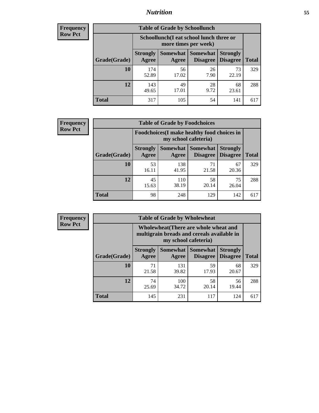### *Nutrition* **55**

| <b>Frequency</b> |
|------------------|
| <b>Row Pct</b>   |

| <b>Table of Grade by Schoollunch</b> |                                                                                                          |                                                                 |            |             |     |  |  |  |
|--------------------------------------|----------------------------------------------------------------------------------------------------------|-----------------------------------------------------------------|------------|-------------|-----|--|--|--|
|                                      |                                                                                                          | Schoollunch(I eat school lunch three or<br>more times per week) |            |             |     |  |  |  |
| Grade(Grade)                         | Somewhat Somewhat<br><b>Strongly</b><br><b>Strongly</b><br><b>Disagree</b><br>Disagree<br>Agree<br>Agree |                                                                 |            |             |     |  |  |  |
| 10                                   | 174<br>52.89                                                                                             | 56<br>17.02                                                     | 26<br>7.90 | 73<br>22.19 | 329 |  |  |  |
| 12                                   | 143<br>49.65                                                                                             | 49<br>17.01                                                     | 28<br>9.72 | 68<br>23.61 | 288 |  |  |  |
| <b>Total</b>                         | 317                                                                                                      | 105                                                             | 54         | 141         | 617 |  |  |  |

| <b>Frequency</b> |  |
|------------------|--|
| <b>Row Pct</b>   |  |

| <b>Table of Grade by Foodchoices</b> |                                                                     |                          |                             |                                    |              |  |  |  |
|--------------------------------------|---------------------------------------------------------------------|--------------------------|-----------------------------|------------------------------------|--------------|--|--|--|
|                                      | Foodchoices (I make healthy food choices in<br>my school cafeteria) |                          |                             |                                    |              |  |  |  |
| Grade(Grade)                         | <b>Strongly</b><br>Agree                                            | <b>Somewhat</b><br>Agree | <b>Somewhat</b><br>Disagree | <b>Strongly</b><br><b>Disagree</b> | <b>Total</b> |  |  |  |
| 10                                   | 53<br>16.11                                                         | 138<br>41.95             | 71<br>21.58                 | 67<br>20.36                        | 329          |  |  |  |
| 12                                   | 45<br>15.63                                                         | 110<br>38.19             | 58<br>20.14                 | 75<br>26.04                        | 288          |  |  |  |
| <b>Total</b>                         | 98                                                                  | 248                      | 129                         | 142                                | 617          |  |  |  |

| Frequency      | <b>Table of Grade by Wholewheat</b> |                                                                                                             |              |                                   |                                    |              |  |  |  |
|----------------|-------------------------------------|-------------------------------------------------------------------------------------------------------------|--------------|-----------------------------------|------------------------------------|--------------|--|--|--|
| <b>Row Pct</b> |                                     | Wholewheat (There are whole wheat and<br>multigrain breads and cereals available in<br>my school cafeteria) |              |                                   |                                    |              |  |  |  |
|                | Grade(Grade)                        | <b>Strongly</b><br>Agree                                                                                    | Agree        | Somewhat   Somewhat  <br>Disagree | <b>Strongly</b><br><b>Disagree</b> | <b>Total</b> |  |  |  |
|                | 10                                  | 71<br>21.58                                                                                                 | 131<br>39.82 | 59<br>17.93                       | 68<br>20.67                        | 329          |  |  |  |
|                | 12                                  | 74<br>25.69                                                                                                 | 100<br>34.72 | 58<br>20.14                       | 56<br>19.44                        | 288          |  |  |  |
|                | <b>Total</b>                        | 145                                                                                                         | 231          | 117                               | 124                                | 617          |  |  |  |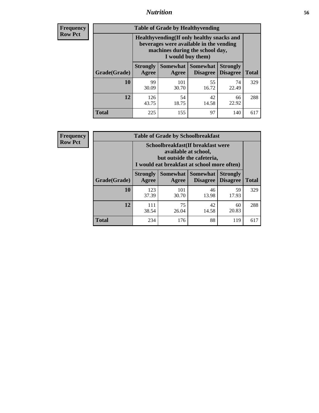### *Nutrition* **56**

**Frequency Row Pct**

| <b>Table of Grade by Healthyvending</b> |                                                                                                                                               |                          |                                    |                                    |              |  |
|-----------------------------------------|-----------------------------------------------------------------------------------------------------------------------------------------------|--------------------------|------------------------------------|------------------------------------|--------------|--|
|                                         | Healthyvending (If only healthy snacks and<br>beverages were available in the vending<br>machines during the school day,<br>I would buy them) |                          |                                    |                                    |              |  |
| Grade(Grade)                            | <b>Strongly</b><br>Agree                                                                                                                      | <b>Somewhat</b><br>Agree | <b>Somewhat</b><br><b>Disagree</b> | <b>Strongly</b><br><b>Disagree</b> | <b>Total</b> |  |
| 10                                      | 99<br>30.09                                                                                                                                   | 101<br>30.70             | 55<br>16.72                        | 74<br>22.49                        | 329          |  |
| 12                                      | 126<br>43.75                                                                                                                                  | 54<br>18.75              | 42<br>14.58                        | 66<br>22.92                        | 288          |  |
| <b>Total</b>                            | 225                                                                                                                                           | 155                      | 97                                 | 140                                | 617          |  |

**Frequency Row Pct**

| <b>Table of Grade by Schoolbreakfast</b> |                                                                                                                                         |                     |                                    |                                    |              |
|------------------------------------------|-----------------------------------------------------------------------------------------------------------------------------------------|---------------------|------------------------------------|------------------------------------|--------------|
|                                          | Schoolbreakfast (If breakfast were<br>available at school,<br>but outside the cafeteria,<br>I would eat breakfast at school more often) |                     |                                    |                                    |              |
| Grade(Grade)                             | <b>Strongly</b><br>Agree                                                                                                                | Somewhat  <br>Agree | <b>Somewhat</b><br><b>Disagree</b> | <b>Strongly</b><br><b>Disagree</b> | <b>Total</b> |
| 10                                       | 123<br>37.39                                                                                                                            | 101<br>30.70        | 46<br>13.98                        | 59<br>17.93                        | 329          |
| 12                                       | 111<br>38.54                                                                                                                            | 75<br>26.04         | 42<br>14.58                        | 60<br>20.83                        | 288          |
| <b>Total</b>                             | 234                                                                                                                                     | 176                 | 88                                 | 119                                | 617          |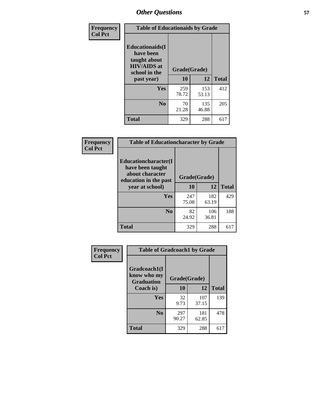| Frequency<br><b>Col Pct</b> | <b>Table of Educationaids by Grade</b>                                                                    |                    |              |              |
|-----------------------------|-----------------------------------------------------------------------------------------------------------|--------------------|--------------|--------------|
|                             | <b>Educationaids</b> (I<br>have been<br>taught about<br><b>HIV/AIDS</b> at<br>school in the<br>past year) | Grade(Grade)<br>10 | 12           | <b>Total</b> |
|                             | Yes                                                                                                       | 259<br>78.72       | 153<br>53.13 | 412          |
|                             | N <sub>0</sub>                                                                                            | 70<br>21.28        | 135<br>46.88 | 205          |
|                             | <b>Total</b>                                                                                              | 329                | 288          | 617          |

| <b>Frequency</b> | <b>Table of Educationcharacter by Grade</b>                                          |              |              |              |  |
|------------------|--------------------------------------------------------------------------------------|--------------|--------------|--------------|--|
| <b>Col Pct</b>   | Educationcharacter(I<br>have been taught<br>about character<br>education in the past | Grade(Grade) |              |              |  |
|                  | year at school)                                                                      | 10           | 12           | <b>Total</b> |  |
|                  | <b>Yes</b>                                                                           | 247<br>75.08 | 182<br>63.19 | 429          |  |
|                  | N <sub>0</sub>                                                                       | 82<br>24.92  | 106<br>36.81 | 188          |  |
|                  | <b>Total</b>                                                                         | 329          | 288          | 617          |  |

| Frequency      | <b>Table of Gradcoach1 by Grade</b> |              |              |              |
|----------------|-------------------------------------|--------------|--------------|--------------|
| <b>Col Pct</b> | Gradcoach1(I<br>know who my         | Grade(Grade) |              |              |
|                | <b>Graduation</b><br>Coach is)      | 10           | 12           | <b>Total</b> |
|                | Yes                                 | 32<br>9.73   | 107<br>37.15 | 139          |
|                | N <sub>0</sub>                      | 297<br>90.27 | 181<br>62.85 | 478          |
|                | <b>Total</b>                        | 329          | 288          | 617          |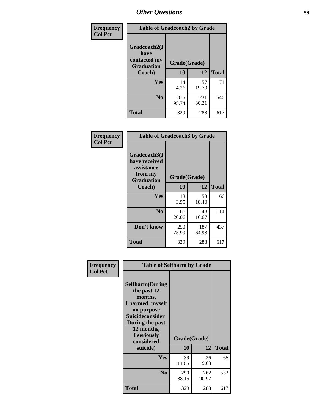| Frequency      | <b>Table of Gradcoach2 by Grade</b> |              |              |              |
|----------------|-------------------------------------|--------------|--------------|--------------|
| <b>Col Pct</b> |                                     |              |              |              |
|                | Gradcoach2(I<br>have                |              |              |              |
|                | contacted my<br><b>Graduation</b>   | Grade(Grade) |              |              |
|                | Coach)                              | 10           | 12           | <b>Total</b> |
|                | Yes                                 | 14<br>4.26   | 57<br>19.79  | 71           |
|                | N <sub>0</sub>                      | 315<br>95.74 | 231<br>80.21 | 546          |
|                | <b>Total</b>                        | 329          | 288          | 617          |

| <b>Frequency</b><br><b>Col Pct</b> | <b>Table of Gradcoach3 by Grade</b>                                         |              |              |              |
|------------------------------------|-----------------------------------------------------------------------------|--------------|--------------|--------------|
|                                    | Gradcoach3(I<br>have received<br>assistance<br>from my<br><b>Graduation</b> | Grade(Grade) |              |              |
|                                    | Coach)                                                                      | 10           | 12           | <b>Total</b> |
|                                    | Yes                                                                         | 13<br>3.95   | 53<br>18.40  | 66           |
|                                    | N <sub>0</sub>                                                              | 66<br>20.06  | 48<br>16.67  | 114          |
|                                    | Don't know                                                                  | 250<br>75.99 | 187<br>64.93 | 437          |
|                                    | <b>Total</b>                                                                | 329          | 288          | 617          |

| <b>Selfharm</b> (During<br>the past 12<br>months,<br>I harmed myself<br>on purpose<br><b>Suicideconsider</b><br>During the past<br>12 months,<br>I seriously<br>considered |              |              |                                                         |
|----------------------------------------------------------------------------------------------------------------------------------------------------------------------------|--------------|--------------|---------------------------------------------------------|
| suicide)                                                                                                                                                                   |              |              | <b>Total</b>                                            |
| <b>Yes</b>                                                                                                                                                                 | 39<br>11.85  | 26<br>9.03   | 65                                                      |
| N <sub>0</sub>                                                                                                                                                             | 290<br>88.15 | 262<br>90.97 | 552                                                     |
| <b>Total</b>                                                                                                                                                               | 329          | 288          | 617                                                     |
|                                                                                                                                                                            |              | 10           | <b>Table of Selfharm by Grade</b><br>Grade(Grade)<br>12 |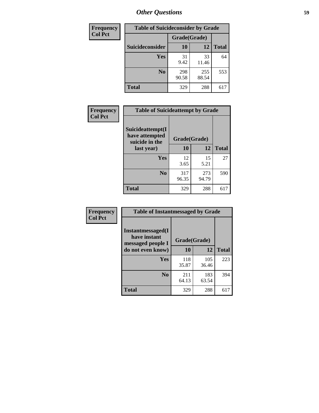| <b>Frequency</b> | <b>Table of Suicideconsider by Grade</b> |              |              |              |  |
|------------------|------------------------------------------|--------------|--------------|--------------|--|
| <b>Col Pct</b>   |                                          | Grade(Grade) |              |              |  |
|                  | Suicideconsider                          | <b>10</b>    | 12           | <b>Total</b> |  |
|                  | Yes                                      | 31<br>9.42   | 33<br>11.46  | 64           |  |
|                  | N <sub>0</sub>                           | 298<br>90.58 | 255<br>88.54 | 553          |  |
|                  | Total                                    | 329          | 288          | 617          |  |

| Frequency      | <b>Table of Suicideattempt by Grade</b>              |              |              |              |
|----------------|------------------------------------------------------|--------------|--------------|--------------|
| <b>Col Pct</b> | Suicideattempt(I<br>have attempted<br>suicide in the | Grade(Grade) |              |              |
|                | last year)                                           | 10           | 12           | <b>Total</b> |
|                | Yes                                                  | 12<br>3.65   | 15<br>5.21   | 27           |
|                | N <sub>0</sub>                                       | 317<br>96.35 | 273<br>94.79 | 590          |
|                | <b>Total</b>                                         | 329          | 288          | 617          |

| Frequency      | <b>Table of Instantmessaged by Grade</b>               |              |              |              |
|----------------|--------------------------------------------------------|--------------|--------------|--------------|
| <b>Col Pct</b> | Instantmessaged(I<br>have instant<br>messaged people I | Grade(Grade) |              |              |
|                | do not even know)                                      | 10           | 12           | <b>Total</b> |
|                | <b>Yes</b>                                             | 118<br>35.87 | 105<br>36.46 | 223          |
|                | N <sub>0</sub>                                         | 211<br>64.13 | 183<br>63.54 | 394          |
|                | <b>Total</b>                                           | 329          | 288          | 617          |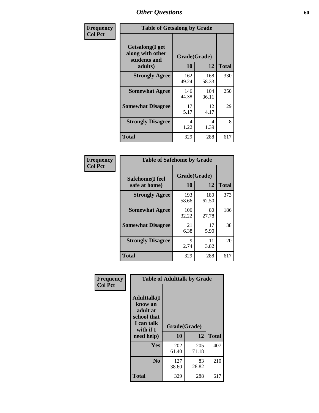| Frequency      | <b>Table of Getsalong by Grade</b>                          |              |              |              |
|----------------|-------------------------------------------------------------|--------------|--------------|--------------|
| <b>Col Pct</b> | <b>Getsalong</b> (I get<br>along with other<br>students and |              | Grade(Grade) |              |
|                | adults)                                                     | 10           | 12           | <b>Total</b> |
|                | <b>Strongly Agree</b>                                       | 162<br>49.24 | 168<br>58.33 | 330          |
|                | <b>Somewhat Agree</b>                                       | 146<br>44.38 | 104<br>36.11 | 250          |
|                | <b>Somewhat Disagree</b>                                    | 17<br>5.17   | 12<br>4.17   | 29           |
|                | <b>Strongly Disagree</b>                                    | 4<br>1.22    | 4<br>1.39    | 8            |
|                | <b>Total</b>                                                | 329          | 288          | 617          |

| Frequency      | <b>Table of Safehome by Grade</b> |                           |              |              |
|----------------|-----------------------------------|---------------------------|--------------|--------------|
| <b>Col Pct</b> | Safehome(I feel<br>safe at home)  | Grade(Grade)<br><b>10</b> | 12           | <b>Total</b> |
|                | <b>Strongly Agree</b>             | 193<br>58.66              | 180<br>62.50 | 373          |
|                | <b>Somewhat Agree</b>             | 106<br>32.22              | 80<br>27.78  | 186          |
|                | <b>Somewhat Disagree</b>          | 21<br>6.38                | 17<br>5.90   | 38           |
|                | <b>Strongly Disagree</b>          | 9<br>2.74                 | 11<br>3.82   | 20           |
|                | <b>Total</b>                      | 329                       | 288          | 617          |

| Frequency      |                                                                                      |              | <b>Table of Adulttalk by Grade</b> |              |
|----------------|--------------------------------------------------------------------------------------|--------------|------------------------------------|--------------|
| <b>Col Pct</b> | <b>Adulttalk</b> (I<br>know an<br>adult at<br>school that<br>I can talk<br>with if I | Grade(Grade) |                                    |              |
|                | need help)                                                                           | 10           | 12                                 | <b>Total</b> |
|                | <b>Yes</b>                                                                           | 202<br>61.40 | 205<br>71.18                       | 407          |
|                | N <sub>0</sub>                                                                       | 127<br>38.60 | 83<br>28.82                        | 210          |
|                | <b>Total</b>                                                                         | 329          | 288                                | 617          |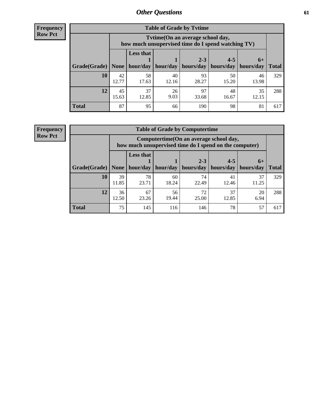**Frequency Row Pct**

| <b>Table of Grade by Tytime</b> |             |                                                                                         |                     |             |                       |             |              |  |  |
|---------------------------------|-------------|-----------------------------------------------------------------------------------------|---------------------|-------------|-----------------------|-------------|--------------|--|--|
|                                 |             | Tytime (On an average school day,<br>how much unsupervised time do I spend watching TV) |                     |             |                       |             |              |  |  |
|                                 |             | <b>Less that</b>                                                                        |                     | $2 - 3$     | $4 - 5$               | $6+$        |              |  |  |
| Grade(Grade)   None             |             |                                                                                         | hour/day   hour/day | hours/day   | hours/day   hours/day |             | <b>Total</b> |  |  |
| 10                              | 42<br>12.77 | 58<br>17.63                                                                             | 40<br>12.16         | 93<br>28.27 | 50<br>15.20           | 46<br>13.98 | 329          |  |  |
| 12                              | 45<br>15.63 | 37<br>12.85                                                                             | 26<br>9.03          | 97<br>33.68 | 48<br>16.67           | 35<br>12.15 | 288          |  |  |
| <b>Total</b>                    | 87          | 95                                                                                      | 66                  | 190         | 98                    | 81          | 617          |  |  |

**Frequency Row Pct**

| <b>Table of Grade by Computertime</b> |             |                                                                                                                               |             |             |             |             |     |  |  |
|---------------------------------------|-------------|-------------------------------------------------------------------------------------------------------------------------------|-------------|-------------|-------------|-------------|-----|--|--|
|                                       |             | Computertime (On an average school day,<br>how much unsupervised time do I spend on the computer)                             |             |             |             |             |     |  |  |
| Grade(Grade)                          | None        | <b>Less that</b><br>$2 - 3$<br>$4 - 5$<br>$6+$<br>hour/day<br>hours/day<br>hours/day<br>hour/day<br>hours/day<br><b>Total</b> |             |             |             |             |     |  |  |
| 10                                    | 39<br>11.85 | 78<br>23.71                                                                                                                   | 60<br>18.24 | 74<br>22.49 | 41<br>12.46 | 37<br>11.25 | 329 |  |  |
| 12                                    | 36<br>12.50 | 72<br>37<br>67<br>56<br>20<br>19.44<br>23.26<br>25.00<br>12.85<br>6.94                                                        |             |             |             |             |     |  |  |
| <b>Total</b>                          | 75          | 145                                                                                                                           | 116         | 146         | 78          | 57          | 617 |  |  |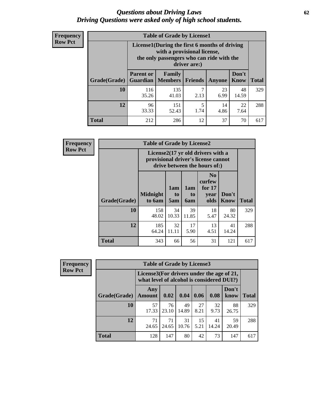#### *Questions about Driving Laws* **62** *Driving Questions were asked only of high school students.*

| <b>Frequency</b> |
|------------------|
| <b>Row Pct</b>   |

| <b>Table of Grade by License1</b> |                                                                      |                                                                                                                                           |           |               |               |              |  |  |  |
|-----------------------------------|----------------------------------------------------------------------|-------------------------------------------------------------------------------------------------------------------------------------------|-----------|---------------|---------------|--------------|--|--|--|
|                                   |                                                                      | License1(During the first 6 months of driving<br>with a provisional license,<br>the only passengers who can ride with the<br>driver are:) |           |               |               |              |  |  |  |
| Grade(Grade)                      | <b>Parent or</b><br><b>Guardian</b>                                  | Family<br>  Members                                                                                                                       | Friends   | <b>Anyone</b> | Don't<br>Know | <b>Total</b> |  |  |  |
| 10                                | 116<br>35.26                                                         | 135<br>41.03                                                                                                                              | 7<br>2.13 | 23<br>6.99    | 48<br>14.59   | 329          |  |  |  |
| 12                                | 5<br>96<br>151<br>14<br>22<br>33.33<br>1.74<br>52.43<br>4.86<br>7.64 |                                                                                                                                           |           |               |               |              |  |  |  |
| <b>Total</b>                      | 212                                                                  | 286                                                                                                                                       | 12        | 37            | 70            | 617          |  |  |  |

| <b>Frequency</b> |              | <b>Table of Grade by License2</b> |                  |                              |                                                                                                                      |                      |              |  |  |
|------------------|--------------|-----------------------------------|------------------|------------------------------|----------------------------------------------------------------------------------------------------------------------|----------------------|--------------|--|--|
| <b>Row Pct</b>   |              |                                   |                  |                              | License $2(17 \text{ yr})$ old drivers with a<br>provisional driver's license cannot<br>drive between the hours of:) |                      |              |  |  |
|                  | Grade(Grade) | <b>Midnight</b><br>to 6am         | 1am<br>to<br>5am | 1am<br>t <sub>0</sub><br>6am | N <sub>0</sub><br>curfew<br>for $17$<br>year<br>olds                                                                 | Don't<br><b>Know</b> | <b>Total</b> |  |  |
|                  | 10           | 158<br>48.02                      | 34<br>10.33      | 39<br>11.85                  | 18<br>5.47                                                                                                           | 80<br>24.32          | 329          |  |  |
|                  | 12           | 185<br>64.24                      | 32<br>11.11      | 17<br>5.90                   | 13<br>4.51                                                                                                           | 41<br>14.24          | 288          |  |  |
|                  | <b>Total</b> | 343                               | 66               | 56                           | 31                                                                                                                   | 121                  | 617          |  |  |

| <b>Frequency</b> |              | <b>Table of Grade by License3</b>                                                      |             |             |            |             |               |              |
|------------------|--------------|----------------------------------------------------------------------------------------|-------------|-------------|------------|-------------|---------------|--------------|
| <b>Row Pct</b>   |              | License3(For drivers under the age of 21,<br>what level of alcohol is considered DUI?) |             |             |            |             |               |              |
|                  | Grade(Grade) | Any<br><b>Amount</b>                                                                   | 0.02        | 0.04        | 0.06       | 0.08        | Don't<br>know | <b>Total</b> |
|                  | 10           | 57<br>17.33                                                                            | 76<br>23.10 | 49<br>14.89 | 27<br>8.21 | 32<br>9.73  | 88<br>26.75   | 329          |
|                  | 12           | 71<br>24.65                                                                            | 71<br>24.65 | 31<br>10.76 | 15<br>5.21 | 41<br>14.24 | 59<br>20.49   | 288          |
|                  | <b>Total</b> | 128                                                                                    | 147         | 80          | 42         | 73          | 147           | 617          |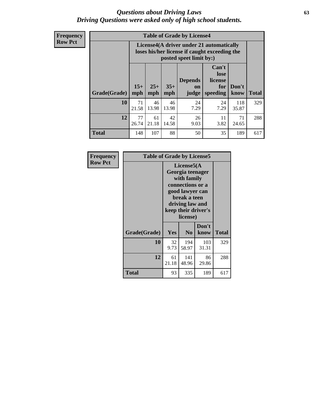#### *Questions about Driving Laws* **63** *Driving Questions were asked only of high school students.*

**Frequency Row Pct**

| <b>Table of Grade by License4</b> |             |                                                                                                                                                                                                                                                                                |             |            |            |              |     |  |  |
|-----------------------------------|-------------|--------------------------------------------------------------------------------------------------------------------------------------------------------------------------------------------------------------------------------------------------------------------------------|-------------|------------|------------|--------------|-----|--|--|
|                                   |             | License4(A driver under 21 automatically<br>loses his/her license if caught exceeding the<br>posted speet limit by:)<br>Can't<br>lose<br><b>Depends</b><br>license<br>$15+$<br>$25+$<br>$35+$<br>Don't<br>for<br>on<br>speeding<br><b>Total</b><br>mph<br>know<br>mph<br>judge |             |            |            |              |     |  |  |
| Grade(Grade)                      | mph         |                                                                                                                                                                                                                                                                                |             |            |            |              |     |  |  |
| 10                                | 71<br>21.58 | 46<br>13.98                                                                                                                                                                                                                                                                    | 46<br>13.98 | 24<br>7.29 | 24<br>7.29 | 118<br>35.87 | 329 |  |  |
| 12                                | 77<br>26.74 | 61<br>21.18                                                                                                                                                                                                                                                                    | 42<br>14.58 | 26<br>9.03 | 11<br>3.82 | 71<br>24.65  | 288 |  |  |
| <b>Total</b>                      | 148         | 107                                                                                                                                                                                                                                                                            | 88          | 50         | 35         | 189          | 617 |  |  |

| Frequency      | <b>Table of Grade by License5</b> |                                                                                                                                                             |                |               |       |  |
|----------------|-----------------------------------|-------------------------------------------------------------------------------------------------------------------------------------------------------------|----------------|---------------|-------|--|
| <b>Row Pct</b> |                                   | License5(A)<br>Georgia teenager<br>with family<br>connections or a<br>good lawyer can<br>break a teen<br>driving law and<br>keep their driver's<br>license) |                |               |       |  |
|                | Grade(Grade)                      | <b>Yes</b>                                                                                                                                                  | N <sub>0</sub> | Don't<br>know | Total |  |
|                | 10                                | 32<br>9.73                                                                                                                                                  | 194<br>58.97   | 103<br>31.31  | 329   |  |
|                | 12                                | 61<br>21.18                                                                                                                                                 | 141<br>48.96   | 86<br>29.86   | 288   |  |
|                | <b>Total</b>                      | 93                                                                                                                                                          | 335            | 189           | 617   |  |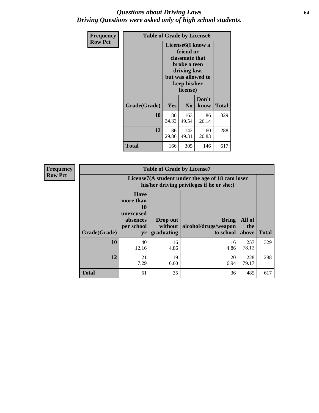#### *Questions about Driving Laws* **64** *Driving Questions were asked only of high school students.*

| <b>Frequency</b> | <b>Table of Grade by License6</b> |             |                                                                                                                           |                    |              |  |
|------------------|-----------------------------------|-------------|---------------------------------------------------------------------------------------------------------------------------|--------------------|--------------|--|
| <b>Row Pct</b>   |                                   |             | License <sub>6</sub> (I know a<br>friend or<br>classmate that<br>broke a teen<br>driving law,<br>keep his/her<br>license) | but was allowed to |              |  |
|                  | Grade(Grade)                      | Yes         | N <sub>0</sub>                                                                                                            | Don't<br>know      | <b>Total</b> |  |
|                  | 10                                | 80<br>24.32 | 163<br>49.54                                                                                                              | 86<br>26.14        | 329          |  |
|                  | 12                                | 86<br>29.86 | 142<br>49.31                                                                                                              | 60<br>20.83        | 288          |  |
|                  | <b>Total</b>                      | 166         | 305                                                                                                                       | 146                | 617          |  |

| Frequency      |              |                                                                             | <b>Table of Grade by License7</b>                                                             |                                                   |                        |              |  |  |  |
|----------------|--------------|-----------------------------------------------------------------------------|-----------------------------------------------------------------------------------------------|---------------------------------------------------|------------------------|--------------|--|--|--|
| <b>Row Pct</b> |              |                                                                             | License7(A student under the age of 18 cam loser<br>his/her driving privileges if he or she:) |                                                   |                        |              |  |  |  |
|                | Grade(Grade) | <b>Have</b><br>more than<br>10<br>unexcused<br>absences<br>per school<br>yr | Drop out<br>without  <br>graduating                                                           | <b>Bring</b><br>alcohol/drugs/weapon<br>to school | All of<br>the<br>above | <b>Total</b> |  |  |  |
|                | 10           | 40<br>12.16                                                                 | 16<br>4.86                                                                                    | 16<br>4.86                                        | 257<br>78.12           | 329          |  |  |  |
|                | 12           | 21<br>7.29                                                                  | 19<br>6.60                                                                                    | 20<br>6.94                                        | 228<br>79.17           | 288          |  |  |  |
|                | <b>Total</b> | 61                                                                          | 35                                                                                            | 36                                                | 485                    | 617          |  |  |  |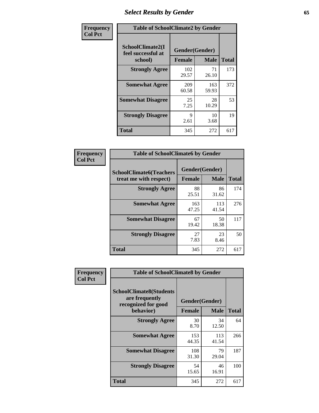# *Select Results by Gender* **65**

| Frequency      | <b>Table of SchoolClimate2 by Gender</b> |                               |                            |              |
|----------------|------------------------------------------|-------------------------------|----------------------------|--------------|
| <b>Col Pct</b> | SchoolClimate2(I<br>feel successful at   | Gender(Gender)                |                            | <b>Total</b> |
|                | school)<br><b>Strongly Agree</b>         | <b>Female</b><br>102<br>29.57 | <b>Male</b><br>71<br>26.10 | 173          |
|                | <b>Somewhat Agree</b>                    | 209<br>60.58                  | 163<br>59.93               | 372          |
|                | <b>Somewhat Disagree</b>                 | 25<br>7.25                    | 28<br>10.29                | 53           |
|                | <b>Strongly Disagree</b>                 | 9<br>2.61                     | 10<br>3.68                 | 19           |
|                | <b>Total</b>                             | 345                           | 272                        | 617          |

| <b>Frequency</b> | <b>Table of SchoolClimate6 by Gender</b>                 |              |                               |              |  |
|------------------|----------------------------------------------------------|--------------|-------------------------------|--------------|--|
| <b>Col Pct</b>   | <b>SchoolClimate6(Teachers</b><br>treat me with respect) | Female       | Gender(Gender)<br><b>Male</b> | <b>Total</b> |  |
|                  |                                                          |              |                               |              |  |
|                  | <b>Strongly Agree</b>                                    | 88<br>25.51  | 86<br>31.62                   | 174          |  |
|                  | <b>Somewhat Agree</b>                                    | 163<br>47.25 | 113<br>41.54                  | 276          |  |
|                  | <b>Somewhat Disagree</b>                                 | 67<br>19.42  | 50<br>18.38                   | 117          |  |
|                  | <b>Strongly Disagree</b>                                 | 27<br>7.83   | 23<br>8.46                    | 50           |  |
|                  | <b>Total</b>                                             | 345          | 272                           | 617          |  |

| Frequency      | <b>Table of SchoolClimate8 by Gender</b>                                |                |              |              |  |
|----------------|-------------------------------------------------------------------------|----------------|--------------|--------------|--|
| <b>Col Pct</b> | <b>SchoolClimate8(Students</b><br>are frequently<br>recognized for good | Gender(Gender) |              |              |  |
|                | behavior)                                                               | <b>Female</b>  | <b>Male</b>  | <b>Total</b> |  |
|                | <b>Strongly Agree</b>                                                   | 30<br>8.70     | 34<br>12.50  | 64           |  |
|                | <b>Somewhat Agree</b>                                                   | 153<br>44.35   | 113<br>41.54 | 266          |  |
|                | <b>Somewhat Disagree</b>                                                | 108<br>31.30   | 79<br>29.04  | 187          |  |
|                | <b>Strongly Disagree</b>                                                | 54<br>15.65    | 46<br>16.91  | 100          |  |
|                | Total                                                                   | 345            | 272          | 617          |  |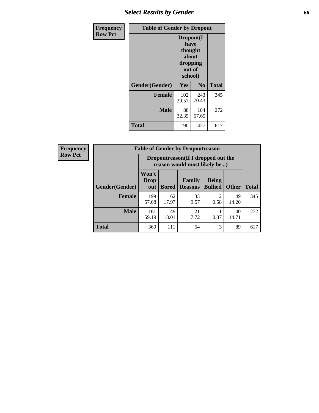# *Select Results by Gender* **66**

| Frequency      | <b>Table of Gender by Dropout</b> |                                                              |              |              |
|----------------|-----------------------------------|--------------------------------------------------------------|--------------|--------------|
| <b>Row Pct</b> |                                   | Dropout(I<br>have<br>thought<br>about<br>dropping<br>school) | out of       |              |
|                | Gender(Gender)                    | Yes                                                          | No           | <b>Total</b> |
|                | <b>Female</b>                     | 102<br>29.57                                                 | 243<br>70.43 | 345          |
|                | <b>Male</b>                       | 88<br>32.35                                                  | 184<br>67.65 | 272          |
|                | <b>Total</b>                      | 190                                                          | 427          | 617          |

| Frequency      |  |
|----------------|--|
| <b>Row Pct</b> |  |

| $\overline{V}$ | <b>Table of Gender by Dropoutreason</b> |                      |                                                                    |                          |                                |              |              |  |
|----------------|-----------------------------------------|----------------------|--------------------------------------------------------------------|--------------------------|--------------------------------|--------------|--------------|--|
|                |                                         |                      | Dropoutreason(If I dropped out the<br>reason would most likely be) |                          |                                |              |              |  |
|                | Gender(Gender)                          | Won't<br>Drop<br>out | <b>Bored</b>                                                       | Family<br><b>Reasons</b> | <b>Being</b><br><b>Bullied</b> | <b>Other</b> | <b>Total</b> |  |
|                | <b>Female</b>                           | 199<br>57.68         | 62<br>17.97                                                        | 33<br>9.57               | 0.58                           | 49<br>14.20  | 345          |  |
|                | <b>Male</b>                             | 161<br>59.19         | 49<br>18.01                                                        | 21<br>7.72               | 0.37                           | 40<br>14.71  | 272          |  |
|                | <b>Total</b>                            | 360                  | 111                                                                | 54                       | 3                              | 89           | 617          |  |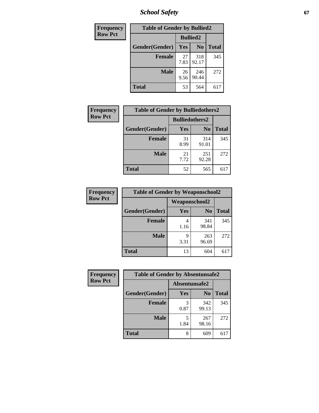*School Safety* **67**

| <b>Frequency</b> | <b>Table of Gender by Bullied2</b> |                 |                |              |
|------------------|------------------------------------|-----------------|----------------|--------------|
| <b>Row Pct</b>   |                                    | <b>Bullied2</b> |                |              |
|                  | Gender(Gender)                     | Yes             | N <sub>0</sub> | <b>Total</b> |
|                  | <b>Female</b>                      | 27<br>7.83      | 318<br>92.17   | 345          |
|                  | <b>Male</b>                        | 26<br>9.56      | 246<br>90.44   | 272          |
|                  | <b>Total</b>                       | 53              | 564            | 617          |

| Frequency      | <b>Table of Gender by Bulliedothers2</b> |                       |                |              |  |
|----------------|------------------------------------------|-----------------------|----------------|--------------|--|
| <b>Row Pct</b> |                                          | <b>Bulliedothers2</b> |                |              |  |
|                | Gender(Gender)                           | <b>Yes</b>            | N <sub>0</sub> | <b>Total</b> |  |
|                | <b>Female</b>                            | 31<br>8.99            | 314<br>91.01   | 345          |  |
|                | <b>Male</b>                              | 21<br>7.72            | 251<br>92.28   | 272          |  |
|                | <b>Total</b>                             | 52                    | 565            | 617          |  |

| Frequency      | <b>Table of Gender by Weaponschool2</b> |                      |                |              |
|----------------|-----------------------------------------|----------------------|----------------|--------------|
| <b>Row Pct</b> |                                         | <b>Weaponschool2</b> |                |              |
|                | Gender(Gender)                          | Yes                  | N <sub>0</sub> | <b>Total</b> |
|                | <b>Female</b>                           | 1.16                 | 341<br>98.84   | 345          |
|                | <b>Male</b>                             | 9<br>3.31            | 263<br>96.69   | 272          |
|                | <b>Total</b>                            | 13                   | 604            | 617          |

| Frequency      | <b>Table of Gender by Absentunsafe2</b> |               |                |              |
|----------------|-----------------------------------------|---------------|----------------|--------------|
| <b>Row Pct</b> |                                         | Absentunsafe2 |                |              |
|                | Gender(Gender)                          | Yes           | N <sub>0</sub> | <b>Total</b> |
|                | <b>Female</b>                           | 0.87          | 342<br>99.13   | 345          |
|                | <b>Male</b>                             | 1.84          | 267<br>98.16   | 272          |
|                | <b>Total</b>                            | 8             | 609            | 617          |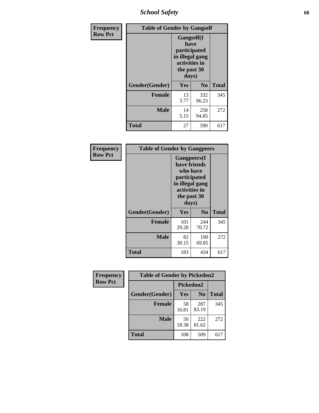*School Safety* **68**

| Frequency      | <b>Table of Gender by Gangself</b> |                                                                                                        |                |              |
|----------------|------------------------------------|--------------------------------------------------------------------------------------------------------|----------------|--------------|
| <b>Row Pct</b> |                                    | <b>Gangself</b> (I<br>have<br>participated<br>in illegal gang<br>activities in<br>the past 30<br>days) |                |              |
|                | Gender(Gender)                     | Yes                                                                                                    | N <sub>0</sub> | <b>Total</b> |
|                | <b>Female</b>                      | 13<br>3.77                                                                                             | 332<br>96.23   | 345          |
|                | <b>Male</b>                        | 14<br>5.15                                                                                             | 258<br>94.85   | 272          |
|                | <b>Total</b>                       | 27                                                                                                     | 590            | 617          |

| Frequency      | <b>Table of Gender by Gangpeers</b> |                                                                                              |                             |              |
|----------------|-------------------------------------|----------------------------------------------------------------------------------------------|-----------------------------|--------------|
| <b>Row Pct</b> |                                     | <b>Gangpeers</b> (I<br>have friends<br>participated<br>activities in<br>the past 30<br>days) | who have<br>in illegal gang |              |
|                | Gender(Gender)                      | Yes                                                                                          | N <sub>0</sub>              | <b>Total</b> |
|                | <b>Female</b>                       | 101<br>29.28                                                                                 | 244<br>70.72                | 345          |
|                | <b>Male</b>                         | 82<br>30.15                                                                                  | 190<br>69.85                | 272          |
|                | Total                               | 183                                                                                          | 434                         | 617          |

| Frequency      | <b>Table of Gender by Pickedon2</b> |             |                |              |
|----------------|-------------------------------------|-------------|----------------|--------------|
| <b>Row Pct</b> |                                     | Pickedon2   |                |              |
|                | Gender(Gender)                      | Yes         | N <sub>0</sub> | <b>Total</b> |
|                | <b>Female</b>                       | 58<br>16.81 | 287<br>83.19   | 345          |
|                | <b>Male</b>                         | 50<br>18.38 | 222<br>81.62   | 272          |
|                | <b>Total</b>                        | 108         | 509            | 617          |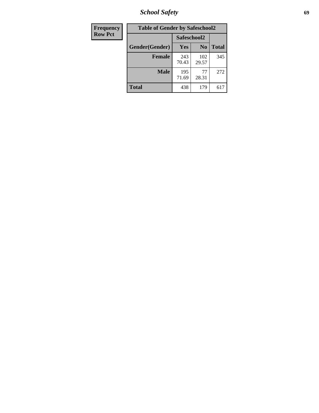*School Safety* **69**

| Frequency      | <b>Table of Gender by Safeschool2</b> |              |                |              |  |
|----------------|---------------------------------------|--------------|----------------|--------------|--|
| <b>Row Pct</b> |                                       | Safeschool2  |                |              |  |
|                | Gender(Gender)                        | <b>Yes</b>   | N <sub>0</sub> | <b>Total</b> |  |
|                | <b>Female</b>                         | 243<br>70.43 | 102<br>29.57   | 345          |  |
|                | <b>Male</b>                           | 195<br>71.69 | 77<br>28.31    | 272          |  |
|                | <b>Total</b>                          | 438          | 179            | 617          |  |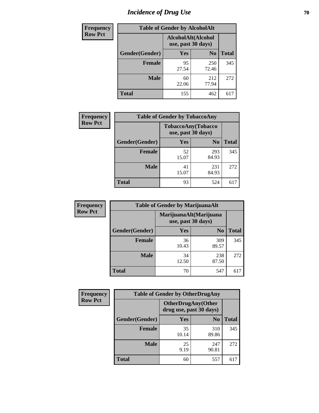# *Incidence of Drug Use* **70**

| <b>Frequency</b> | <b>Table of Gender by AlcoholAlt</b> |                                          |                |              |  |
|------------------|--------------------------------------|------------------------------------------|----------------|--------------|--|
| <b>Row Pct</b>   |                                      | AlcoholAlt(Alcohol<br>use, past 30 days) |                |              |  |
|                  | Gender(Gender)                       | <b>Yes</b>                               | N <sub>0</sub> | <b>Total</b> |  |
|                  | <b>Female</b>                        | 95<br>27.54                              | 250<br>72.46   | 345          |  |
|                  | <b>Male</b>                          | 60<br>22.06                              | 212<br>77.94   | 272          |  |
|                  | <b>Total</b>                         | 155                                      | 462            | 617          |  |

| Frequency      | <b>Table of Gender by TobaccoAny</b> |                                          |                |              |  |
|----------------|--------------------------------------|------------------------------------------|----------------|--------------|--|
| <b>Row Pct</b> |                                      | TobaccoAny(Tobacco<br>use, past 30 days) |                |              |  |
|                | Gender(Gender)                       | Yes                                      | N <sub>0</sub> | <b>Total</b> |  |
|                | <b>Female</b>                        | 52<br>15.07                              | 293<br>84.93   | 345          |  |
|                | <b>Male</b>                          | 41<br>15.07                              | 231<br>84.93   | 272          |  |
|                | Total                                | 93                                       | 524            | 617          |  |

| <b>Frequency</b> | <b>Table of Gender by MarijuanaAlt</b> |             |                                              |              |  |
|------------------|----------------------------------------|-------------|----------------------------------------------|--------------|--|
| <b>Row Pct</b>   |                                        |             | MarijuanaAlt(Marijuana<br>use, past 30 days) |              |  |
|                  | Gender(Gender)                         | <b>Yes</b>  | N <sub>0</sub>                               | <b>Total</b> |  |
|                  | <b>Female</b>                          | 36<br>10.43 | 309<br>89.57                                 | 345          |  |
|                  | <b>Male</b>                            | 34<br>12.50 | 238<br>87.50                                 | 272          |  |
|                  | <b>Total</b>                           | 70          | 547                                          | 617          |  |

| <b>Frequency</b> | <b>Table of Gender by OtherDrugAny</b> |                                                      |                |              |
|------------------|----------------------------------------|------------------------------------------------------|----------------|--------------|
| <b>Row Pct</b>   |                                        | <b>OtherDrugAny(Other</b><br>drug use, past 30 days) |                |              |
|                  | Gender(Gender)                         | <b>Yes</b>                                           | N <sub>0</sub> | <b>Total</b> |
|                  | <b>Female</b>                          | 35<br>10.14                                          | 310<br>89.86   | 345          |
|                  | <b>Male</b>                            | 25<br>9.19                                           | 247<br>90.81   | 272          |
|                  | <b>Total</b>                           | 60                                                   | 557            | 617          |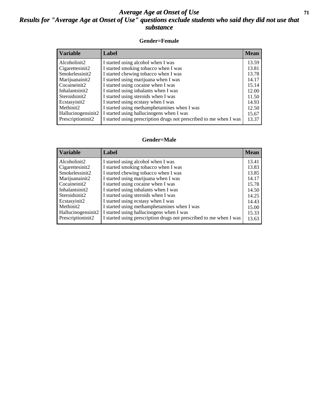#### *Average Age at Onset of Use* **71** *Results for "Average Age at Onset of Use" questions exclude students who said they did not use that substance*

#### **Gender=Female**

| <b>Variable</b>    | <b>Label</b>                                                       | <b>Mean</b> |
|--------------------|--------------------------------------------------------------------|-------------|
| Alcoholinit2       | I started using alcohol when I was                                 | 13.59       |
| Cigarettesinit2    | I started smoking tobacco when I was                               | 13.81       |
| Smokelessinit2     | I started chewing tobacco when I was                               | 13.78       |
| Marijuanainit2     | I started using marijuana when I was                               | 14.17       |
| Cocaineinit2       | I started using cocaine when I was                                 | 15.14       |
| Inhalantsinit2     | I started using inhalants when I was                               | 12.00       |
| Steroidsinit2      | I started using steroids when I was                                | 11.50       |
| Ecstasyinit2       | I started using ecstasy when I was                                 | 14.93       |
| Methinit2          | I started using methamphetamines when I was                        | 12.50       |
| Hallucinogensinit2 | I started using hallucinogens when I was                           | 15.67       |
| Prescription in t2 | I started using prescription drugs not prescribed to me when I was | 13.37       |

#### **Gender=Male**

| <b>Variable</b>    | Label                                                              | <b>Mean</b> |
|--------------------|--------------------------------------------------------------------|-------------|
| Alcoholinit2       | I started using alcohol when I was                                 | 13.41       |
| Cigarettesinit2    | I started smoking tobacco when I was                               | 13.83       |
| Smokelessinit2     | I started chewing tobacco when I was                               | 13.85       |
| Marijuanainit2     | I started using marijuana when I was                               | 14.17       |
| Cocaineinit2       | I started using cocaine when I was                                 | 15.78       |
| Inhalantsinit2     | I started using inhalants when I was                               | 14.50       |
| Steroidsinit2      | I started using steroids when I was                                | 14.25       |
| Ecstasyinit2       | I started using ecstasy when I was                                 | 14.43       |
| Methinit2          | I started using methamphetamines when I was                        | 15.00       |
| Hallucinogensinit2 | I started using hallucinogens when I was                           | 15.33       |
| Prescriptioninit2  | I started using prescription drugs not prescribed to me when I was | 13.63       |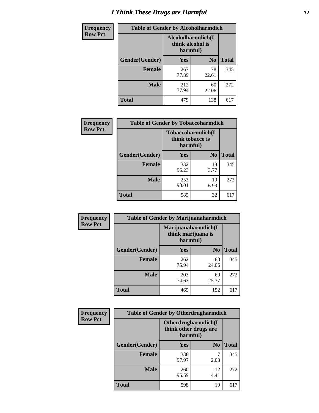# *I Think These Drugs are Harmful* **72**

| <b>Frequency</b> | <b>Table of Gender by Alcoholharmdich</b> |                                                   |                |              |
|------------------|-------------------------------------------|---------------------------------------------------|----------------|--------------|
| <b>Row Pct</b>   |                                           | Alcoholharmdich(I<br>think alcohol is<br>harmful) |                |              |
|                  | <b>Gender</b> (Gender)                    | Yes                                               | N <sub>0</sub> | <b>Total</b> |
|                  | Female                                    | 267<br>77.39                                      | 78<br>22.61    | 345          |
|                  | <b>Male</b>                               | 212<br>77.94                                      | 60<br>22.06    | 272          |
|                  | <b>Total</b>                              | 479                                               | 138            | 617          |

| Frequency      | <b>Table of Gender by Tobaccoharmdich</b> |                              |                   |              |  |
|----------------|-------------------------------------------|------------------------------|-------------------|--------------|--|
| <b>Row Pct</b> |                                           | think tobacco is<br>harmful) | Tobaccoharmdich(I |              |  |
|                | Gender(Gender)                            | Yes                          | N <sub>0</sub>    | <b>Total</b> |  |
|                | <b>Female</b>                             | 332<br>96.23                 | 13<br>3.77        | 345          |  |
|                | <b>Male</b>                               | 253<br>93.01                 | 19<br>6.99        | 272          |  |
|                | <b>Total</b>                              | 585                          | 32                | 617          |  |

| Frequency      | <b>Table of Gender by Marijuanaharmdich</b> |                                                       |                |              |  |
|----------------|---------------------------------------------|-------------------------------------------------------|----------------|--------------|--|
| <b>Row Pct</b> |                                             | Marijuanaharmdich(I<br>think marijuana is<br>harmful) |                |              |  |
|                | Gender(Gender)                              | <b>Yes</b>                                            | N <sub>0</sub> | <b>Total</b> |  |
|                | <b>Female</b>                               | 262<br>75.94                                          | 83<br>24.06    | 345          |  |
|                | <b>Male</b>                                 | 203<br>74.63                                          | 69<br>25.37    | 272          |  |
|                | <b>Total</b>                                | 465                                                   | 152            | 617          |  |

| Frequency      | <b>Table of Gender by Otherdrugharmdich</b> |                                   |                     |              |  |
|----------------|---------------------------------------------|-----------------------------------|---------------------|--------------|--|
| <b>Row Pct</b> |                                             | think other drugs are<br>harmful) | Otherdrugharmdich(I |              |  |
|                | Gender(Gender)                              | <b>Yes</b>                        | N <sub>0</sub>      | <b>Total</b> |  |
|                | <b>Female</b>                               | 338<br>97.97                      | 2.03                | 345          |  |
|                | <b>Male</b>                                 | 260<br>95.59                      | 12<br>4.41          | 272          |  |
|                | <b>Total</b>                                | 598                               | 19                  | 617          |  |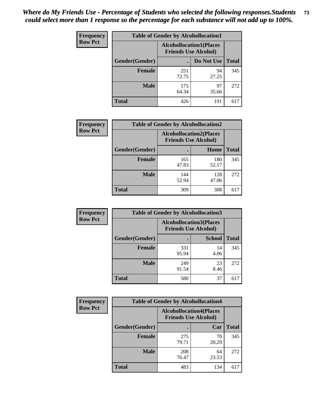| <b>Frequency</b> | <b>Table of Gender by Alcohollocation1</b> |                                                               |             |              |
|------------------|--------------------------------------------|---------------------------------------------------------------|-------------|--------------|
| <b>Row Pct</b>   |                                            | <b>Alcohollocation1(Places</b><br><b>Friends Use Alcohol)</b> |             |              |
|                  | Gender(Gender)                             |                                                               | Do Not Use  | <b>Total</b> |
|                  | <b>Female</b>                              | 251<br>72.75                                                  | 94<br>27.25 | 345          |
|                  | <b>Male</b>                                | 175<br>64.34                                                  | 97<br>35.66 | 272          |
|                  | <b>Total</b>                               | 426                                                           | 191         | 617          |

| <b>Frequency</b> | <b>Table of Gender by Alcohollocation2</b> |                                                               |              |              |
|------------------|--------------------------------------------|---------------------------------------------------------------|--------------|--------------|
| <b>Row Pct</b>   |                                            | <b>Alcohollocation2(Places</b><br><b>Friends Use Alcohol)</b> |              |              |
|                  | Gender(Gender)                             |                                                               | Home         | <b>Total</b> |
|                  | <b>Female</b>                              | 165<br>47.83                                                  | 180<br>52.17 | 345          |
|                  | <b>Male</b>                                | 144<br>52.94                                                  | 128<br>47.06 | 272          |
|                  | <b>Total</b>                               | 309                                                           | 308          | 617          |

| Frequency      | <b>Table of Gender by Alcohollocation3</b> |                                                               |               |              |
|----------------|--------------------------------------------|---------------------------------------------------------------|---------------|--------------|
| <b>Row Pct</b> |                                            | <b>Alcohollocation3(Places</b><br><b>Friends Use Alcohol)</b> |               |              |
|                | Gender(Gender)                             |                                                               | <b>School</b> | <b>Total</b> |
|                | <b>Female</b>                              | 331<br>95.94                                                  | 14<br>4.06    | 345          |
|                | <b>Male</b>                                | 249<br>91.54                                                  | 23<br>8.46    | 272          |
|                | <b>Total</b>                               | 580                                                           | 37            | 617          |

| Frequency      | <b>Table of Gender by Alcohollocation4</b> |                                                               |             |              |
|----------------|--------------------------------------------|---------------------------------------------------------------|-------------|--------------|
| <b>Row Pct</b> |                                            | <b>Alcohollocation4(Places</b><br><b>Friends Use Alcohol)</b> |             |              |
|                | Gender(Gender)                             |                                                               | Car         | <b>Total</b> |
|                | <b>Female</b>                              | 275<br>79.71                                                  | 70<br>20.29 | 345          |
|                | <b>Male</b>                                | 208<br>76.47                                                  | 64<br>23.53 | 272          |
|                | <b>Total</b>                               | 483                                                           | 134         | 617          |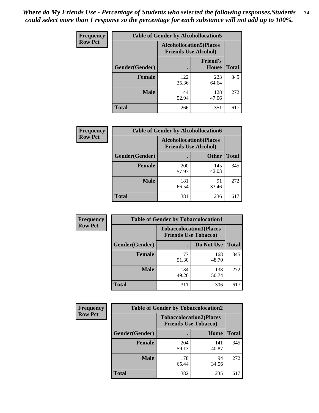| <b>Frequency</b> | <b>Table of Gender by Alcohollocation5</b> |                                                                |                                 |              |
|------------------|--------------------------------------------|----------------------------------------------------------------|---------------------------------|--------------|
| <b>Row Pct</b>   |                                            | <b>Alcohollocation5</b> (Places<br><b>Friends Use Alcohol)</b> |                                 |              |
|                  | Gender(Gender)                             | $\bullet$                                                      | <b>Friend's</b><br><b>House</b> | <b>Total</b> |
|                  | <b>Female</b>                              | 122<br>35.36                                                   | 223<br>64.64                    | 345          |
|                  | <b>Male</b>                                | 144<br>52.94                                                   | 128<br>47.06                    | 272          |
|                  | <b>Total</b>                               | 266                                                            | 351                             | 617          |

| Frequency      | <b>Table of Gender by Alcohollocation6</b> |                                                               |              |              |  |
|----------------|--------------------------------------------|---------------------------------------------------------------|--------------|--------------|--|
| <b>Row Pct</b> |                                            | <b>Alcohollocation6(Places</b><br><b>Friends Use Alcohol)</b> |              |              |  |
|                | <b>Gender</b> (Gender)                     |                                                               | <b>Other</b> | <b>Total</b> |  |
|                | <b>Female</b>                              | 200<br>57.97                                                  | 145<br>42.03 | 345          |  |
|                | <b>Male</b>                                | 181<br>66.54                                                  | 91<br>33.46  | 272          |  |
|                | <b>Total</b>                               | 381                                                           | 236          | 617          |  |

| Frequency      | <b>Table of Gender by Tobaccolocation1</b> |                                                               |              |              |  |
|----------------|--------------------------------------------|---------------------------------------------------------------|--------------|--------------|--|
| <b>Row Pct</b> |                                            | <b>Tobaccolocation1(Places</b><br><b>Friends Use Tobacco)</b> |              |              |  |
|                | Gender(Gender)                             |                                                               | Do Not Use   | <b>Total</b> |  |
|                | Female                                     | 177<br>51.30                                                  | 168<br>48.70 | 345          |  |
|                | <b>Male</b>                                | 134<br>49.26                                                  | 138<br>50.74 | 272          |  |
|                | <b>Total</b>                               | 311                                                           | 306          | 617          |  |

| <b>Frequency</b> | <b>Table of Gender by Tobaccolocation2</b> |                                                               |              |              |
|------------------|--------------------------------------------|---------------------------------------------------------------|--------------|--------------|
| <b>Row Pct</b>   |                                            | <b>Tobaccolocation2(Places</b><br><b>Friends Use Tobacco)</b> |              |              |
|                  | Gender(Gender)                             |                                                               | Home         | <b>Total</b> |
|                  | Female                                     | 204<br>59.13                                                  | 141<br>40.87 | 345          |
|                  | <b>Male</b>                                | 178<br>65.44                                                  | 94<br>34.56  | 272          |
|                  | <b>Total</b>                               | 382                                                           | 235          | 617          |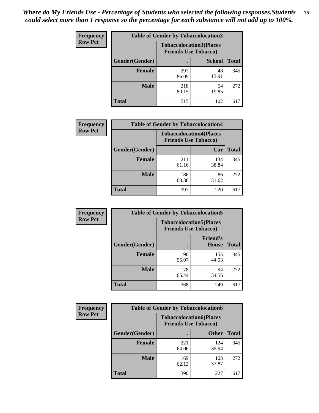| <b>Frequency</b> | <b>Table of Gender by Tobaccolocation3</b> |              |                                                               |              |
|------------------|--------------------------------------------|--------------|---------------------------------------------------------------|--------------|
| <b>Row Pct</b>   |                                            |              | <b>Tobaccolocation3(Places</b><br><b>Friends Use Tobacco)</b> |              |
|                  | Gender(Gender)                             |              | <b>School</b>                                                 | <b>Total</b> |
|                  | <b>Female</b>                              | 297<br>86.09 | 48<br>13.91                                                   | 345          |
|                  | <b>Male</b>                                | 218<br>80.15 | 54<br>19.85                                                   | 272          |
|                  | Total                                      | 515          | 102                                                           | 617          |

| <b>Frequency</b> | <b>Table of Gender by Tobaccolocation4</b> |                                                               |              |              |
|------------------|--------------------------------------------|---------------------------------------------------------------|--------------|--------------|
| <b>Row Pct</b>   |                                            | <b>Tobaccolocation4(Places</b><br><b>Friends Use Tobacco)</b> |              |              |
|                  | Gender(Gender)                             |                                                               | Car          | <b>Total</b> |
|                  | <b>Female</b>                              | 211<br>61.16                                                  | 134<br>38.84 | 345          |
|                  | <b>Male</b>                                | 186<br>68.38                                                  | 86<br>31.62  | 272          |
|                  | <b>Total</b>                               | 397                                                           | 220          | 617          |

| <b>Frequency</b> | <b>Table of Gender by Tobaccolocation5</b> |                                                               |                          |              |
|------------------|--------------------------------------------|---------------------------------------------------------------|--------------------------|--------------|
| <b>Row Pct</b>   |                                            | <b>Tobaccolocation5(Places</b><br><b>Friends Use Tobacco)</b> |                          |              |
|                  | Gender(Gender)                             |                                                               | <b>Friend's</b><br>House | <b>Total</b> |
|                  | <b>Female</b>                              | 190<br>55.07                                                  | 155<br>44.93             | 345          |
|                  | <b>Male</b>                                | 178<br>65.44                                                  | 94<br>34.56              | 272          |
|                  | <b>Total</b>                               | 368                                                           | 249                      | 617          |

| <b>Frequency</b> | <b>Table of Gender by Tobaccolocation6</b> |                                                               |              |              |  |
|------------------|--------------------------------------------|---------------------------------------------------------------|--------------|--------------|--|
| <b>Row Pct</b>   |                                            | <b>Tobaccolocation6(Places</b><br><b>Friends Use Tobacco)</b> |              |              |  |
|                  | Gender(Gender)                             |                                                               | <b>Other</b> | <b>Total</b> |  |
|                  | Female                                     | 221<br>64.06                                                  | 124<br>35.94 | 345          |  |
|                  | <b>Male</b>                                | 169<br>62.13                                                  | 103<br>37.87 | 272          |  |
|                  | <b>Total</b>                               | 390                                                           | 227          | 617          |  |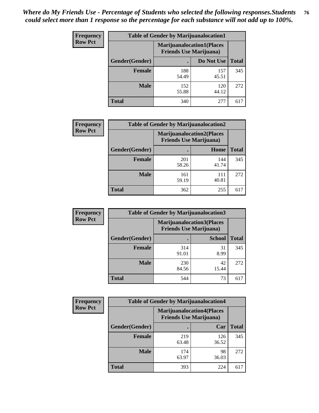| <b>Frequency</b> | <b>Table of Gender by Marijuanalocation1</b> |                                                                    |              |              |
|------------------|----------------------------------------------|--------------------------------------------------------------------|--------------|--------------|
| <b>Row Pct</b>   |                                              | <b>Marijuanalocation1(Places</b><br><b>Friends Use Marijuana</b> ) |              |              |
|                  | Gender(Gender)                               |                                                                    | Do Not Use   | <b>Total</b> |
|                  | <b>Female</b>                                | 188<br>54.49                                                       | 157<br>45.51 | 345          |
|                  | <b>Male</b>                                  | 152<br>55.88                                                       | 120<br>44.12 | 272          |
|                  | <b>Total</b>                                 | 340                                                                | 277          | 617          |

| <b>Frequency</b> | <b>Table of Gender by Marijuanalocation2</b> |                                                                    |              |              |
|------------------|----------------------------------------------|--------------------------------------------------------------------|--------------|--------------|
| <b>Row Pct</b>   |                                              | <b>Marijuanalocation2(Places</b><br><b>Friends Use Marijuana</b> ) |              |              |
|                  | Gender(Gender)                               |                                                                    | Home         | <b>Total</b> |
|                  | <b>Female</b>                                | 201<br>58.26                                                       | 144<br>41.74 | 345          |
|                  | <b>Male</b>                                  | 161<br>59.19                                                       | 111<br>40.81 | 272          |
|                  | <b>Total</b>                                 | 362                                                                | 255          | 617          |

| Frequency      | <b>Table of Gender by Marijuanalocation3</b> |              |                                                                    |              |
|----------------|----------------------------------------------|--------------|--------------------------------------------------------------------|--------------|
| <b>Row Pct</b> |                                              |              | <b>Marijuanalocation3(Places</b><br><b>Friends Use Marijuana</b> ) |              |
|                | Gender(Gender)                               |              | <b>School</b>                                                      | <b>Total</b> |
|                | Female                                       | 314<br>91.01 | 31<br>8.99                                                         | 345          |
|                | <b>Male</b>                                  | 230<br>84.56 | 42<br>15.44                                                        | 272          |
|                | <b>Total</b>                                 | 544          | 73                                                                 | 617          |

| Frequency      | <b>Table of Gender by Marijuanalocation4</b> |                                |                                  |              |
|----------------|----------------------------------------------|--------------------------------|----------------------------------|--------------|
| <b>Row Pct</b> |                                              | <b>Friends Use Marijuana</b> ) | <b>Marijuanalocation4(Places</b> |              |
|                | Gender(Gender)                               |                                | Car                              | <b>Total</b> |
|                | Female                                       | 219<br>63.48                   | 126<br>36.52                     | 345          |
|                | <b>Male</b>                                  | 174<br>63.97                   | 98<br>36.03                      | 272          |
|                | <b>Total</b>                                 | 393                            | 224                              | 617          |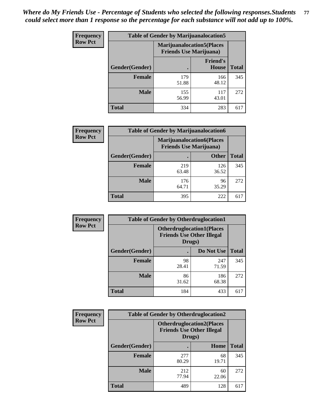| <b>Frequency</b> | <b>Table of Gender by Marijuanalocation5</b> |                                                                    |                          |              |
|------------------|----------------------------------------------|--------------------------------------------------------------------|--------------------------|--------------|
| <b>Row Pct</b>   |                                              | <b>Marijuanalocation5(Places</b><br><b>Friends Use Marijuana</b> ) |                          |              |
|                  | Gender(Gender)                               |                                                                    | <b>Friend's</b><br>House | <b>Total</b> |
|                  | <b>Female</b>                                | 179<br>51.88                                                       | 166<br>48.12             | 345          |
|                  | <b>Male</b>                                  | 155<br>56.99                                                       | 117<br>43.01             | 272          |
|                  | <b>Total</b>                                 | 334                                                                | 283                      | 617          |

| <b>Frequency</b> | <b>Table of Gender by Marijuanalocation6</b> |                                |                                  |              |
|------------------|----------------------------------------------|--------------------------------|----------------------------------|--------------|
| <b>Row Pct</b>   |                                              | <b>Friends Use Marijuana</b> ) | <b>Marijuanalocation6(Places</b> |              |
|                  | <b>Gender</b> (Gender)                       |                                | <b>Other</b>                     | <b>Total</b> |
|                  | <b>Female</b>                                | 219<br>63.48                   | 126<br>36.52                     | 345          |
|                  | <b>Male</b>                                  | 176<br>64.71                   | 96<br>35.29                      | 272          |
|                  | Total                                        | 395                            | 222                              |              |

| <b>Frequency</b> | <b>Table of Gender by Otherdruglocation1</b> |                                                                                |              |              |
|------------------|----------------------------------------------|--------------------------------------------------------------------------------|--------------|--------------|
| <b>Row Pct</b>   |                                              | <b>Otherdruglocation1(Places</b><br><b>Friends Use Other Illegal</b><br>Drugs) |              |              |
|                  | Gender(Gender)                               |                                                                                | Do Not Use   | <b>Total</b> |
|                  | Female                                       | 98<br>28.41                                                                    | 247<br>71.59 | 345          |
|                  | <b>Male</b>                                  | 86<br>31.62                                                                    | 186<br>68.38 | 272          |
|                  | <b>Total</b>                                 | 184                                                                            | 433          | 617          |

| <b>Frequency</b> | <b>Table of Gender by Otherdruglocation2</b> |                                            |                                   |              |
|------------------|----------------------------------------------|--------------------------------------------|-----------------------------------|--------------|
| <b>Row Pct</b>   |                                              | <b>Friends Use Other Illegal</b><br>Drugs) | <b>Otherdruglocation2(Places)</b> |              |
|                  | Gender(Gender)                               |                                            | <b>Home</b>                       | <b>Total</b> |
|                  | Female                                       | 277<br>80.29                               | 68<br>19.71                       | 345          |
|                  | <b>Male</b>                                  | 212<br>77.94                               | 60<br>22.06                       | 272          |
|                  | <b>Total</b>                                 | 489                                        | 128                               | 617          |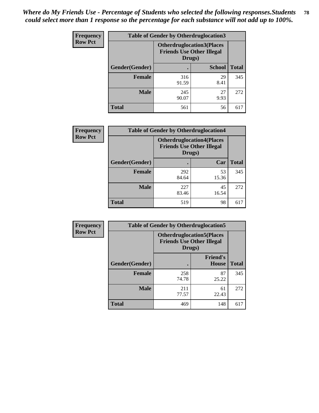| <b>Frequency</b> | <b>Table of Gender by Otherdruglocation3</b> |                                                                                |               |              |
|------------------|----------------------------------------------|--------------------------------------------------------------------------------|---------------|--------------|
| <b>Row Pct</b>   |                                              | <b>Otherdruglocation3(Places</b><br><b>Friends Use Other Illegal</b><br>Drugs) |               |              |
|                  | Gender(Gender)                               |                                                                                | <b>School</b> | <b>Total</b> |
|                  | <b>Female</b>                                | 316<br>91.59                                                                   | 29<br>8.41    | 345          |
|                  | <b>Male</b>                                  | 245<br>90.07                                                                   | 27<br>9.93    | 272          |
|                  | <b>Total</b>                                 | 561                                                                            | 56            | 617          |

| Frequency      | <b>Table of Gender by Otherdruglocation4</b> |                                                                                 |             |              |
|----------------|----------------------------------------------|---------------------------------------------------------------------------------|-------------|--------------|
| <b>Row Pct</b> |                                              | <b>Otherdruglocation4(Places)</b><br><b>Friends Use Other Illegal</b><br>Drugs) |             |              |
|                | Gender(Gender)                               |                                                                                 | Car         | <b>Total</b> |
|                | <b>Female</b>                                | 292<br>84.64                                                                    | 53<br>15.36 | 345          |
|                | <b>Male</b>                                  | 227<br>83.46                                                                    | 45<br>16.54 | 272          |
|                | <b>Total</b>                                 | 519                                                                             | 98          | 617          |

| <b>Frequency</b> | <b>Table of Gender by Otherdruglocation5</b>                                   |              |                                 |              |
|------------------|--------------------------------------------------------------------------------|--------------|---------------------------------|--------------|
| <b>Row Pct</b>   | <b>Otherdruglocation5(Places</b><br><b>Friends Use Other Illegal</b><br>Drugs) |              |                                 |              |
|                  | Gender(Gender)                                                                 |              | <b>Friend's</b><br><b>House</b> | <b>Total</b> |
|                  | <b>Female</b>                                                                  | 258<br>74.78 | 87<br>25.22                     | 345          |
|                  | <b>Male</b>                                                                    | 211<br>77.57 | 61<br>22.43                     | 272          |
|                  | <b>Total</b>                                                                   | 469          | 148                             | 617          |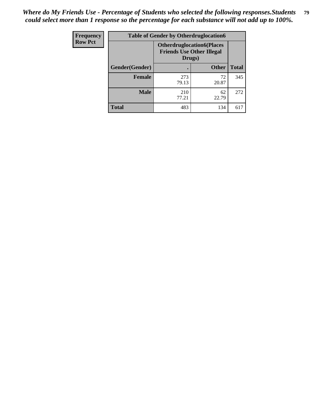| Frequency      | <b>Table of Gender by Otherdruglocation6</b> |                                            |                                  |              |
|----------------|----------------------------------------------|--------------------------------------------|----------------------------------|--------------|
| <b>Row Pct</b> |                                              | <b>Friends Use Other Illegal</b><br>Drugs) | <b>Otherdruglocation6(Places</b> |              |
|                | Gender(Gender)                               |                                            | <b>Other</b>                     | <b>Total</b> |
|                | <b>Female</b>                                | 273<br>79.13                               | 72<br>20.87                      | 345          |
|                | <b>Male</b>                                  | 210<br>77.21                               | 62<br>22.79                      | 272          |
|                | <b>Total</b>                                 | 483                                        | 134                              | 617          |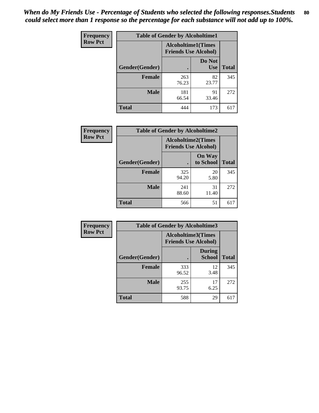| <b>Frequency</b> | <b>Table of Gender by Alcoholtime1</b> |                                                          |                      |              |
|------------------|----------------------------------------|----------------------------------------------------------|----------------------|--------------|
| <b>Row Pct</b>   |                                        | <b>Alcoholtime1(Times</b><br><b>Friends Use Alcohol)</b> |                      |              |
|                  | Gender(Gender)                         | c                                                        | Do Not<br><b>Use</b> | <b>Total</b> |
|                  | <b>Female</b>                          | 263<br>76.23                                             | 82<br>23.77          | 345          |
|                  | <b>Male</b>                            | 181<br>66.54                                             | 91<br>33.46          | 272          |
|                  | <b>Total</b>                           | 444                                                      | 173                  | 617          |

| <b>Frequency</b> | <b>Table of Gender by Alcoholtime2</b> |                                                          |                            |              |
|------------------|----------------------------------------|----------------------------------------------------------|----------------------------|--------------|
| <b>Row Pct</b>   |                                        | <b>Alcoholtime2(Times</b><br><b>Friends Use Alcohol)</b> |                            |              |
|                  | Gender(Gender)                         |                                                          | <b>On Way</b><br>to School | <b>Total</b> |
|                  | <b>Female</b>                          | 325<br>94.20                                             | 20<br>5.80                 | 345          |
|                  | <b>Male</b>                            | 241<br>88.60                                             | 31<br>11.40                | 272          |
|                  | <b>Total</b>                           | 566                                                      | 51                         | 617          |

| Frequency      | <b>Table of Gender by Alcoholtime3</b> |                                                   |                                |              |
|----------------|----------------------------------------|---------------------------------------------------|--------------------------------|--------------|
| <b>Row Pct</b> |                                        | Alcoholtime3(Times<br><b>Friends Use Alcohol)</b> |                                |              |
|                | Gender(Gender)                         |                                                   | <b>During</b><br><b>School</b> | <b>Total</b> |
|                | Female                                 | 333<br>96.52                                      | 12<br>3.48                     | 345          |
|                | <b>Male</b>                            | 255<br>93.75                                      | 17<br>6.25                     | 272          |
|                | <b>Total</b>                           | 588                                               | 29                             | 617          |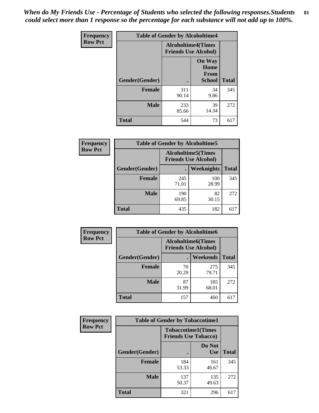*When do My Friends Use - Percentage of Students who selected the following responses.Students could select more than 1 response so the percentage for each substance will not add up to 100%.* **81**

| <b>Frequency</b> | <b>Table of Gender by Alcoholtime4</b> |                                                          |                                                |              |
|------------------|----------------------------------------|----------------------------------------------------------|------------------------------------------------|--------------|
| <b>Row Pct</b>   |                                        | <b>Alcoholtime4(Times</b><br><b>Friends Use Alcohol)</b> |                                                |              |
|                  | Gender(Gender)                         |                                                          | <b>On Way</b><br>Home<br>From<br><b>School</b> | <b>Total</b> |
|                  | <b>Female</b>                          | 311<br>90.14                                             | 34<br>9.86                                     | 345          |
|                  | <b>Male</b>                            | 233<br>85.66                                             | 39<br>14.34                                    | 272          |
|                  | <b>Total</b>                           | 544                                                      | 73                                             | 617          |

| <b>Frequency</b> | <b>Table of Gender by Alcoholtime5</b> |                                                           |              |              |
|------------------|----------------------------------------|-----------------------------------------------------------|--------------|--------------|
| <b>Row Pct</b>   |                                        | <b>Alcoholtime5</b> (Times<br><b>Friends Use Alcohol)</b> |              |              |
|                  | Gender(Gender)                         |                                                           | Weeknights   | <b>Total</b> |
|                  | <b>Female</b>                          | 245<br>71.01                                              | 100<br>28.99 | 345          |
|                  | <b>Male</b>                            | 190<br>69.85                                              | 82<br>30.15  | 272          |
|                  | <b>Total</b>                           | 435                                                       | 182          | 617          |

| <b>Frequency</b> |                | <b>Table of Gender by Alcoholtime6</b> |                                                           |              |
|------------------|----------------|----------------------------------------|-----------------------------------------------------------|--------------|
| <b>Row Pct</b>   |                |                                        | <b>Alcoholtime6</b> (Times<br><b>Friends Use Alcohol)</b> |              |
|                  | Gender(Gender) |                                        | Weekends                                                  | <b>Total</b> |
|                  | Female         | 70<br>20.29                            | 275<br>79.71                                              | 345          |
|                  | <b>Male</b>    | 87<br>31.99                            | 185<br>68.01                                              | 272          |
|                  | <b>Total</b>   | 157                                    | 460                                                       | 617          |

| <b>Frequency</b> | <b>Table of Gender by Tobaccotime1</b> |                                                          |                      |              |
|------------------|----------------------------------------|----------------------------------------------------------|----------------------|--------------|
| <b>Row Pct</b>   |                                        | <b>Tobaccotime1(Times</b><br><b>Friends Use Tobacco)</b> |                      |              |
|                  | Gender(Gender)                         |                                                          | Do Not<br><b>Use</b> | <b>Total</b> |
|                  | <b>Female</b>                          | 184<br>53.33                                             | 161<br>46.67         | 345          |
|                  | <b>Male</b>                            | 137<br>50.37                                             | 135<br>49.63         | 272          |
|                  | <b>Total</b>                           | 321                                                      | 296                  | 617          |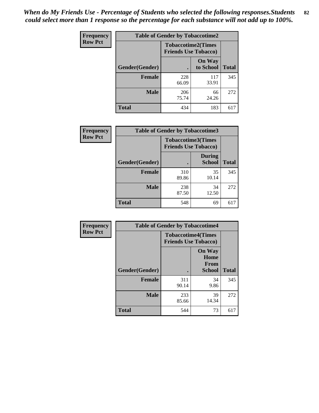| <b>Frequency</b> | <b>Table of Gender by Tobaccotime2</b> |                                                          |                            |              |
|------------------|----------------------------------------|----------------------------------------------------------|----------------------------|--------------|
| <b>Row Pct</b>   |                                        | <b>Tobaccotime2(Times</b><br><b>Friends Use Tobacco)</b> |                            |              |
|                  | Gender(Gender)                         |                                                          | <b>On Way</b><br>to School | <b>Total</b> |
|                  | <b>Female</b>                          | 228<br>66.09                                             | 117<br>33.91               | 345          |
|                  | <b>Male</b>                            | 206<br>75.74                                             | 66<br>24.26                | 272          |
|                  | <b>Total</b>                           | 434                                                      | 183                        | 617          |

| <b>Frequency</b> | <b>Table of Gender by Tobaccotime3</b> |                                                          |                                |              |
|------------------|----------------------------------------|----------------------------------------------------------|--------------------------------|--------------|
| <b>Row Pct</b>   |                                        | <b>Tobaccotime3(Times</b><br><b>Friends Use Tobacco)</b> |                                |              |
|                  | Gender(Gender)                         |                                                          | <b>During</b><br><b>School</b> | <b>Total</b> |
|                  | <b>Female</b>                          | 310<br>89.86                                             | 35<br>10.14                    | 345          |
|                  | <b>Male</b>                            | 238<br>87.50                                             | 34<br>12.50                    | 272          |
|                  | <b>Total</b>                           | 548                                                      | 69                             | 617          |

| Frequency      | <b>Table of Gender by Tobaccotime4</b> |                                                          |                                                       |              |
|----------------|----------------------------------------|----------------------------------------------------------|-------------------------------------------------------|--------------|
| <b>Row Pct</b> |                                        | <b>Tobaccotime4(Times</b><br><b>Friends Use Tobacco)</b> |                                                       |              |
|                | Gender(Gender)                         |                                                          | <b>On Way</b><br>Home<br><b>From</b><br><b>School</b> | <b>Total</b> |
|                | <b>Female</b>                          | 311<br>90.14                                             | 34<br>9.86                                            | 345          |
|                | <b>Male</b>                            | 233<br>85.66                                             | 39<br>14.34                                           | 272          |
|                | <b>Total</b>                           | 544                                                      | 73                                                    | 617          |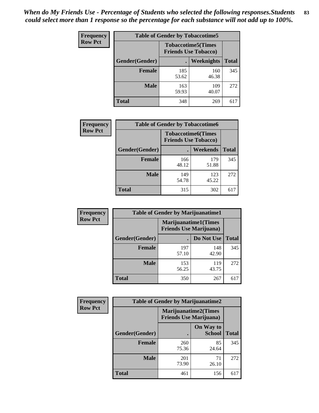| Frequency      | <b>Table of Gender by Tobaccotime5</b> |              |                                                          |              |  |
|----------------|----------------------------------------|--------------|----------------------------------------------------------|--------------|--|
| <b>Row Pct</b> |                                        |              | <b>Tobaccotime5(Times</b><br><b>Friends Use Tobacco)</b> |              |  |
|                | <b>Gender</b> (Gender)                 |              | Weeknights                                               | <b>Total</b> |  |
|                | <b>Female</b>                          | 185<br>53.62 | 160<br>46.38                                             | 345          |  |
|                | <b>Male</b>                            | 163<br>59.93 | 109<br>40.07                                             | 272          |  |
|                | <b>Total</b>                           | 348          | 269                                                      | 617          |  |

| Frequency      |                | <b>Table of Gender by Tobaccotime6</b>                   |              |              |
|----------------|----------------|----------------------------------------------------------|--------------|--------------|
| <b>Row Pct</b> |                | <b>Tobaccotime6(Times</b><br><b>Friends Use Tobacco)</b> |              |              |
|                | Gender(Gender) |                                                          | Weekends     | <b>Total</b> |
|                | Female         | 166<br>48.12                                             | 179<br>51.88 | 345          |
|                | <b>Male</b>    | 149<br>54.78                                             | 123<br>45.22 | 272          |
|                | <b>Total</b>   | 315                                                      | 302          | 617          |

| <b>Frequency</b> | <b>Table of Gender by Marijuanatime1</b> |                                |                             |              |  |
|------------------|------------------------------------------|--------------------------------|-----------------------------|--------------|--|
| <b>Row Pct</b>   |                                          | <b>Friends Use Marijuana</b> ) | <b>Marijuanatime1(Times</b> |              |  |
|                  | Gender(Gender)                           |                                | Do Not Use                  | <b>Total</b> |  |
|                  | <b>Female</b>                            | 197<br>57.10                   | 148<br>42.90                | 345          |  |
|                  | <b>Male</b>                              | 153<br>56.25                   | 119<br>43.75                | 272          |  |
|                  | <b>Total</b>                             | 350                            | 267                         | 617          |  |

| <b>Frequency</b> | <b>Table of Gender by Marijuanatime2</b> |                                                               |                            |              |
|------------------|------------------------------------------|---------------------------------------------------------------|----------------------------|--------------|
| <b>Row Pct</b>   |                                          | <b>Marijuanatime2(Times</b><br><b>Friends Use Marijuana</b> ) |                            |              |
|                  | Gender(Gender)                           |                                                               | On Way to<br><b>School</b> | <b>Total</b> |
|                  | Female                                   | 260<br>75.36                                                  | 85<br>24.64                | 345          |
|                  | <b>Male</b>                              | 201<br>73.90                                                  | 71<br>26.10                | 272          |
|                  | <b>Total</b>                             | 461                                                           | 156                        | 617          |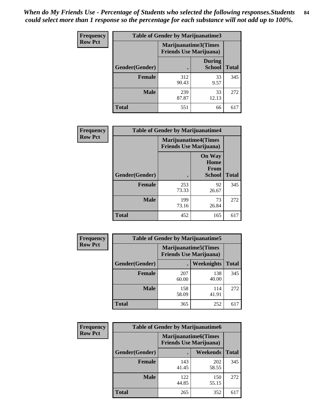*When do My Friends Use - Percentage of Students who selected the following responses.Students could select more than 1 response so the percentage for each substance will not add up to 100%.* **84**

| <b>Frequency</b> | Table of Gender by Marijuanatime3 |                                                        |                                |              |
|------------------|-----------------------------------|--------------------------------------------------------|--------------------------------|--------------|
| <b>Row Pct</b>   |                                   | Marijuanatime3(Times<br><b>Friends Use Marijuana</b> ) |                                |              |
|                  | Gender(Gender)                    |                                                        | <b>During</b><br><b>School</b> | <b>Total</b> |
|                  | <b>Female</b>                     | 312<br>90.43                                           | 33<br>9.57                     | 345          |
|                  | <b>Male</b>                       | 239<br>87.87                                           | 33<br>12.13                    | 272          |
|                  | <b>Total</b>                      | 551                                                    | 66                             | 617          |

| Frequency      |                | <b>Table of Gender by Marijuanatime4</b>                      |                                                |              |  |
|----------------|----------------|---------------------------------------------------------------|------------------------------------------------|--------------|--|
| <b>Row Pct</b> |                | <b>Marijuanatime4(Times</b><br><b>Friends Use Marijuana</b> ) |                                                |              |  |
|                | Gender(Gender) |                                                               | <b>On Way</b><br>Home<br>From<br><b>School</b> | <b>Total</b> |  |
|                | <b>Female</b>  | 253<br>73.33                                                  | 92<br>26.67                                    | 345          |  |
|                | <b>Male</b>    | 199<br>73.16                                                  | 73<br>26.84                                    | 272          |  |
|                | <b>Total</b>   | 452                                                           | 165                                            | 617          |  |

| Frequency      |                | <b>Table of Gender by Marijuanatime5</b>                       |              |              |
|----------------|----------------|----------------------------------------------------------------|--------------|--------------|
| <b>Row Pct</b> |                | <b>Marijuanatime5</b> (Times<br><b>Friends Use Marijuana</b> ) |              |              |
|                | Gender(Gender) | ٠                                                              | Weeknights   | <b>Total</b> |
|                | <b>Female</b>  | 207<br>60.00                                                   | 138<br>40.00 | 345          |
|                | <b>Male</b>    | 158<br>58.09                                                   | 114<br>41.91 | 272          |
|                | <b>Total</b>   | 365                                                            | 252          | 617          |

| Frequency      | <b>Table of Gender by Marijuanatime6</b> |                                                               |                 |              |
|----------------|------------------------------------------|---------------------------------------------------------------|-----------------|--------------|
| <b>Row Pct</b> |                                          | <b>Marijuanatime6(Times</b><br><b>Friends Use Marijuana</b> ) |                 |              |
|                | Gender(Gender)                           |                                                               | <b>Weekends</b> | <b>Total</b> |
|                | <b>Female</b>                            | 143<br>41.45                                                  | 202<br>58.55    | 345          |
|                | <b>Male</b>                              | 122<br>44.85                                                  | 150<br>55.15    | 272          |
|                | <b>Total</b>                             | 265                                                           | 352             | 617          |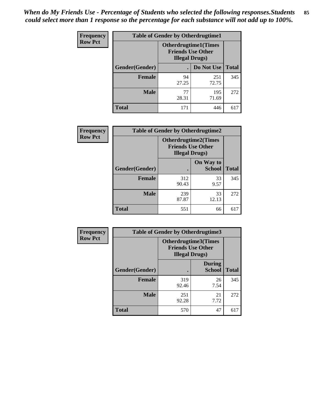*When do My Friends Use - Percentage of Students who selected the following responses.Students could select more than 1 response so the percentage for each substance will not add up to 100%.* **85**

| <b>Frequency</b> | <b>Table of Gender by Otherdrugtime1</b> |                        |                                                          |     |  |
|------------------|------------------------------------------|------------------------|----------------------------------------------------------|-----|--|
| <b>Row Pct</b>   |                                          | <b>Illegal Drugs</b> ) | <b>Otherdrugtime1</b> (Times<br><b>Friends Use Other</b> |     |  |
|                  | Gender(Gender)                           |                        | Do Not Use   Total                                       |     |  |
|                  | <b>Female</b>                            | 94<br>27.25            | 251<br>72.75                                             | 345 |  |
|                  | <b>Male</b>                              | 77<br>28.31            | 195<br>71.69                                             | 272 |  |
|                  | <b>Total</b>                             | 171                    | 446                                                      | 617 |  |

| Frequency      | <b>Table of Gender by Otherdrugtime2</b> |                                                                                   |                            |              |
|----------------|------------------------------------------|-----------------------------------------------------------------------------------|----------------------------|--------------|
| <b>Row Pct</b> |                                          | <b>Otherdrugtime2(Times</b><br><b>Friends Use Other</b><br><b>Illegal Drugs</b> ) |                            |              |
|                | Gender(Gender)                           |                                                                                   | On Way to<br><b>School</b> | <b>Total</b> |
|                | <b>Female</b>                            | 312<br>90.43                                                                      | 33<br>9.57                 | 345          |
|                | <b>Male</b>                              | 239<br>87.87                                                                      | 33<br>12.13                | 272          |
|                | <b>Total</b>                             | 551                                                                               | 66                         | 617          |

| <b>Frequency</b> | Table of Gender by Otherdrugtime3 |                                                                            |                                |              |  |
|------------------|-----------------------------------|----------------------------------------------------------------------------|--------------------------------|--------------|--|
| <b>Row Pct</b>   |                                   | Otherdrugtime3(Times<br><b>Friends Use Other</b><br><b>Illegal Drugs</b> ) |                                |              |  |
|                  | Gender(Gender)                    |                                                                            | <b>During</b><br><b>School</b> | <b>Total</b> |  |
|                  | <b>Female</b>                     | 319<br>92.46                                                               | 26<br>7.54                     | 345          |  |
|                  | <b>Male</b>                       | 251<br>92.28                                                               | 21<br>7.72                     | 272          |  |
|                  | <b>Total</b>                      | 570                                                                        | 47                             | 617          |  |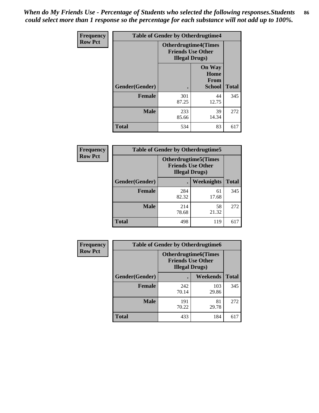*When do My Friends Use - Percentage of Students who selected the following responses.Students could select more than 1 response so the percentage for each substance will not add up to 100%.* **86**

| <b>Frequency</b> | <b>Table of Gender by Otherdrugtime4</b> |                                                    |                                                |              |
|------------------|------------------------------------------|----------------------------------------------------|------------------------------------------------|--------------|
| <b>Row Pct</b>   |                                          | <b>Friends Use Other</b><br><b>Illegal Drugs</b> ) | <b>Otherdrugtime4(Times</b>                    |              |
|                  | Gender(Gender)                           |                                                    | <b>On Way</b><br>Home<br><b>From</b><br>School | <b>Total</b> |
|                  | <b>Female</b>                            | 301<br>87.25                                       | 44<br>12.75                                    | 345          |
|                  | <b>Male</b>                              | 233<br>85.66                                       | 39<br>14.34                                    | 272          |
|                  | <b>Total</b>                             | 534                                                | 83                                             | 617          |

| Frequency      | <b>Table of Gender by Otherdrugtime5</b> |                                                                                    |                   |              |
|----------------|------------------------------------------|------------------------------------------------------------------------------------|-------------------|--------------|
| <b>Row Pct</b> |                                          | <b>Otherdrugtime5</b> (Times<br><b>Friends Use Other</b><br><b>Illegal Drugs</b> ) |                   |              |
|                | Gender(Gender)                           |                                                                                    | <b>Weeknights</b> | <b>Total</b> |
|                | <b>Female</b>                            | 284<br>82.32                                                                       | 61<br>17.68       | 345          |
|                | <b>Male</b>                              | 214<br>78.68                                                                       | 58<br>21.32       | 272          |
|                | <b>Total</b>                             | 498                                                                                | 119               | 617          |

| Frequency      | <b>Table of Gender by Otherdrugtime6</b> |                                                                                   |              |              |  |
|----------------|------------------------------------------|-----------------------------------------------------------------------------------|--------------|--------------|--|
| <b>Row Pct</b> |                                          | <b>Otherdrugtime6(Times</b><br><b>Friends Use Other</b><br><b>Illegal Drugs</b> ) |              |              |  |
|                | Gender(Gender)                           |                                                                                   | Weekends     | <b>Total</b> |  |
|                | <b>Female</b>                            | 242<br>70.14                                                                      | 103<br>29.86 | 345          |  |
|                | <b>Male</b>                              | 191<br>70.22                                                                      | 81<br>29.78  | 272          |  |
|                | <b>Total</b>                             | 433                                                                               | 184          | 617          |  |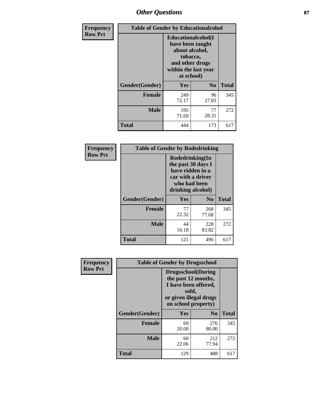# *Other Questions* **87**

| Frequency      | <b>Table of Gender by Educationalcohol</b> |                                                                                                                               |                |              |
|----------------|--------------------------------------------|-------------------------------------------------------------------------------------------------------------------------------|----------------|--------------|
| <b>Row Pct</b> |                                            | Educationalcohol(I<br>have been taught<br>about alcohol,<br>tobacco,<br>and other drugs<br>within the last year<br>at school) |                |              |
|                | Gender(Gender)                             | <b>Yes</b>                                                                                                                    | N <sub>0</sub> | <b>Total</b> |
|                | <b>Female</b>                              | 249<br>72.17                                                                                                                  | 96<br>27.83    | 345          |
|                | <b>Male</b>                                | 195<br>71.69                                                                                                                  | 77<br>28.31    | 272          |
|                | <b>Total</b>                               | 444                                                                                                                           | 173            | 617          |

| Frequency      | <b>Table of Gender by Rodedrinking</b> |                                                                                                                     |              |              |  |
|----------------|----------------------------------------|---------------------------------------------------------------------------------------------------------------------|--------------|--------------|--|
| <b>Row Pct</b> |                                        | Rodedrinking(In<br>the past 30 days I<br>have ridden in a<br>car with a driver<br>who had been<br>drinking alcohol) |              |              |  |
|                | Gender(Gender)                         | Yes                                                                                                                 | $\bf N_0$    | <b>Total</b> |  |
|                | <b>Female</b>                          | 77<br>22.32                                                                                                         | 268<br>77.68 | 345          |  |
|                | <b>Male</b>                            | 44<br>16.18                                                                                                         | 228<br>83.82 | 272          |  |
|                | <b>Total</b>                           | 121                                                                                                                 | 496          | 617          |  |

| Frequency      | <b>Table of Gender by Drugsschool</b> |                                                                                                                                     |                |              |  |
|----------------|---------------------------------------|-------------------------------------------------------------------------------------------------------------------------------------|----------------|--------------|--|
| <b>Row Pct</b> |                                       | <b>Drugsschool</b> (During<br>the past 12 months,<br>I have been offered,<br>sold,<br>or given illegal drugs<br>on school property) |                |              |  |
|                | Gender(Gender)                        | <b>Yes</b>                                                                                                                          | N <sub>0</sub> | <b>Total</b> |  |
|                | <b>Female</b>                         | 69<br>20.00                                                                                                                         | 276<br>80.00   | 345          |  |
|                | <b>Male</b>                           | 60<br>22.06                                                                                                                         | 212<br>77.94   | 272          |  |
|                | <b>Total</b>                          | 129                                                                                                                                 | 488            | 617          |  |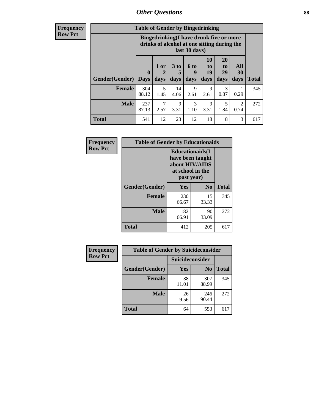# *Other Questions* **88**

**Frequency Row Pct**

| <b>Table of Gender by Bingedrinking</b> |                         |                                                                                                         |                   |                     |                        |                               |                        |              |
|-----------------------------------------|-------------------------|---------------------------------------------------------------------------------------------------------|-------------------|---------------------|------------------------|-------------------------------|------------------------|--------------|
|                                         |                         | Bingedrinking(I have drunk five or more<br>drinks of alcohol at one sitting during the<br>last 30 days) |                   |                     |                        |                               |                        |              |
| <b>Gender</b> (Gender)                  | $\bf{0}$<br><b>Days</b> | 1 or<br>days                                                                                            | 3 to<br>5<br>days | 6 to<br>9<br>days   | 10<br>to<br>19<br>days | <b>20</b><br>to<br>29<br>days | All<br>30<br>days      | <b>Total</b> |
| <b>Female</b>                           | 304<br>88.12            | 5<br>1.45                                                                                               | 14<br>4.06        | $\mathbf Q$<br>2.61 | 9<br>2.61              | 3<br>0.87                     | 0.29                   | 345          |
| <b>Male</b>                             | 237<br>87.13            | 7<br>2.57                                                                                               | 9<br>3.31         | 3<br>1.10           | 9<br>3.31              | 5<br>1.84                     | $\mathfrak{D}$<br>0.74 | 272          |
| <b>Total</b>                            | 541                     | 12                                                                                                      | 23                | 12                  | 18                     | 8                             | 3                      | 617          |

| Frequency      | <b>Table of Gender by Educationaids</b> |                                                                                                 |                |              |  |
|----------------|-----------------------------------------|-------------------------------------------------------------------------------------------------|----------------|--------------|--|
| <b>Row Pct</b> |                                         | <b>Educationaids</b> (I<br>have been taught<br>about HIV/AIDS<br>at school in the<br>past year) |                |              |  |
|                | Gender(Gender)                          | Yes                                                                                             | $\mathbf{N_0}$ | <b>Total</b> |  |
|                | <b>Female</b>                           | 230<br>66.67                                                                                    | 115<br>33.33   | 345          |  |
|                | <b>Male</b>                             | 182<br>66.91                                                                                    | 90<br>33.09    | 272          |  |
|                | <b>Total</b>                            | 412                                                                                             | 205            | 617          |  |

| <b>Frequency</b> |                | <b>Table of Gender by Suicideconsider</b> |                |              |  |
|------------------|----------------|-------------------------------------------|----------------|--------------|--|
| <b>Row Pct</b>   |                | Suicideconsider                           |                |              |  |
|                  | Gender(Gender) | Yes                                       | N <sub>0</sub> | <b>Total</b> |  |
|                  | <b>Female</b>  | 38<br>11.01                               | 307<br>88.99   | 345          |  |
|                  | <b>Male</b>    | 26<br>9.56                                | 246<br>90.44   | 272          |  |
|                  | <b>Total</b>   | 64                                        | 553            | 617          |  |